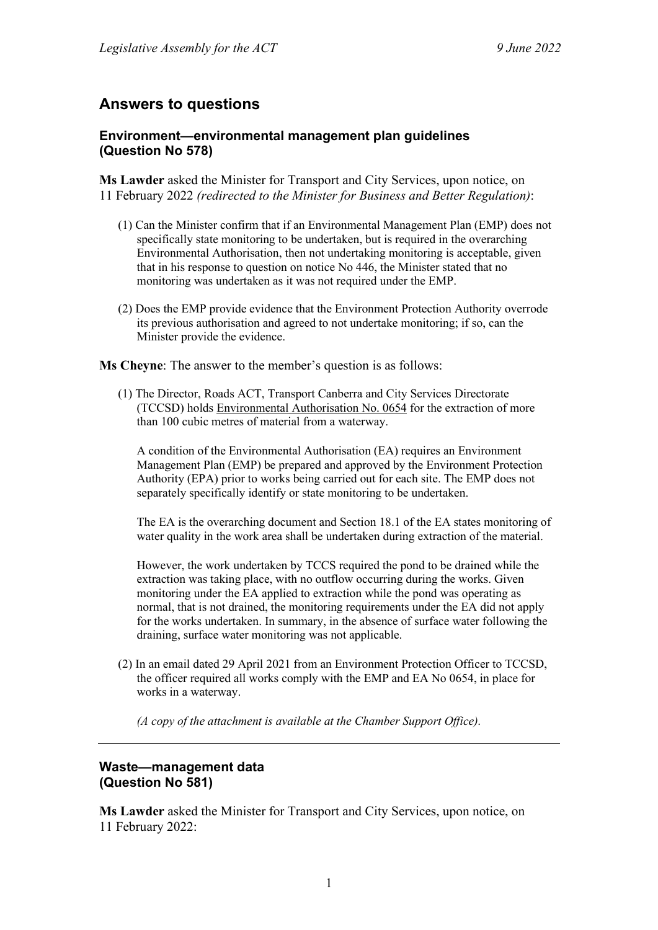# **Answers to questions**

# **Environment—environmental management plan guidelines (Question No 578)**

**Ms Lawder** asked the Minister for Transport and City Services, upon notice, on 11 February 2022 *(redirected to the Minister for Business and Better Regulation)*:

- (1) Can the Minister confirm that if an Environmental Management Plan (EMP) does not specifically state monitoring to be undertaken, but is required in the overarching Environmental Authorisation, then not undertaking monitoring is acceptable, given that in his response to question on notice No 446, the Minister stated that no monitoring was undertaken as it was not required under the EMP.
- (2) Does the EMP provide evidence that the Environment Protection Authority overrode its previous authorisation and agreed to not undertake monitoring; if so, can the Minister provide the evidence.

**Ms Cheyne**: The answer to the member's question is as follows:

(1) The Director, Roads ACT, Transport Canberra and City Services Directorate (TCCSD) holds Environmental Authorisation No. 0654 for the extraction of more than 100 cubic metres of material from a waterway.

A condition of the Environmental Authorisation (EA) requires an Environment Management Plan (EMP) be prepared and approved by the Environment Protection Authority (EPA) prior to works being carried out for each site. The EMP does not separately specifically identify or state monitoring to be undertaken.

The EA is the overarching document and Section 18.1 of the EA states monitoring of water quality in the work area shall be undertaken during extraction of the material.

However, the work undertaken by TCCS required the pond to be drained while the extraction was taking place, with no outflow occurring during the works. Given monitoring under the EA applied to extraction while the pond was operating as normal, that is not drained, the monitoring requirements under the EA did not apply for the works undertaken. In summary, in the absence of surface water following the draining, surface water monitoring was not applicable.

(2) In an email dated 29 April 2021 from an Environment Protection Officer to TCCSD, the officer required all works comply with the EMP and EA No 0654, in place for works in a waterway.

*(A copy of the attachment is available at the Chamber Support Office).*

### **Waste—management data (Question No 581)**

**Ms Lawder** asked the Minister for Transport and City Services, upon notice, on 11 February 2022: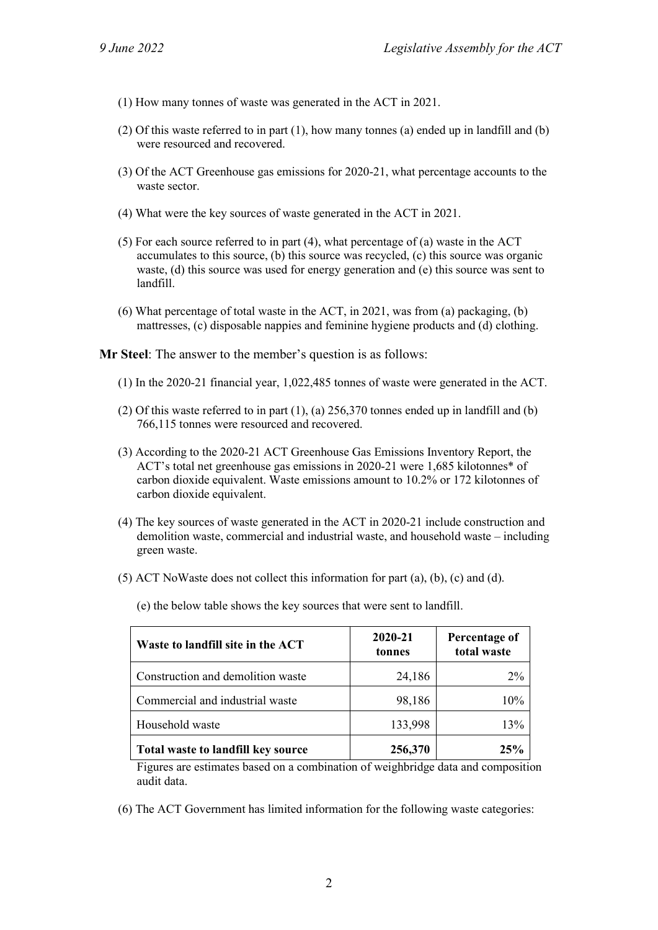- (1) How many tonnes of waste was generated in the ACT in 2021.
- (2) Of this waste referred to in part (1), how many tonnes (a) ended up in landfill and (b) were resourced and recovered.
- (3) Of the ACT Greenhouse gas emissions for 2020-21, what percentage accounts to the waste sector.
- (4) What were the key sources of waste generated in the ACT in 2021.
- (5) For each source referred to in part (4), what percentage of (a) waste in the ACT accumulates to this source, (b) this source was recycled, (c) this source was organic waste, (d) this source was used for energy generation and (e) this source was sent to landfill.
- (6) What percentage of total waste in the ACT, in 2021, was from (a) packaging, (b) mattresses, (c) disposable nappies and feminine hygiene products and (d) clothing.

**Mr Steel**: The answer to the member's question is as follows:

- (1) In the 2020-21 financial year, 1,022,485 tonnes of waste were generated in the ACT.
- (2) Of this waste referred to in part (1), (a) 256,370 tonnes ended up in landfill and (b) 766,115 tonnes were resourced and recovered.
- (3) According to the 2020-21 ACT Greenhouse Gas Emissions Inventory Report, the ACT's total net greenhouse gas emissions in 2020-21 were 1,685 kilotonnes\* of carbon dioxide equivalent. Waste emissions amount to 10.2% or 172 kilotonnes of carbon dioxide equivalent.
- (4) The key sources of waste generated in the ACT in 2020-21 include construction and demolition waste, commercial and industrial waste, and household waste – including green waste.
- (5) ACT NoWaste does not collect this information for part (a), (b), (c) and (d).

| Waste to landfill site in the ACT  | 2020-21<br>tonnes | Percentage of<br>total waste |
|------------------------------------|-------------------|------------------------------|
| Construction and demolition waste  | 24,186            | $2\%$                        |
| Commercial and industrial waste    | 98,186            | 10%                          |
| Household waste                    | 133,998           | 13%                          |
| Total waste to landfill key source | 256,370           | 25%                          |

(e) the below table shows the key sources that were sent to landfill.

Figures are estimates based on a combination of weighbridge data and composition audit data.

(6) The ACT Government has limited information for the following waste categories: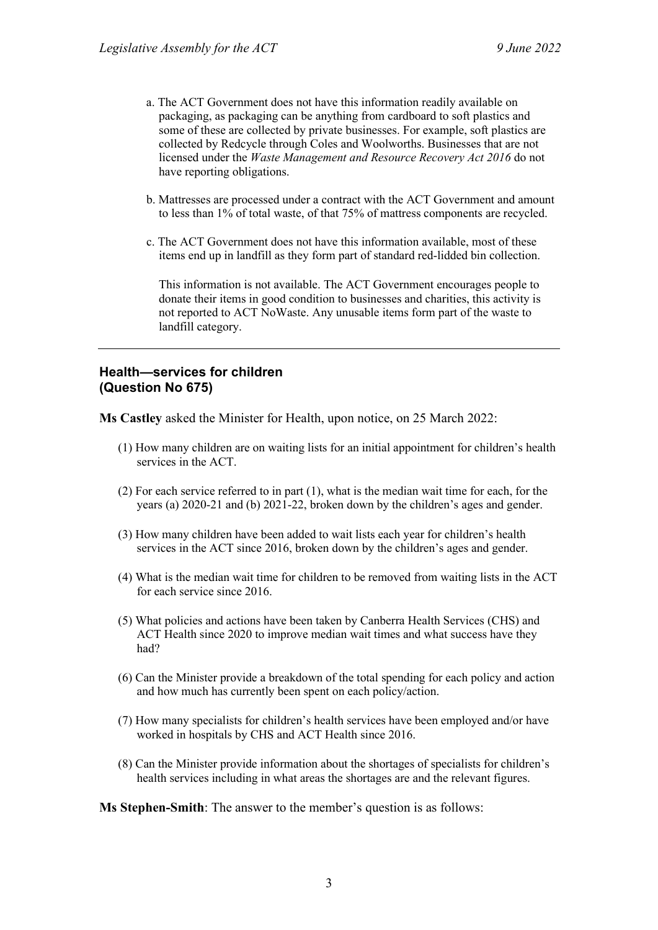- a. The ACT Government does not have this information readily available on packaging, as packaging can be anything from cardboard to soft plastics and some of these are collected by private businesses. For example, soft plastics are collected by Redcycle through Coles and Woolworths. Businesses that are not licensed under the *Waste Management and Resource Recovery Act 2016* do not have reporting obligations.
- b. Mattresses are processed under a contract with the ACT Government and amount to less than 1% of total waste, of that 75% of mattress components are recycled.
- c. The ACT Government does not have this information available, most of these items end up in landfill as they form part of standard red-lidded bin collection.

This information is not available. The ACT Government encourages people to donate their items in good condition to businesses and charities, this activity is not reported to ACT NoWaste. Any unusable items form part of the waste to landfill category.

### **Health—services for children (Question No 675)**

**Ms Castley** asked the Minister for Health, upon notice, on 25 March 2022:

- (1) How many children are on waiting lists for an initial appointment for children's health services in the ACT.
- (2) For each service referred to in part (1), what is the median wait time for each, for the years (a) 2020-21 and (b) 2021-22, broken down by the children's ages and gender.
- (3) How many children have been added to wait lists each year for children's health services in the ACT since 2016, broken down by the children's ages and gender.
- (4) What is the median wait time for children to be removed from waiting lists in the ACT for each service since 2016.
- (5) What policies and actions have been taken by Canberra Health Services (CHS) and ACT Health since 2020 to improve median wait times and what success have they had?
- (6) Can the Minister provide a breakdown of the total spending for each policy and action and how much has currently been spent on each policy/action.
- (7) How many specialists for children's health services have been employed and/or have worked in hospitals by CHS and ACT Health since 2016.
- (8) Can the Minister provide information about the shortages of specialists for children's health services including in what areas the shortages are and the relevant figures.

**Ms Stephen-Smith**: The answer to the member's question is as follows: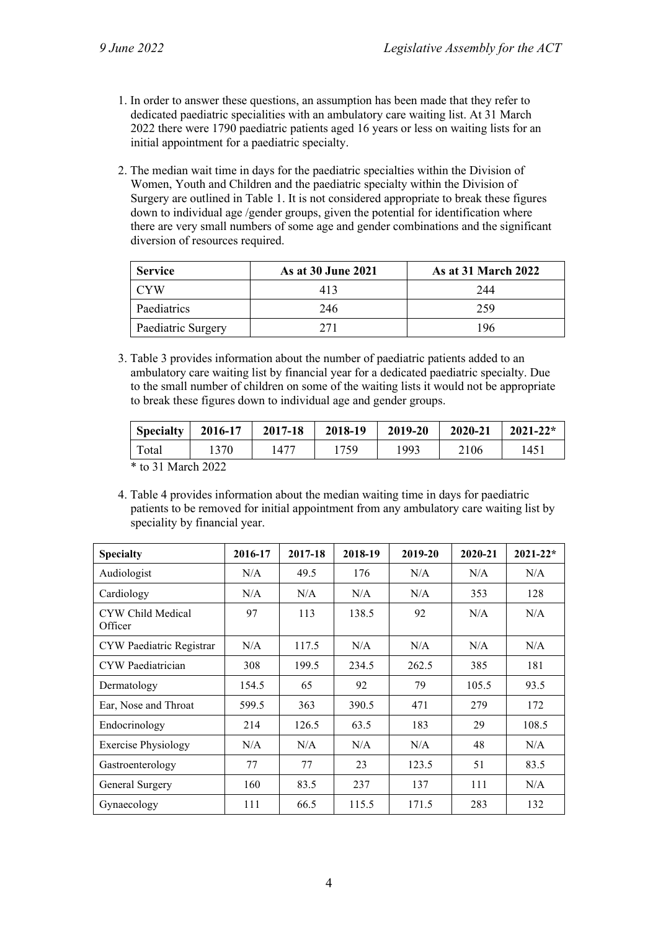- 1. In order to answer these questions, an assumption has been made that they refer to dedicated paediatric specialities with an ambulatory care waiting list. At 31 March 2022 there were 1790 paediatric patients aged 16 years or less on waiting lists for an initial appointment for a paediatric specialty.
- 2. The median wait time in days for the paediatric specialties within the Division of Women, Youth and Children and the paediatric specialty within the Division of Surgery are outlined in Table 1. It is not considered appropriate to break these figures down to individual age /gender groups, given the potential for identification where there are very small numbers of some age and gender combinations and the significant diversion of resources required.

| <b>Service</b>     | As at 30 June 2021 | <b>As at 31 March 2022</b> |
|--------------------|--------------------|----------------------------|
| CYW <sup>.</sup>   | 413                | 244                        |
| Paediatrics        | 246                | 259                        |
| Paediatric Surgery | 271                | 196                        |

3. Table 3 provides information about the number of paediatric patients added to an ambulatory care waiting list by financial year for a dedicated paediatric specialty. Due to the small number of children on some of the waiting lists it would not be appropriate to break these figures down to individual age and gender groups.

| <b>Specialty</b>    | 2016-17 | 2017-18 | 2018-19 | 2019-20 | $2020 - 21$ | $2021 - 22*$ |
|---------------------|---------|---------|---------|---------|-------------|--------------|
| Total               | 1370    | 1477    | 1759    | 1993    | 2106        | 1451         |
| $* + 21$ Moral 2022 |         |         |         |         |             |              |

to 31 March 2022

4. Table 4 provides information about the median waiting time in days for paediatric patients to be removed for initial appointment from any ambulatory care waiting list by speciality by financial year.

| <b>Specialty</b>             | 2016-17 | 2017-18 | 2018-19 | 2019-20 | 2020-21 | $2021 - 22*$ |
|------------------------------|---------|---------|---------|---------|---------|--------------|
| Audiologist                  | N/A     | 49.5    | 176     | N/A     | N/A     | N/A          |
| Cardiology                   | N/A     | N/A     | N/A     | N/A     | 353     | 128          |
| CYW Child Medical<br>Officer | 97      | 113     | 138.5   | 92      | N/A     | N/A          |
| CYW Paediatric Registrar     | N/A     | 117.5   | N/A     | N/A     | N/A     | N/A          |
| CYW Paediatrician            | 308     | 199.5   | 234.5   | 262.5   | 385     | 181          |
| Dermatology                  | 154.5   | 65      | 92      | 79      | 105.5   | 93.5         |
| Ear, Nose and Throat         | 599.5   | 363     | 390.5   | 471     | 279     | 172          |
| Endocrinology                | 214     | 126.5   | 63.5    | 183     | 29      | 108.5        |
| <b>Exercise Physiology</b>   | N/A     | N/A     | N/A     | N/A     | 48      | N/A          |
| Gastroenterology             | 77      | 77      | 23      | 123.5   | 51      | 83.5         |
| General Surgery              | 160     | 83.5    | 237     | 137     | 111     | N/A          |
| Gynaecology                  | 111     | 66.5    | 115.5   | 171.5   | 283     | 132          |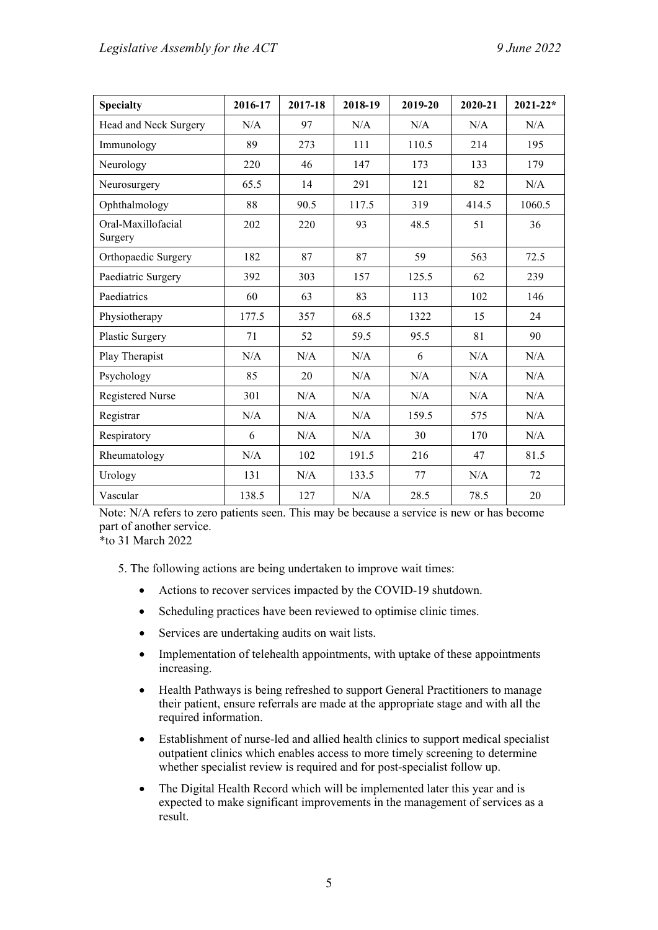| <b>Specialty</b>              | 2016-17 | 2017-18 | 2018-19 | 2019-20 | 2020-21 | $2021 - 22*$ |
|-------------------------------|---------|---------|---------|---------|---------|--------------|
| Head and Neck Surgery         | N/A     | 97      | N/A     | N/A     | N/A     | N/A          |
| Immunology                    | 89      | 273     | 111     | 110.5   | 214     | 195          |
| Neurology                     | 220     | 46      | 147     | 173     | 133     | 179          |
| Neurosurgery                  | 65.5    | 14      | 291     | 121     | 82      | N/A          |
| Ophthalmology                 | 88      | 90.5    | 117.5   | 319     | 414.5   | 1060.5       |
| Oral-Maxillofacial<br>Surgery | 202     | 220     | 93      | 48.5    | 51      | 36           |
| Orthopaedic Surgery           | 182     | 87      | 87      | 59      | 563     | 72.5         |
| Paediatric Surgery            | 392     | 303     | 157     | 125.5   | 62      | 239          |
| Paediatrics                   | 60      | 63      | 83      | 113     | 102     | 146          |
| Physiotherapy                 | 177.5   | 357     | 68.5    | 1322    | 15      | 24           |
| Plastic Surgery               | 71      | 52      | 59.5    | 95.5    | 81      | 90           |
| Play Therapist                | N/A     | N/A     | N/A     | 6       | N/A     | N/A          |
| Psychology                    | 85      | 20      | N/A     | N/A     | N/A     | N/A          |
| <b>Registered Nurse</b>       | 301     | N/A     | N/A     | N/A     | N/A     | N/A          |
| Registrar                     | N/A     | N/A     | N/A     | 159.5   | 575     | N/A          |
| Respiratory                   | 6       | N/A     | N/A     | 30      | 170     | N/A          |
| Rheumatology                  | N/A     | 102     | 191.5   | 216     | 47      | 81.5         |
| Urology                       | 131     | N/A     | 133.5   | 77      | N/A     | 72           |
| Vascular                      | 138.5   | 127     | N/A     | 28.5    | 78.5    | 20           |

Note: N/A refers to zero patients seen. This may be because a service is new or has become part of another service.

\*to 31 March 2022

5. The following actions are being undertaken to improve wait times:

- Actions to recover services impacted by the COVID-19 shutdown.
- Scheduling practices have been reviewed to optimise clinic times.
- Services are undertaking audits on wait lists.
- Implementation of telehealth appointments, with uptake of these appointments increasing.
- Health Pathways is being refreshed to support General Practitioners to manage their patient, ensure referrals are made at the appropriate stage and with all the required information.
- Establishment of nurse-led and allied health clinics to support medical specialist outpatient clinics which enables access to more timely screening to determine whether specialist review is required and for post-specialist follow up.
- The Digital Health Record which will be implemented later this year and is expected to make significant improvements in the management of services as a result.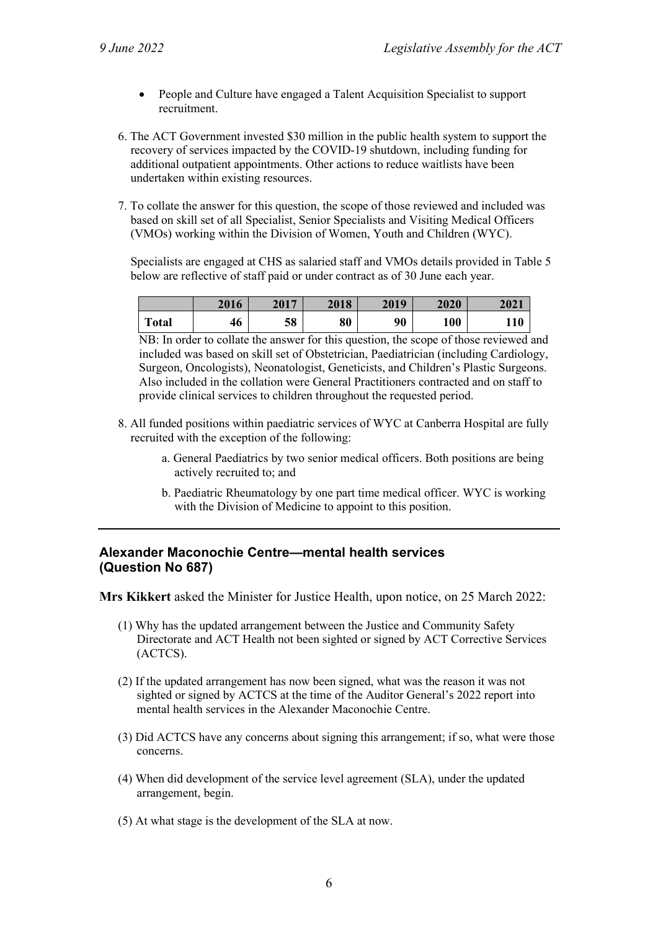- People and Culture have engaged a Talent Acquisition Specialist to support recruitment.
- 6. The ACT Government invested \$30 million in the public health system to support the recovery of services impacted by the COVID-19 shutdown, including funding for additional outpatient appointments. Other actions to reduce waitlists have been undertaken within existing resources.
- 7. To collate the answer for this question, the scope of those reviewed and included was based on skill set of all Specialist, Senior Specialists and Visiting Medical Officers (VMOs) working within the Division of Women, Youth and Children (WYC).

Specialists are engaged at CHS as salaried staff and VMOs details provided in Table 5 below are reflective of staff paid or under contract as of 30 June each year.

|              | 2016 | 2017 | 2018 | 2019 | 2020 | 2021 |
|--------------|------|------|------|------|------|------|
| <b>Total</b> | 46   | 58   | 80   | 90   | 100  | 110  |

NB: In order to collate the answer for this question, the scope of those reviewed and included was based on skill set of Obstetrician, Paediatrician (including Cardiology, Surgeon, Oncologists), Neonatologist, Geneticists, and Children's Plastic Surgeons. Also included in the collation were General Practitioners contracted and on staff to provide clinical services to children throughout the requested period.

- 8. All funded positions within paediatric services of WYC at Canberra Hospital are fully recruited with the exception of the following:
	- a. General Paediatrics by two senior medical officers. Both positions are being actively recruited to; and
	- b. Paediatric Rheumatology by one part time medical officer. WYC is working with the Division of Medicine to appoint to this position.

# **Alexander Maconochie Centre—mental health services (Question No 687)**

**Mrs Kikkert** asked the Minister for Justice Health, upon notice, on 25 March 2022:

- (1) Why has the updated arrangement between the Justice and Community Safety Directorate and ACT Health not been sighted or signed by ACT Corrective Services (ACTCS).
- (2) If the updated arrangement has now been signed, what was the reason it was not sighted or signed by ACTCS at the time of the Auditor General's 2022 report into mental health services in the Alexander Maconochie Centre.
- (3) Did ACTCS have any concerns about signing this arrangement; if so, what were those concerns.
- (4) When did development of the service level agreement (SLA), under the updated arrangement, begin.
- (5) At what stage is the development of the SLA at now.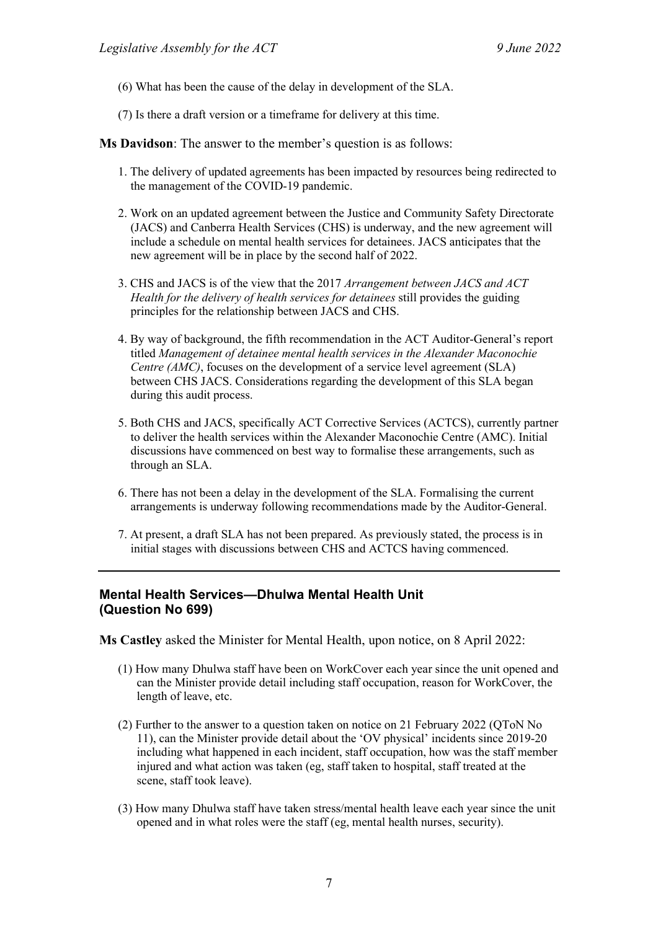- (6) What has been the cause of the delay in development of the SLA.
- (7) Is there a draft version or a timeframe for delivery at this time.

**Ms Davidson**: The answer to the member's question is as follows:

- 1. The delivery of updated agreements has been impacted by resources being redirected to the management of the COVID-19 pandemic.
- 2. Work on an updated agreement between the Justice and Community Safety Directorate (JACS) and Canberra Health Services (CHS) is underway, and the new agreement will include a schedule on mental health services for detainees. JACS anticipates that the new agreement will be in place by the second half of 2022.
- 3. CHS and JACS is of the view that the 2017 *Arrangement between JACS and ACT Health for the delivery of health services for detainees* still provides the guiding principles for the relationship between JACS and CHS.
- 4. By way of background, the fifth recommendation in the ACT Auditor-General's report titled *Management of detainee mental health services in the Alexander Maconochie Centre (AMC)*, focuses on the development of a service level agreement (SLA) between CHS JACS. Considerations regarding the development of this SLA began during this audit process.
- 5. Both CHS and JACS, specifically ACT Corrective Services (ACTCS), currently partner to deliver the health services within the Alexander Maconochie Centre (AMC). Initial discussions have commenced on best way to formalise these arrangements, such as through an SLA.
- 6. There has not been a delay in the development of the SLA. Formalising the current arrangements is underway following recommendations made by the Auditor-General.
- 7. At present, a draft SLA has not been prepared. As previously stated, the process is in initial stages with discussions between CHS and ACTCS having commenced.

### **Mental Health Services—Dhulwa Mental Health Unit (Question No 699)**

**Ms Castley** asked the Minister for Mental Health, upon notice, on 8 April 2022:

- (1) How many Dhulwa staff have been on WorkCover each year since the unit opened and can the Minister provide detail including staff occupation, reason for WorkCover, the length of leave, etc.
- (2) Further to the answer to a question taken on notice on 21 February 2022 (QToN No 11), can the Minister provide detail about the 'OV physical' incidents since 2019-20 including what happened in each incident, staff occupation, how was the staff member injured and what action was taken (eg, staff taken to hospital, staff treated at the scene, staff took leave).
- (3) How many Dhulwa staff have taken stress/mental health leave each year since the unit opened and in what roles were the staff (eg, mental health nurses, security).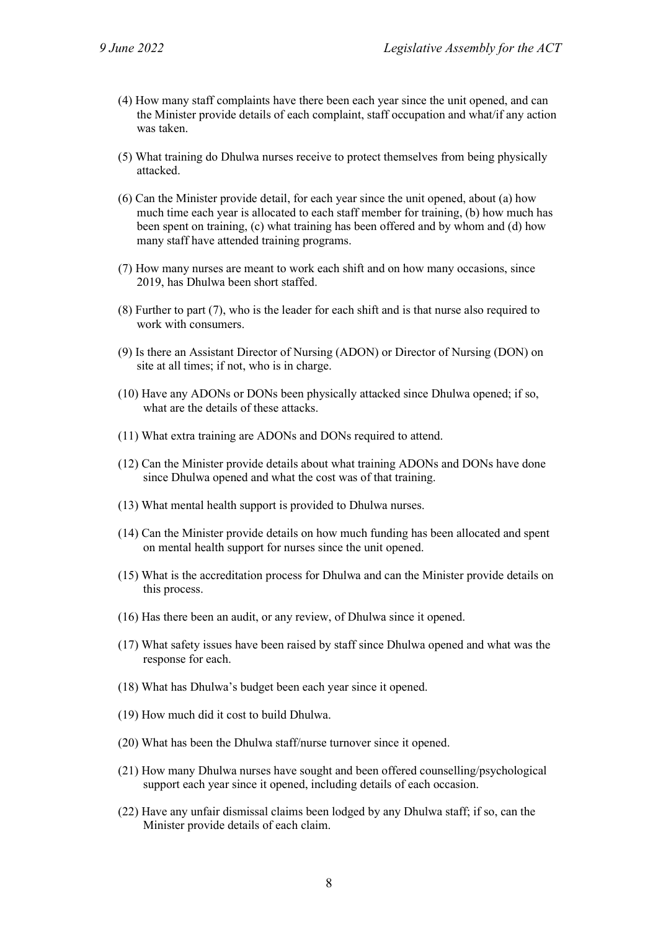- (4) How many staff complaints have there been each year since the unit opened, and can the Minister provide details of each complaint, staff occupation and what/if any action was taken.
- (5) What training do Dhulwa nurses receive to protect themselves from being physically attacked.
- (6) Can the Minister provide detail, for each year since the unit opened, about (a) how much time each year is allocated to each staff member for training, (b) how much has been spent on training, (c) what training has been offered and by whom and (d) how many staff have attended training programs.
- (7) How many nurses are meant to work each shift and on how many occasions, since 2019, has Dhulwa been short staffed.
- (8) Further to part (7), who is the leader for each shift and is that nurse also required to work with consumers.
- (9) Is there an Assistant Director of Nursing (ADON) or Director of Nursing (DON) on site at all times; if not, who is in charge.
- (10) Have any ADONs or DONs been physically attacked since Dhulwa opened; if so, what are the details of these attacks.
- (11) What extra training are ADONs and DONs required to attend.
- (12) Can the Minister provide details about what training ADONs and DONs have done since Dhulwa opened and what the cost was of that training.
- (13) What mental health support is provided to Dhulwa nurses.
- (14) Can the Minister provide details on how much funding has been allocated and spent on mental health support for nurses since the unit opened.
- (15) What is the accreditation process for Dhulwa and can the Minister provide details on this process.
- (16) Has there been an audit, or any review, of Dhulwa since it opened.
- (17) What safety issues have been raised by staff since Dhulwa opened and what was the response for each.
- (18) What has Dhulwa's budget been each year since it opened.
- (19) How much did it cost to build Dhulwa.
- (20) What has been the Dhulwa staff/nurse turnover since it opened.
- (21) How many Dhulwa nurses have sought and been offered counselling/psychological support each year since it opened, including details of each occasion.
- (22) Have any unfair dismissal claims been lodged by any Dhulwa staff; if so, can the Minister provide details of each claim.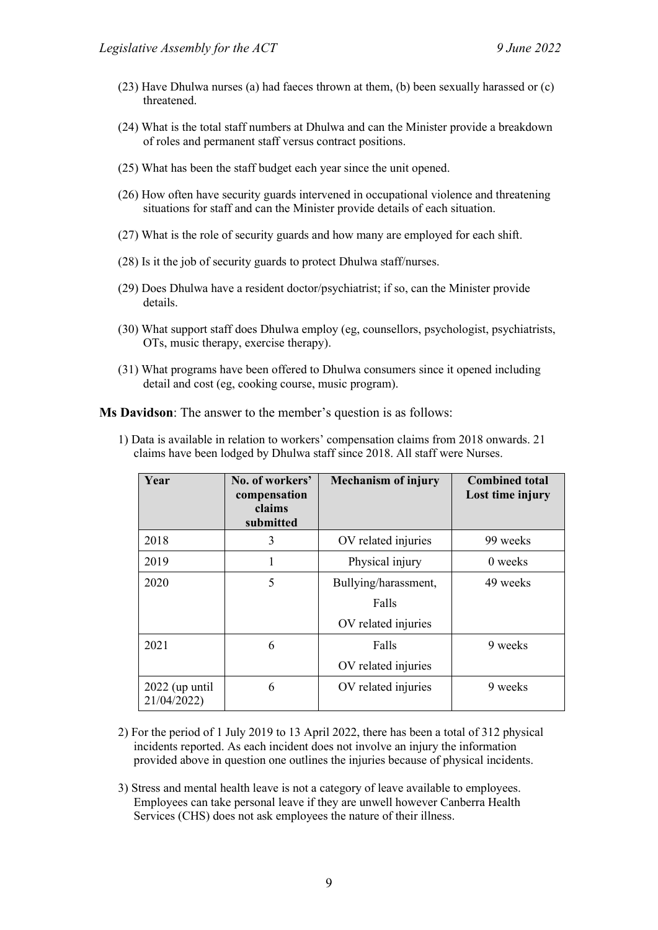- (23) Have Dhulwa nurses (a) had faeces thrown at them, (b) been sexually harassed or (c) threatened.
- (24) What is the total staff numbers at Dhulwa and can the Minister provide a breakdown of roles and permanent staff versus contract positions.
- (25) What has been the staff budget each year since the unit opened.
- (26) How often have security guards intervened in occupational violence and threatening situations for staff and can the Minister provide details of each situation.
- (27) What is the role of security guards and how many are employed for each shift.
- (28) Is it the job of security guards to protect Dhulwa staff/nurses.
- (29) Does Dhulwa have a resident doctor/psychiatrist; if so, can the Minister provide details.
- (30) What support staff does Dhulwa employ (eg, counsellors, psychologist, psychiatrists, OTs, music therapy, exercise therapy).
- (31) What programs have been offered to Dhulwa consumers since it opened including detail and cost (eg, cooking course, music program).

**Ms Davidson**: The answer to the member's question is as follows:

| 1) Data is available in relation to workers' compensation claims from 2018 onwards. 21 |
|----------------------------------------------------------------------------------------|
| claims have been lodged by Dhulwa staff since 2018. All staff were Nurses.             |
|                                                                                        |

| Year                            | No. of workers'<br>compensation<br>claims<br>submitted | <b>Mechanism of injury</b> | <b>Combined total</b><br>Lost time injury |
|---------------------------------|--------------------------------------------------------|----------------------------|-------------------------------------------|
| 2018                            | 3                                                      | OV related injuries        | 99 weeks                                  |
| 2019                            |                                                        | Physical injury            | 0 weeks                                   |
| 2020                            | 5                                                      | Bullying/harassment,       | 49 weeks                                  |
|                                 |                                                        | Falls                      |                                           |
|                                 |                                                        | OV related injuries        |                                           |
| 2021                            | 6                                                      | Falls                      | 9 weeks                                   |
|                                 |                                                        | OV related injuries        |                                           |
| $2022$ (up until<br>21/04/2022) | 6                                                      | OV related injuries        | 9 weeks                                   |

- 2) For the period of 1 July 2019 to 13 April 2022, there has been a total of 312 physical incidents reported. As each incident does not involve an injury the information provided above in question one outlines the injuries because of physical incidents.
- 3) Stress and mental health leave is not a category of leave available to employees. Employees can take personal leave if they are unwell however Canberra Health Services (CHS) does not ask employees the nature of their illness.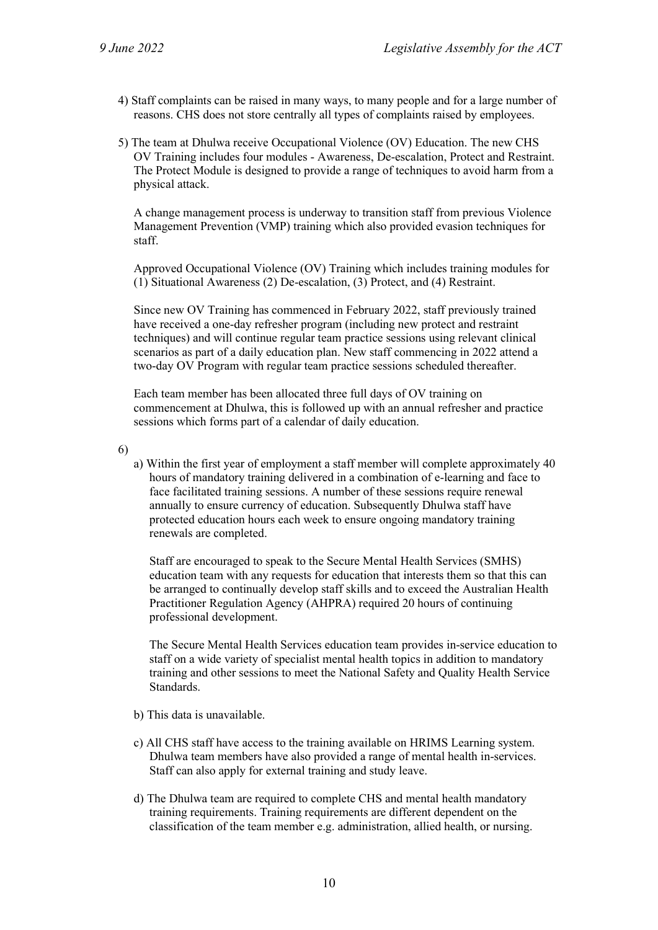- 4) Staff complaints can be raised in many ways, to many people and for a large number of reasons. CHS does not store centrally all types of complaints raised by employees.
- 5) The team at Dhulwa receive Occupational Violence (OV) Education. The new CHS OV Training includes four modules - Awareness, De-escalation, Protect and Restraint. The Protect Module is designed to provide a range of techniques to avoid harm from a physical attack.

A change management process is underway to transition staff from previous Violence Management Prevention (VMP) training which also provided evasion techniques for staff.

Approved Occupational Violence (OV) Training which includes training modules for (1) Situational Awareness (2) De-escalation, (3) Protect, and (4) Restraint.

Since new OV Training has commenced in February 2022, staff previously trained have received a one-day refresher program (including new protect and restraint techniques) and will continue regular team practice sessions using relevant clinical scenarios as part of a daily education plan. New staff commencing in 2022 attend a two-day OV Program with regular team practice sessions scheduled thereafter.

Each team member has been allocated three full days of OV training on commencement at Dhulwa, this is followed up with an annual refresher and practice sessions which forms part of a calendar of daily education.

6)

a) Within the first year of employment a staff member will complete approximately 40 hours of mandatory training delivered in a combination of e-learning and face to face facilitated training sessions. A number of these sessions require renewal annually to ensure currency of education. Subsequently Dhulwa staff have protected education hours each week to ensure ongoing mandatory training renewals are completed.

Staff are encouraged to speak to the Secure Mental Health Services (SMHS) education team with any requests for education that interests them so that this can be arranged to continually develop staff skills and to exceed the Australian Health Practitioner Regulation Agency (AHPRA) required 20 hours of continuing professional development.

The Secure Mental Health Services education team provides in-service education to staff on a wide variety of specialist mental health topics in addition to mandatory training and other sessions to meet the National Safety and Quality Health Service Standards.

- b) This data is unavailable.
- c) All CHS staff have access to the training available on HRIMS Learning system. Dhulwa team members have also provided a range of mental health in-services. Staff can also apply for external training and study leave.
- d) The Dhulwa team are required to complete CHS and mental health mandatory training requirements. Training requirements are different dependent on the classification of the team member e.g. administration, allied health, or nursing.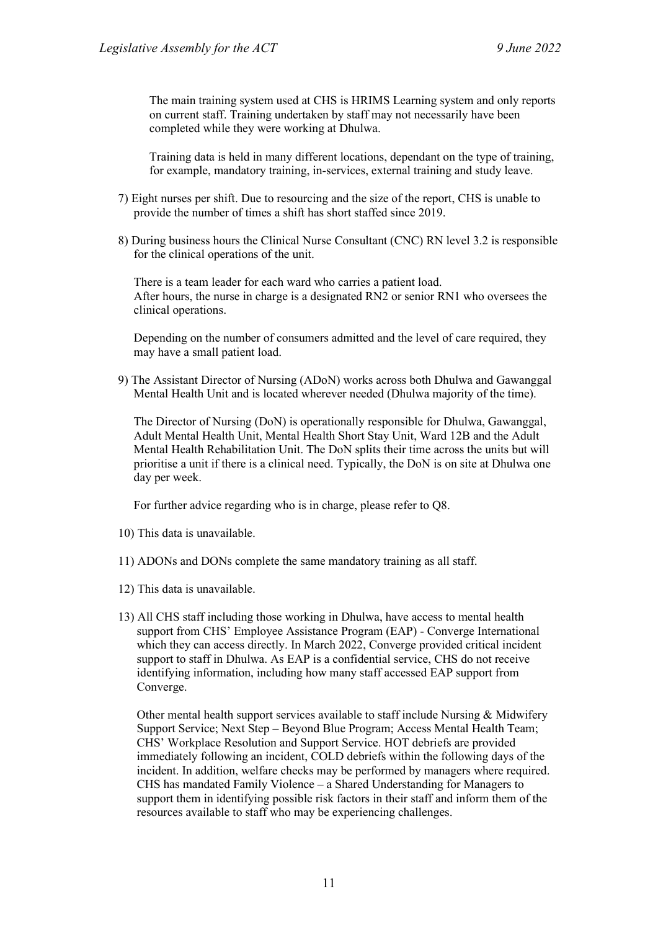The main training system used at CHS is HRIMS Learning system and only reports on current staff. Training undertaken by staff may not necessarily have been completed while they were working at Dhulwa.

Training data is held in many different locations, dependant on the type of training, for example, mandatory training, in-services, external training and study leave.

- 7) Eight nurses per shift. Due to resourcing and the size of the report, CHS is unable to provide the number of times a shift has short staffed since 2019.
- 8) During business hours the Clinical Nurse Consultant (CNC) RN level 3.2 is responsible for the clinical operations of the unit.

There is a team leader for each ward who carries a patient load. After hours, the nurse in charge is a designated RN2 or senior RN1 who oversees the clinical operations.

Depending on the number of consumers admitted and the level of care required, they may have a small patient load.

9) The Assistant Director of Nursing (ADoN) works across both Dhulwa and Gawanggal Mental Health Unit and is located wherever needed (Dhulwa majority of the time).

The Director of Nursing (DoN) is operationally responsible for Dhulwa, Gawanggal, Adult Mental Health Unit, Mental Health Short Stay Unit, Ward 12B and the Adult Mental Health Rehabilitation Unit. The DoN splits their time across the units but will prioritise a unit if there is a clinical need. Typically, the DoN is on site at Dhulwa one day per week.

For further advice regarding who is in charge, please refer to Q8.

- 10) This data is unavailable.
- 11) ADONs and DONs complete the same mandatory training as all staff.
- 12) This data is unavailable.
- 13) All CHS staff including those working in Dhulwa, have access to mental health support from CHS' Employee Assistance Program (EAP) - Converge International which they can access directly. In March 2022, Converge provided critical incident support to staff in Dhulwa. As EAP is a confidential service, CHS do not receive identifying information, including how many staff accessed EAP support from Converge.

Other mental health support services available to staff include Nursing & Midwifery Support Service; Next Step – Beyond Blue Program; Access Mental Health Team; CHS' Workplace Resolution and Support Service. HOT debriefs are provided immediately following an incident, COLD debriefs within the following days of the incident. In addition, welfare checks may be performed by managers where required. CHS has mandated Family Violence – a Shared Understanding for Managers to support them in identifying possible risk factors in their staff and inform them of the resources available to staff who may be experiencing challenges.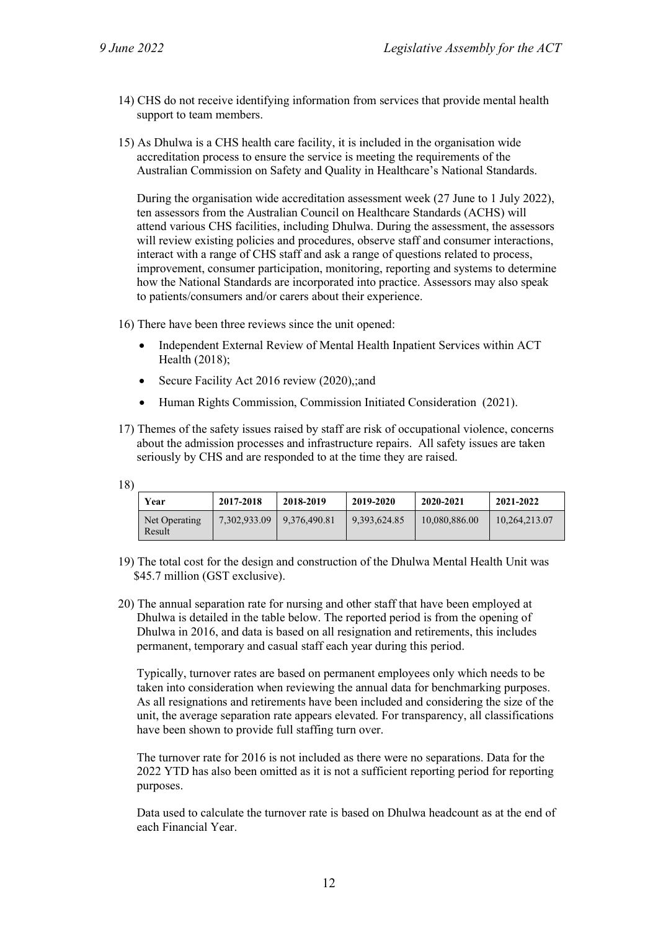- 14) CHS do not receive identifying information from services that provide mental health support to team members.
- 15) As Dhulwa is a CHS health care facility, it is included in the organisation wide accreditation process to ensure the service is meeting the requirements of the Australian Commission on Safety and Quality in Healthcare's National Standards.

During the organisation wide accreditation assessment week (27 June to 1 July 2022), ten assessors from the Australian Council on Healthcare Standards (ACHS) will attend various CHS facilities, including Dhulwa. During the assessment, the assessors will review existing policies and procedures, observe staff and consumer interactions, interact with a range of CHS staff and ask a range of questions related to process, improvement, consumer participation, monitoring, reporting and systems to determine how the National Standards are incorporated into practice. Assessors may also speak to patients/consumers and/or carers about their experience.

- 16) There have been three reviews since the unit opened:
	- Independent External Review of Mental Health Inpatient Services within ACT Health (2018);
	- Secure Facility Act 2016 review (2020),;and
	- Human Rights Commission, Commission Initiated Consideration (2021).
- 17) Themes of the safety issues raised by staff are risk of occupational violence, concerns about the admission processes and infrastructure repairs. All safety issues are taken seriously by CHS and are responded to at the time they are raised.

| ×<br>I |
|--------|
|--------|

| Year                    | 2017-2018    | 2018-2019    | 2019-2020    | 2020-2021     | 2021-2022     |
|-------------------------|--------------|--------------|--------------|---------------|---------------|
| Net Operating<br>Result | 7.302.933.09 | 9.376.490.81 | 9.393.624.85 | 10.080.886.00 | 10.264.213.07 |

- 19) The total cost for the design and construction of the Dhulwa Mental Health Unit was \$45.7 million (GST exclusive).
- 20) The annual separation rate for nursing and other staff that have been employed at Dhulwa is detailed in the table below. The reported period is from the opening of Dhulwa in 2016, and data is based on all resignation and retirements, this includes permanent, temporary and casual staff each year during this period.

Typically, turnover rates are based on permanent employees only which needs to be taken into consideration when reviewing the annual data for benchmarking purposes. As all resignations and retirements have been included and considering the size of the unit, the average separation rate appears elevated. For transparency, all classifications have been shown to provide full staffing turn over.

The turnover rate for 2016 is not included as there were no separations. Data for the 2022 YTD has also been omitted as it is not a sufficient reporting period for reporting purposes.

Data used to calculate the turnover rate is based on Dhulwa headcount as at the end of each Financial Year.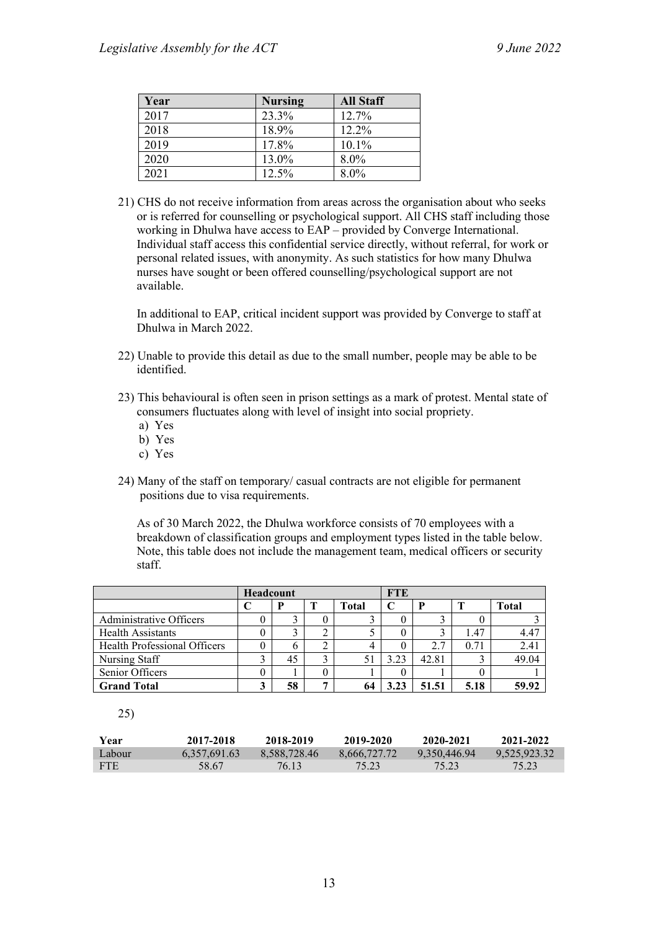| Year | <b>Nursing</b> | <b>All Staff</b> |
|------|----------------|------------------|
| 2017 | 23.3%          | 12.7%            |
| 2018 | 18.9%          | $12.2\%$         |
| 2019 | 17.8%          | $10.1\%$         |
| 2020 | 13.0%          | $8.0\%$          |
| 2021 | 12.5%          | 8.0%             |

21) CHS do not receive information from areas across the organisation about who seeks or is referred for counselling or psychological support. All CHS staff including those working in Dhulwa have access to EAP – provided by Converge International. Individual staff access this confidential service directly, without referral, for work or personal related issues, with anonymity. As such statistics for how many Dhulwa nurses have sought or been offered counselling/psychological support are not available.

In additional to EAP, critical incident support was provided by Converge to staff at Dhulwa in March 2022.

- 22) Unable to provide this detail as due to the small number, people may be able to be identified.
- 23) This behavioural is often seen in prison settings as a mark of protest. Mental state of consumers fluctuates along with level of insight into social propriety.
	- a) Yes
	- b) Yes
	- c) Yes
- 24) Many of the staff on temporary/ casual contracts are not eligible for permanent positions due to visa requirements.

As of 30 March 2022, the Dhulwa workforce consists of 70 employees with a breakdown of classification groups and employment types listed in the table below. Note, this table does not include the management team, medical officers or security staff.

|                              | Headcount |   |              | <b>FTE</b> |       |      |              |
|------------------------------|-----------|---|--------------|------------|-------|------|--------------|
|                              |           | т | <b>Total</b> |            | P     |      | <b>Total</b> |
| Administrative Officers      |           |   |              |            |       |      |              |
| <b>Health Assistants</b>     |           | ◠ |              |            |       | 1.47 | 4.47         |
| Health Professional Officers |           | າ |              |            | 2.7   | 0.71 | 2.41         |
| Nursing Staff                | 45        | 3 |              | 3.23       | 42.81 |      | 49.04        |
| Senior Officers              |           |   |              |            |       |      |              |
| <b>Grand Total</b>           | 58        | − |              |            | 51.51 | 5.18 | 59.92        |

25)

| Year   | 2017-2018    | 2018-2019    | 2019-2020    | 2020-2021    | 2021-2022    |
|--------|--------------|--------------|--------------|--------------|--------------|
| Labour | 6.357.691.63 | 8.588.728.46 | 8,666,727.72 | 9.350.446.94 | 9,525,923.32 |
| - FTE  | 58.67        | 76.13        | 75.23        | 75.23        | 75.23        |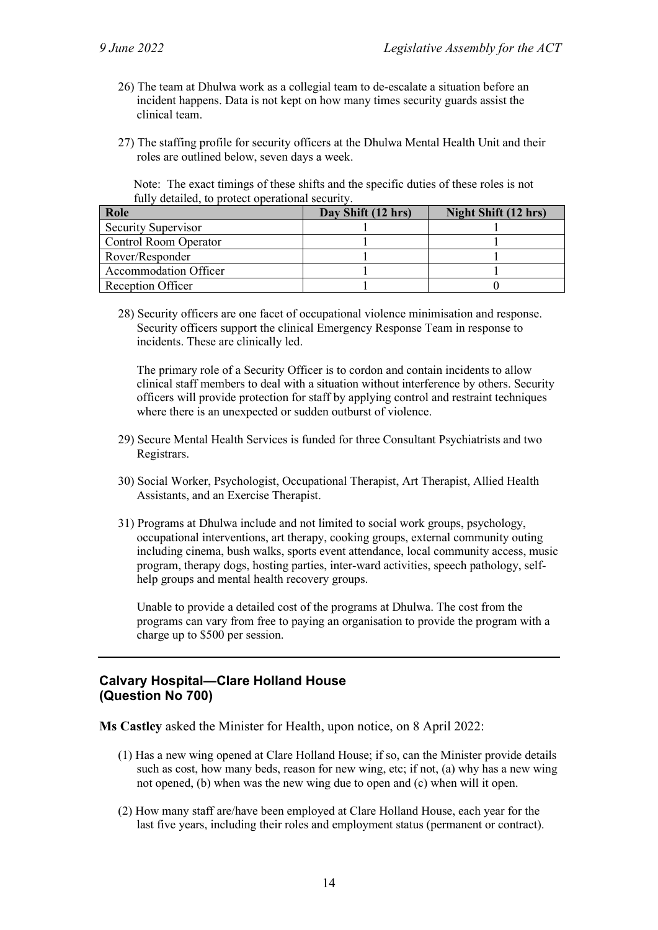- 26) The team at Dhulwa work as a collegial team to de-escalate a situation before an incident happens. Data is not kept on how many times security guards assist the clinical team.
- 27) The staffing profile for security officers at the Dhulwa Mental Health Unit and their roles are outlined below, seven days a week.

Note: The exact timings of these shifts and the specific duties of these roles is not fully detailed, to protect operational security.

| Role                         | Day Shift (12 hrs) | Night Shift (12 hrs) |
|------------------------------|--------------------|----------------------|
| <b>Security Supervisor</b>   |                    |                      |
| Control Room Operator        |                    |                      |
| Rover/Responder              |                    |                      |
| <b>Accommodation Officer</b> |                    |                      |
| Reception Officer            |                    |                      |

28) Security officers are one facet of occupational violence minimisation and response. Security officers support the clinical Emergency Response Team in response to incidents. These are clinically led.

The primary role of a Security Officer is to cordon and contain incidents to allow clinical staff members to deal with a situation without interference by others. Security officers will provide protection for staff by applying control and restraint techniques where there is an unexpected or sudden outburst of violence.

- 29) Secure Mental Health Services is funded for three Consultant Psychiatrists and two Registrars.
- 30) Social Worker, Psychologist, Occupational Therapist, Art Therapist, Allied Health Assistants, and an Exercise Therapist.
- 31) Programs at Dhulwa include and not limited to social work groups, psychology, occupational interventions, art therapy, cooking groups, external community outing including cinema, bush walks, sports event attendance, local community access, music program, therapy dogs, hosting parties, inter-ward activities, speech pathology, selfhelp groups and mental health recovery groups.

Unable to provide a detailed cost of the programs at Dhulwa. The cost from the programs can vary from free to paying an organisation to provide the program with a charge up to \$500 per session.

### **Calvary Hospital—Clare Holland House (Question No 700)**

**Ms Castley** asked the Minister for Health, upon notice, on 8 April 2022:

- (1) Has a new wing opened at Clare Holland House; if so, can the Minister provide details such as cost, how many beds, reason for new wing, etc; if not, (a) why has a new wing not opened, (b) when was the new wing due to open and (c) when will it open.
- (2) How many staff are/have been employed at Clare Holland House, each year for the last five years, including their roles and employment status (permanent or contract).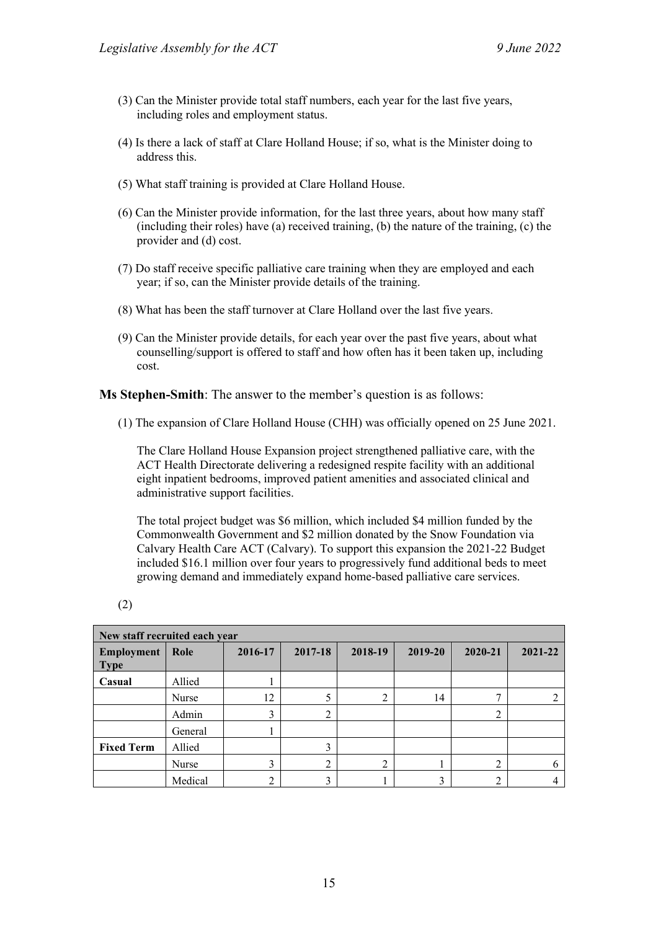- (3) Can the Minister provide total staff numbers, each year for the last five years, including roles and employment status.
- (4) Is there a lack of staff at Clare Holland House; if so, what is the Minister doing to address this.
- (5) What staff training is provided at Clare Holland House.
- (6) Can the Minister provide information, for the last three years, about how many staff (including their roles) have (a) received training, (b) the nature of the training, (c) the provider and (d) cost.
- (7) Do staff receive specific palliative care training when they are employed and each year; if so, can the Minister provide details of the training.
- (8) What has been the staff turnover at Clare Holland over the last five years.
- (9) Can the Minister provide details, for each year over the past five years, about what counselling/support is offered to staff and how often has it been taken up, including cost.

**Ms Stephen-Smith**: The answer to the member's question is as follows:

(1) The expansion of Clare Holland House (CHH) was officially opened on 25 June 2021.

The Clare Holland House Expansion project strengthened palliative care, with the ACT Health Directorate delivering a redesigned respite facility with an additional eight inpatient bedrooms, improved patient amenities and associated clinical and administrative support facilities.

The total project budget was \$6 million, which included \$4 million funded by the Commonwealth Government and \$2 million donated by the Snow Foundation via Calvary Health Care ACT (Calvary). To support this expansion the 2021-22 Budget included \$16.1 million over four years to progressively fund additional beds to meet growing demand and immediately expand home-based palliative care services.

| New staff recruited each year    |         |         |         |                |         |              |         |
|----------------------------------|---------|---------|---------|----------------|---------|--------------|---------|
| <b>Employment</b><br><b>Type</b> | Role    | 2016-17 | 2017-18 | 2018-19        | 2019-20 | 2020-21      | 2021-22 |
| Casual                           | Allied  |         |         |                |         |              |         |
|                                  | Nurse   | 12      |         | ↑              | 14      | $\mathbf{r}$ |         |
|                                  | Admin   | 3       | ◠       |                |         | 2            |         |
|                                  | General | ш       |         |                |         |              |         |
| <b>Fixed Term</b>                | Allied  |         | っ       |                |         |              |         |
|                                  | Nurse   | 3       | ◠       | $\overline{2}$ |         | 2            |         |
|                                  | Medical | ◠       |         |                |         | ∍            |         |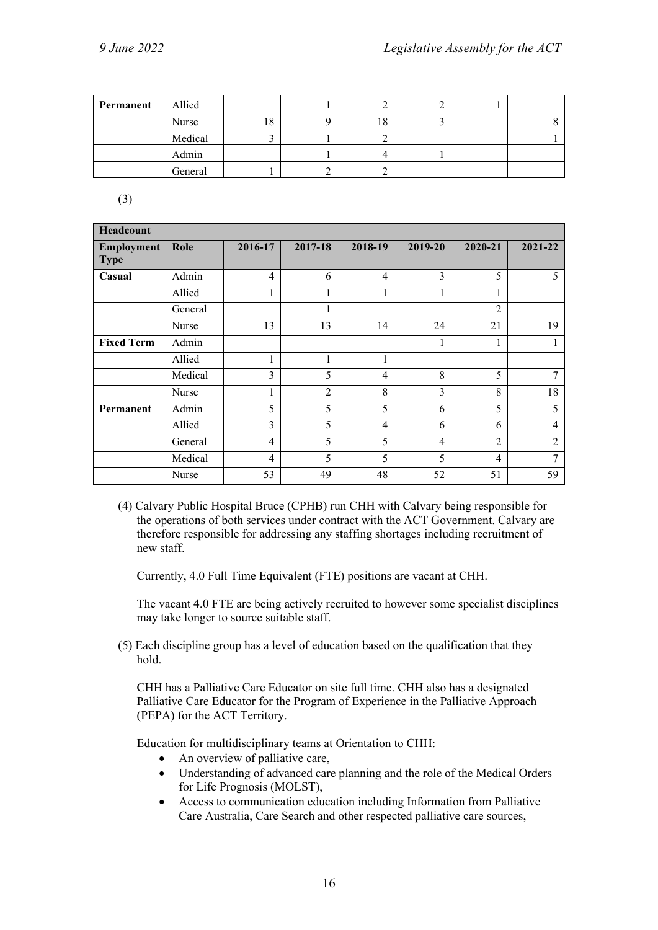| Permanent | Allied  |     |    |  |  |
|-----------|---------|-----|----|--|--|
|           | Nurse   | 18  | 18 |  |  |
|           | Medical | - 1 |    |  |  |
|           | Admin   |     |    |  |  |
|           | General |     |    |  |  |

(3)

| Headcount                 |         |                |                |                |                |                |                |
|---------------------------|---------|----------------|----------------|----------------|----------------|----------------|----------------|
| Employment<br><b>Type</b> | Role    | 2016-17        | 2017-18        | 2018-19        | 2019-20        | 2020-21        | 2021-22        |
| Casual                    | Admin   | $\overline{4}$ | 6              | $\overline{4}$ | 3              | 5              | 5              |
|                           | Allied  | 1              | 1              | 1              | 1              | 1              |                |
|                           | General |                |                |                |                | $\overline{2}$ |                |
|                           | Nurse   | 13             | 13             | 14             | 24             | 21             | 19             |
| <b>Fixed Term</b>         | Admin   |                |                |                | 1              | 1              |                |
|                           | Allied  | 1              | 1              | 1              |                |                |                |
|                           | Medical | 3              | 5              | $\overline{4}$ | 8              | 5              | 7              |
|                           | Nurse   | 1              | $\overline{2}$ | 8              | 3              | 8              | 18             |
| Permanent                 | Admin   | 5              | 5              | 5              | 6              | 5              | 5              |
|                           | Allied  | 3              | 5              | 4              | 6              | 6              | 4              |
|                           | General | $\overline{4}$ | 5              | 5              | $\overline{4}$ | $\overline{2}$ | $\overline{2}$ |
|                           | Medical | $\overline{4}$ | 5              | 5              | 5              | 4              | 7              |
|                           | Nurse   | 53             | 49             | 48             | 52             | 51             | 59             |

(4) Calvary Public Hospital Bruce (CPHB) run CHH with Calvary being responsible for the operations of both services under contract with the ACT Government. Calvary are therefore responsible for addressing any staffing shortages including recruitment of new staff.

Currently, 4.0 Full Time Equivalent (FTE) positions are vacant at CHH.

The vacant 4.0 FTE are being actively recruited to however some specialist disciplines may take longer to source suitable staff.

(5) Each discipline group has a level of education based on the qualification that they hold.

CHH has a Palliative Care Educator on site full time. CHH also has a designated Palliative Care Educator for the Program of Experience in the Palliative Approach (PEPA) for the ACT Territory.

Education for multidisciplinary teams at Orientation to CHH:

- An overview of palliative care,
- Understanding of advanced care planning and the role of the Medical Orders for Life Prognosis (MOLST),
- Access to communication education including Information from Palliative Care Australia, Care Search and other respected palliative care sources,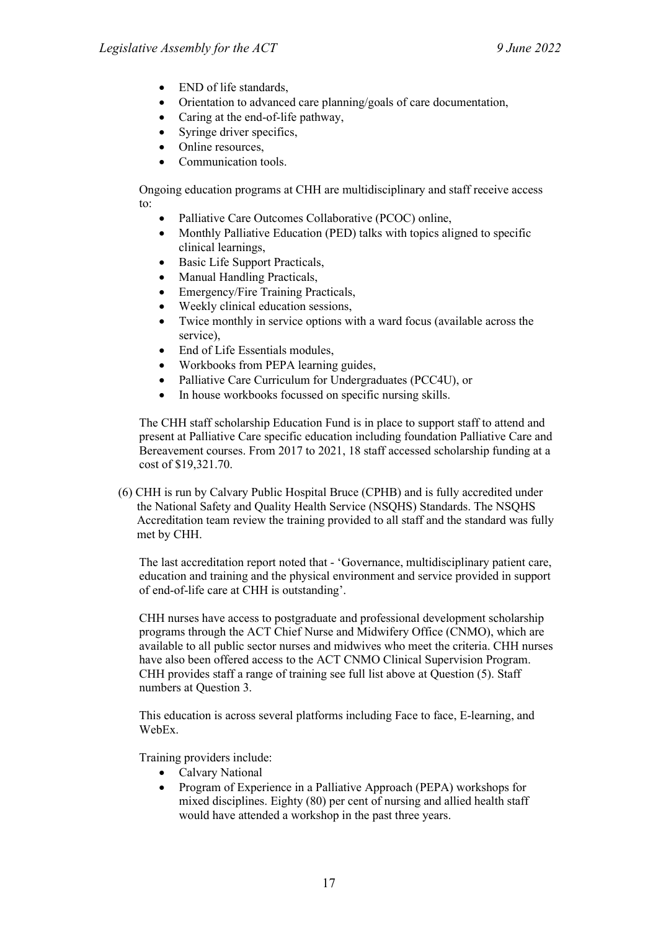- END of life standards,
- Orientation to advanced care planning/goals of care documentation,
- Caring at the end-of-life pathway,
- Syringe driver specifics,
- Online resources.
- Communication tools.

Ongoing education programs at CHH are multidisciplinary and staff receive access to:

- Palliative Care Outcomes Collaborative (PCOC) online,
- Monthly Palliative Education (PED) talks with topics aligned to specific clinical learnings,
- Basic Life Support Practicals,
- Manual Handling Practicals,
- Emergency/Fire Training Practicals,
- Weekly clinical education sessions,
- Twice monthly in service options with a ward focus (available across the service),
- End of Life Essentials modules,
- Workbooks from PEPA learning guides,
- Palliative Care Curriculum for Undergraduates (PCC4U), or
- In house workbooks focussed on specific nursing skills.

The CHH staff scholarship Education Fund is in place to support staff to attend and present at Palliative Care specific education including foundation Palliative Care and Bereavement courses. From 2017 to 2021, 18 staff accessed scholarship funding at a cost of \$19,321.70.

(6) CHH is run by Calvary Public Hospital Bruce (CPHB) and is fully accredited under the National Safety and Quality Health Service (NSQHS) Standards. The NSQHS Accreditation team review the training provided to all staff and the standard was fully met by CHH.

The last accreditation report noted that - 'Governance, multidisciplinary patient care, education and training and the physical environment and service provided in support of end-of-life care at CHH is outstanding'.

CHH nurses have access to postgraduate and professional development scholarship programs through the ACT Chief Nurse and Midwifery Office (CNMO), which are available to all public sector nurses and midwives who meet the criteria. CHH nurses have also been offered access to the ACT CNMO Clinical Supervision Program. CHH provides staff a range of training see full list above at Question (5). Staff numbers at Question 3.

This education is across several platforms including Face to face, E-learning, and WebEx.

Training providers include:

- Calvary National
- Program of Experience in a Palliative Approach (PEPA) workshops for mixed disciplines. Eighty (80) per cent of nursing and allied health staff would have attended a workshop in the past three years.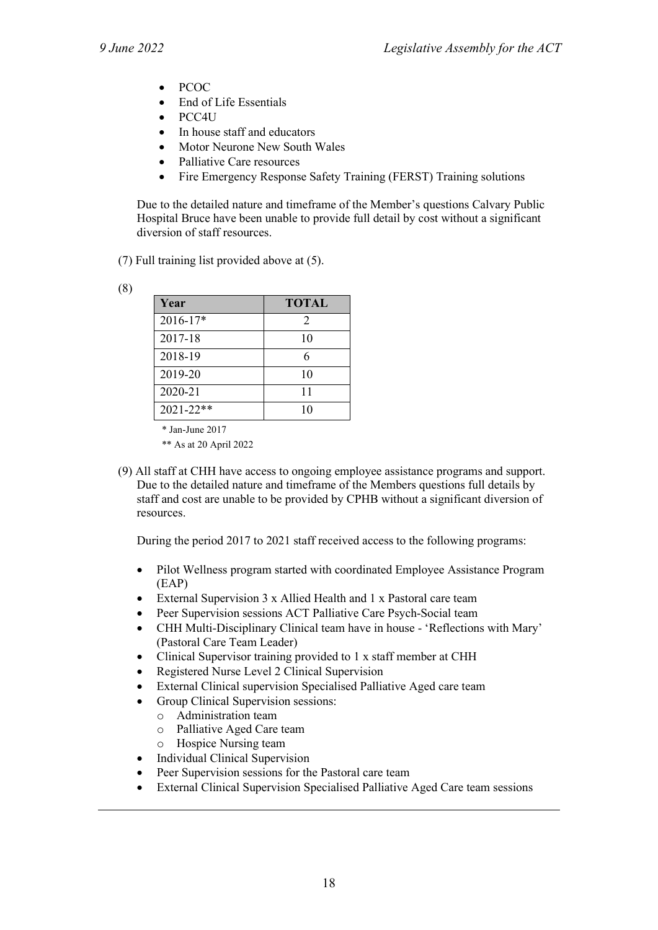- PCOC
- End of Life Essentials
- PCC4U
- In house staff and educators
- Motor Neurone New South Wales
- Palliative Care resources
- Fire Emergency Response Safety Training (FERST) Training solutions

Due to the detailed nature and timeframe of the Member's questions Calvary Public Hospital Bruce have been unable to provide full detail by cost without a significant diversion of staff resources.

- (7) Full training list provided above at (5).
- (8)

| Year          | <b>TOTAL</b>  |
|---------------|---------------|
| $2016 - 17*$  | $\mathcal{D}$ |
| 2017-18       | 10            |
| 2018-19       | 6             |
| 2019-20       | 10            |
| 2020-21       | 11            |
| $2021 - 22**$ | 10            |

\* Jan-June 2017

\*\* As at 20 April 2022

(9) All staff at CHH have access to ongoing employee assistance programs and support. Due to the detailed nature and timeframe of the Members questions full details by staff and cost are unable to be provided by CPHB without a significant diversion of resources.

During the period 2017 to 2021 staff received access to the following programs:

- Pilot Wellness program started with coordinated Employee Assistance Program (EAP)
- External Supervision 3 x Allied Health and 1 x Pastoral care team
- Peer Supervision sessions ACT Palliative Care Psych-Social team
- CHH Multi-Disciplinary Clinical team have in house 'Reflections with Mary' (Pastoral Care Team Leader)
- Clinical Supervisor training provided to 1 x staff member at CHH
- Registered Nurse Level 2 Clinical Supervision
- External Clinical supervision Specialised Palliative Aged care team
- Group Clinical Supervision sessions:
	- o Administration team
	- Palliative Aged Care team
	- o Hospice Nursing team
- Individual Clinical Supervision
- Peer Supervision sessions for the Pastoral care team
- External Clinical Supervision Specialised Palliative Aged Care team sessions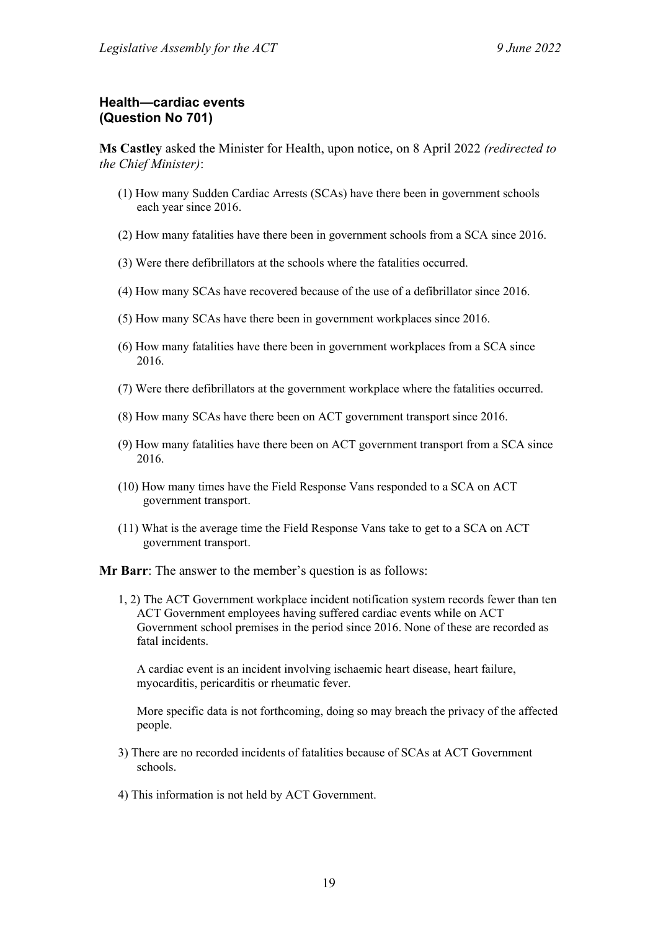### **Health—cardiac events (Question No 701)**

**Ms Castley** asked the Minister for Health, upon notice, on 8 April 2022 *(redirected to the Chief Minister)*:

- (1) How many Sudden Cardiac Arrests (SCAs) have there been in government schools each year since 2016.
- (2) How many fatalities have there been in government schools from a SCA since 2016.
- (3) Were there defibrillators at the schools where the fatalities occurred.
- (4) How many SCAs have recovered because of the use of a defibrillator since 2016.
- (5) How many SCAs have there been in government workplaces since 2016.
- (6) How many fatalities have there been in government workplaces from a SCA since 2016.
- (7) Were there defibrillators at the government workplace where the fatalities occurred.
- (8) How many SCAs have there been on ACT government transport since 2016.
- (9) How many fatalities have there been on ACT government transport from a SCA since 2016.
- (10) How many times have the Field Response Vans responded to a SCA on ACT government transport.
- (11) What is the average time the Field Response Vans take to get to a SCA on ACT government transport.

**Mr Barr**: The answer to the member's question is as follows:

1, 2) The ACT Government workplace incident notification system records fewer than ten ACT Government employees having suffered cardiac events while on ACT Government school premises in the period since 2016. None of these are recorded as fatal incidents.

A cardiac event is an incident involving ischaemic heart disease, heart failure, myocarditis, pericarditis or rheumatic fever.

More specific data is not forthcoming, doing so may breach the privacy of the affected people.

- 3) There are no recorded incidents of fatalities because of SCAs at ACT Government schools.
- 4) This information is not held by ACT Government.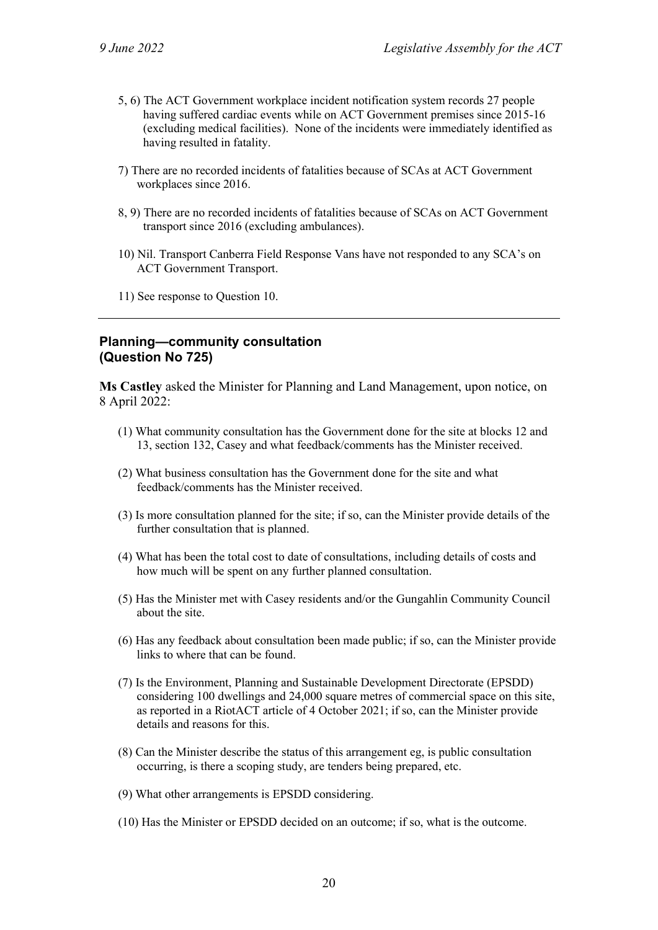- 5, 6) The ACT Government workplace incident notification system records 27 people having suffered cardiac events while on ACT Government premises since 2015-16 (excluding medical facilities). None of the incidents were immediately identified as having resulted in fatality.
- 7) There are no recorded incidents of fatalities because of SCAs at ACT Government workplaces since 2016.
- 8, 9) There are no recorded incidents of fatalities because of SCAs on ACT Government transport since 2016 (excluding ambulances).
- 10) Nil. Transport Canberra Field Response Vans have not responded to any SCA's on ACT Government Transport.
- 11) See response to Question 10.

# **Planning—community consultation (Question No 725)**

**Ms Castley** asked the Minister for Planning and Land Management, upon notice, on 8 April 2022:

- (1) What community consultation has the Government done for the site at blocks 12 and 13, section 132, Casey and what feedback/comments has the Minister received.
- (2) What business consultation has the Government done for the site and what feedback/comments has the Minister received.
- (3) Is more consultation planned for the site; if so, can the Minister provide details of the further consultation that is planned.
- (4) What has been the total cost to date of consultations, including details of costs and how much will be spent on any further planned consultation.
- (5) Has the Minister met with Casey residents and/or the Gungahlin Community Council about the site.
- (6) Has any feedback about consultation been made public; if so, can the Minister provide links to where that can be found.
- (7) Is the Environment, Planning and Sustainable Development Directorate (EPSDD) considering 100 dwellings and 24,000 square metres of commercial space on this site, as reported in a RiotACT article of 4 October 2021; if so, can the Minister provide details and reasons for this.
- (8) Can the Minister describe the status of this arrangement eg, is public consultation occurring, is there a scoping study, are tenders being prepared, etc.
- (9) What other arrangements is EPSDD considering.
- (10) Has the Minister or EPSDD decided on an outcome; if so, what is the outcome.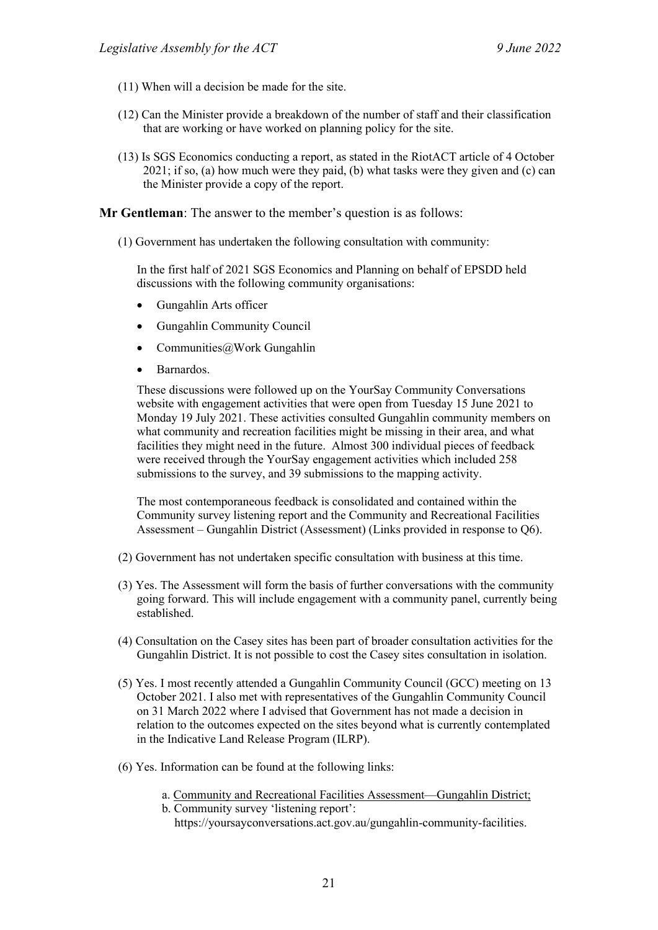- (11) When will a decision be made for the site.
- (12) Can the Minister provide a breakdown of the number of staff and their classification that are working or have worked on planning policy for the site.
- (13) Is SGS Economics conducting a report, as stated in the RiotACT article of 4 October 2021; if so, (a) how much were they paid, (b) what tasks were they given and (c) can the Minister provide a copy of the report.

**Mr Gentleman**: The answer to the member's question is as follows:

(1) Government has undertaken the following consultation with community:

In the first half of 2021 SGS Economics and Planning on behalf of EPSDD held discussions with the following community organisations:

- Gungahlin Arts officer
- Gungahlin Community Council
- Communities@Work Gungahlin
- Barnardos.

These discussions were followed up on the YourSay Community Conversations website with engagement activities that were open from Tuesday 15 June 2021 to Monday 19 July 2021. These activities consulted Gungahlin community members on what community and recreation facilities might be missing in their area, and what facilities they might need in the future. Almost 300 individual pieces of feedback were received through the YourSay engagement activities which included 258 submissions to the survey, and 39 submissions to the mapping activity.

The most contemporaneous feedback is consolidated and contained within the Community survey listening report and the Community and Recreational Facilities Assessment – Gungahlin District (Assessment) (Links provided in response to Q6).

- (2) Government has not undertaken specific consultation with business at this time.
- (3) Yes. The Assessment will form the basis of further conversations with the community going forward. This will include engagement with a community panel, currently being established.
- (4) Consultation on the Casey sites has been part of broader consultation activities for the Gungahlin District. It is not possible to cost the Casey sites consultation in isolation.
- (5) Yes. I most recently attended a Gungahlin Community Council (GCC) meeting on 13 October 2021. I also met with representatives of the Gungahlin Community Council on 31 March 2022 where I advised that Government has not made a decision in relation to the outcomes expected on the sites beyond what is currently contemplated in the Indicative Land Release Program (ILRP).
- (6) Yes. Information can be found at the following links:
	- a. Community and Recreational Facilities Assessment—Gungahlin District;
	- b. Community survey 'listening report': https://yoursayconversations.act.gov.au/gungahlin-community-facilities.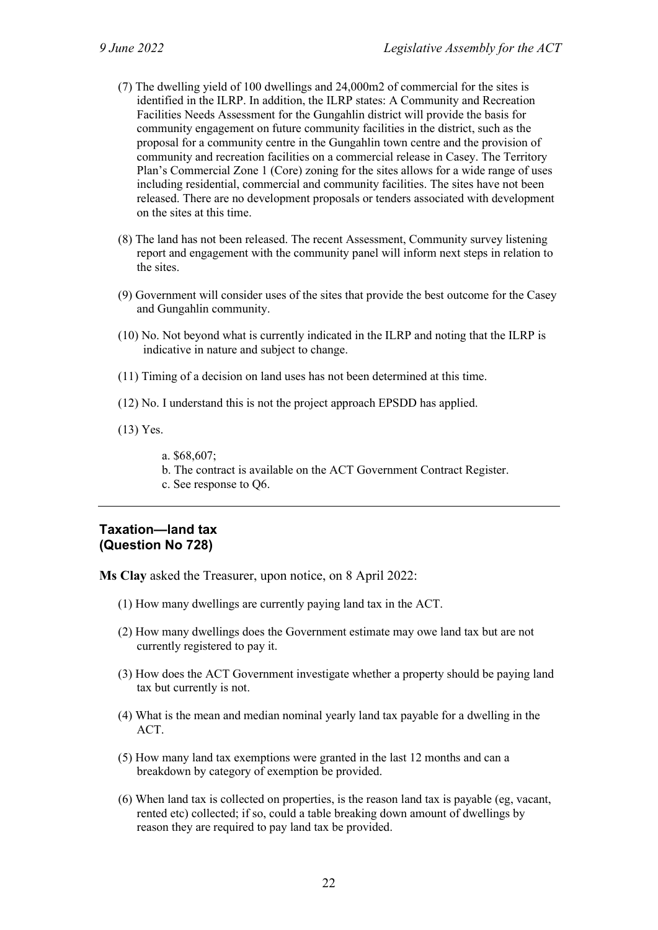- (7) The dwelling yield of 100 dwellings and 24,000m2 of commercial for the sites is identified in the ILRP. In addition, the ILRP states: A Community and Recreation Facilities Needs Assessment for the Gungahlin district will provide the basis for community engagement on future community facilities in the district, such as the proposal for a community centre in the Gungahlin town centre and the provision of community and recreation facilities on a commercial release in Casey. The Territory Plan's Commercial Zone 1 (Core) zoning for the sites allows for a wide range of uses including residential, commercial and community facilities. The sites have not been released. There are no development proposals or tenders associated with development on the sites at this time.
- (8) The land has not been released. The recent Assessment, Community survey listening report and engagement with the community panel will inform next steps in relation to the sites.
- (9) Government will consider uses of the sites that provide the best outcome for the Casey and Gungahlin community.
- (10) No. Not beyond what is currently indicated in the ILRP and noting that the ILRP is indicative in nature and subject to change.
- (11) Timing of a decision on land uses has not been determined at this time.
- (12) No. I understand this is not the project approach EPSDD has applied.
- (13) Yes.

a. \$68,607;

- b. The contract is available on the ACT Government Contract Register.
- c. See response to Q6.

### **Taxation—land tax (Question No 728)**

**Ms Clay** asked the Treasurer, upon notice, on 8 April 2022:

- (1) How many dwellings are currently paying land tax in the ACT.
- (2) How many dwellings does the Government estimate may owe land tax but are not currently registered to pay it.
- (3) How does the ACT Government investigate whether a property should be paying land tax but currently is not.
- (4) What is the mean and median nominal yearly land tax payable for a dwelling in the ACT.
- (5) How many land tax exemptions were granted in the last 12 months and can a breakdown by category of exemption be provided.
- (6) When land tax is collected on properties, is the reason land tax is payable (eg, vacant, rented etc) collected; if so, could a table breaking down amount of dwellings by reason they are required to pay land tax be provided.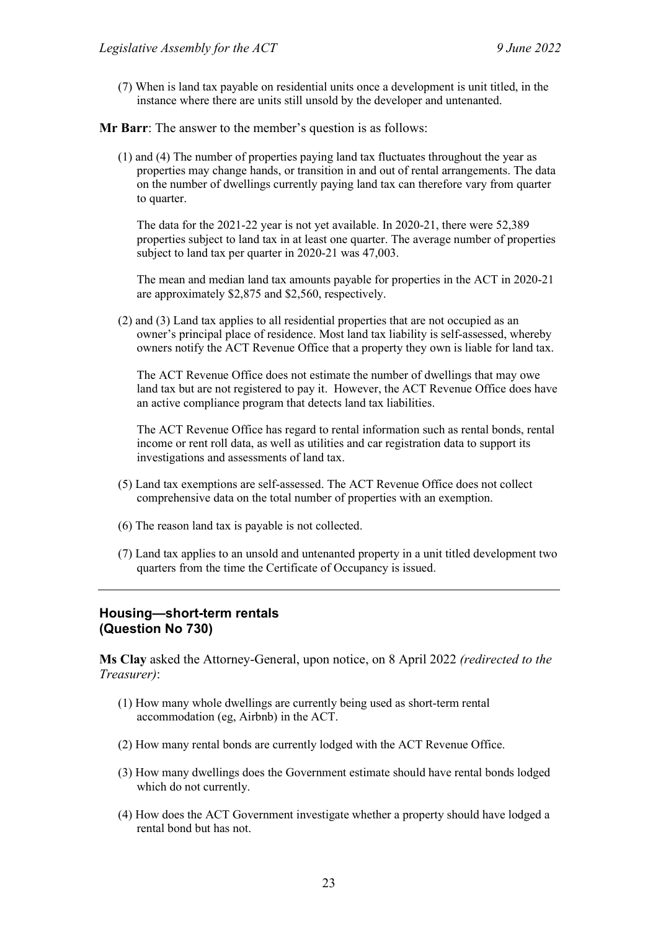(7) When is land tax payable on residential units once a development is unit titled, in the instance where there are units still unsold by the developer and untenanted.

**Mr Barr**: The answer to the member's question is as follows:

(1) and (4) The number of properties paying land tax fluctuates throughout the year as properties may change hands, or transition in and out of rental arrangements. The data on the number of dwellings currently paying land tax can therefore vary from quarter to quarter.

The data for the 2021-22 year is not yet available. In 2020-21, there were 52,389 properties subject to land tax in at least one quarter. The average number of properties subject to land tax per quarter in 2020-21 was 47,003.

The mean and median land tax amounts payable for properties in the ACT in 2020-21 are approximately \$2,875 and \$2,560, respectively.

(2) and (3) Land tax applies to all residential properties that are not occupied as an owner's principal place of residence. Most land tax liability is self-assessed, whereby owners notify the ACT Revenue Office that a property they own is liable for land tax.

The ACT Revenue Office does not estimate the number of dwellings that may owe land tax but are not registered to pay it. However, the ACT Revenue Office does have an active compliance program that detects land tax liabilities.

The ACT Revenue Office has regard to rental information such as rental bonds, rental income or rent roll data, as well as utilities and car registration data to support its investigations and assessments of land tax.

- (5) Land tax exemptions are self-assessed. The ACT Revenue Office does not collect comprehensive data on the total number of properties with an exemption.
- (6) The reason land tax is payable is not collected.
- (7) Land tax applies to an unsold and untenanted property in a unit titled development two quarters from the time the Certificate of Occupancy is issued.

### **Housing—short-term rentals (Question No 730)**

**Ms Clay** asked the Attorney-General, upon notice, on 8 April 2022 *(redirected to the Treasurer)*:

- (1) How many whole dwellings are currently being used as short-term rental accommodation (eg, Airbnb) in the ACT.
- (2) How many rental bonds are currently lodged with the ACT Revenue Office.
- (3) How many dwellings does the Government estimate should have rental bonds lodged which do not currently.
- (4) How does the ACT Government investigate whether a property should have lodged a rental bond but has not.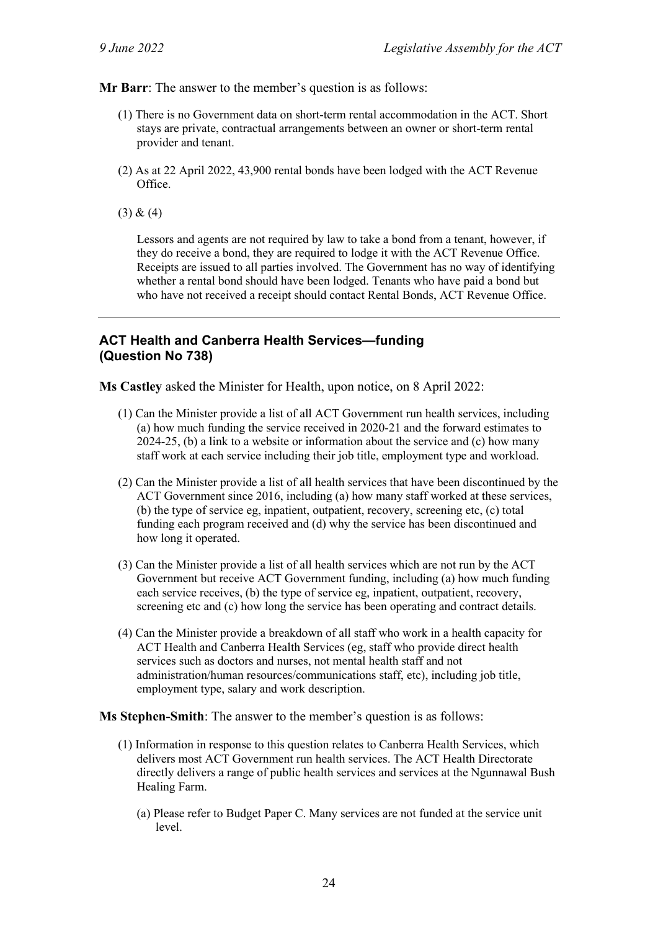### **Mr Barr**: The answer to the member's question is as follows:

- (1) There is no Government data on short-term rental accommodation in the ACT. Short stays are private, contractual arrangements between an owner or short-term rental provider and tenant.
- (2) As at 22 April 2022, 43,900 rental bonds have been lodged with the ACT Revenue Office.

 $(3) & (4)$ 

Lessors and agents are not required by law to take a bond from a tenant, however, if they do receive a bond, they are required to lodge it with the ACT Revenue Office. Receipts are issued to all parties involved. The Government has no way of identifying whether a rental bond should have been lodged. Tenants who have paid a bond but who have not received a receipt should contact Rental Bonds, ACT Revenue Office.

### **ACT Health and Canberra Health Services—funding (Question No 738)**

**Ms Castley** asked the Minister for Health, upon notice, on 8 April 2022:

- (1) Can the Minister provide a list of all ACT Government run health services, including (a) how much funding the service received in 2020-21 and the forward estimates to 2024-25, (b) a link to a website or information about the service and (c) how many staff work at each service including their job title, employment type and workload.
- (2) Can the Minister provide a list of all health services that have been discontinued by the ACT Government since 2016, including (a) how many staff worked at these services, (b) the type of service eg, inpatient, outpatient, recovery, screening etc, (c) total funding each program received and (d) why the service has been discontinued and how long it operated.
- (3) Can the Minister provide a list of all health services which are not run by the ACT Government but receive ACT Government funding, including (a) how much funding each service receives, (b) the type of service eg, inpatient, outpatient, recovery, screening etc and (c) how long the service has been operating and contract details.
- (4) Can the Minister provide a breakdown of all staff who work in a health capacity for ACT Health and Canberra Health Services (eg, staff who provide direct health services such as doctors and nurses, not mental health staff and not administration/human resources/communications staff, etc), including job title, employment type, salary and work description.

#### **Ms Stephen-Smith**: The answer to the member's question is as follows:

- (1) Information in response to this question relates to Canberra Health Services, which delivers most ACT Government run health services. The ACT Health Directorate directly delivers a range of public health services and services at the Ngunnawal Bush Healing Farm.
	- (a) Please refer to Budget Paper C. Many services are not funded at the service unit level.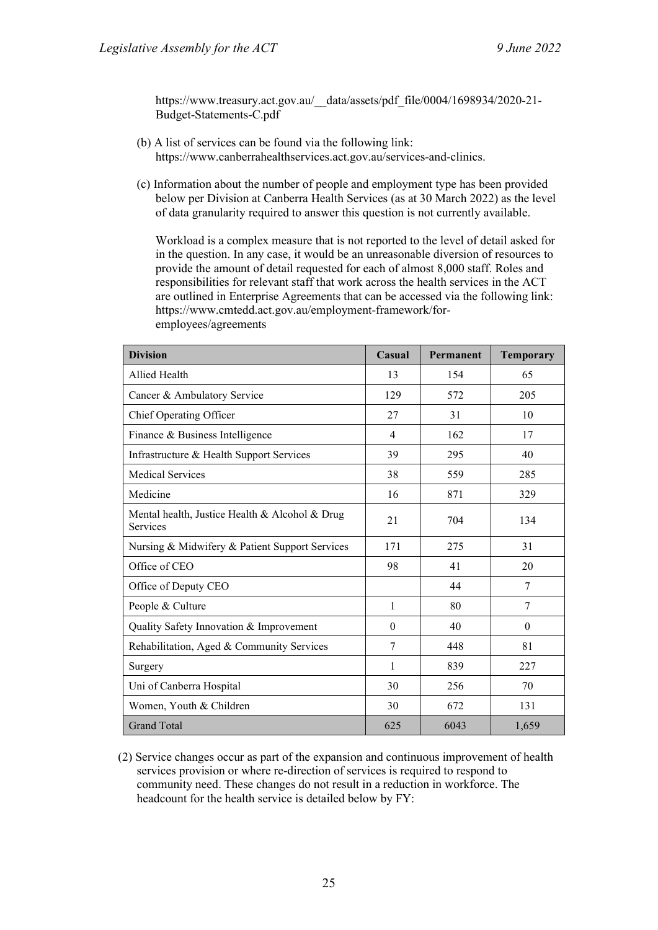https://www.treasury.act.gov.au/\_\_data/assets/pdf\_file/0004/1698934/2020-21- Budget-Statements-C.pdf

- (b) A list of services can be found via the following link: https://www.canberrahealthservices.act.gov.au/services-and-clinics.
- (c) Information about the number of people and employment type has been provided below per Division at Canberra Health Services (as at 30 March 2022) as the level of data granularity required to answer this question is not currently available.

Workload is a complex measure that is not reported to the level of detail asked for in the question. In any case, it would be an unreasonable diversion of resources to provide the amount of detail requested for each of almost 8,000 staff. Roles and responsibilities for relevant staff that work across the health services in the ACT are outlined in Enterprise Agreements that can be accessed via the following link: https://www.cmtedd.act.gov.au/employment-framework/foremployees/agreements

| <b>Division</b>                                            | Casual   | Permanent | <b>Temporary</b> |
|------------------------------------------------------------|----------|-----------|------------------|
| Allied Health                                              | 13       | 154       | 65               |
| Cancer & Ambulatory Service                                | 129      | 572       | 205              |
| Chief Operating Officer                                    | 27       | 31        | 10               |
| Finance & Business Intelligence                            | 4        | 162       | 17               |
| Infrastructure & Health Support Services                   | 39       | 295       | 40               |
| <b>Medical Services</b>                                    | 38       | 559       | 285              |
| Medicine                                                   | 16       | 871       | 329              |
| Mental health, Justice Health & Alcohol & Drug<br>Services | 21       | 704       | 134              |
| Nursing & Midwifery & Patient Support Services             | 171      | 275       | 31               |
| Office of CEO                                              | 98       | 41        | 20               |
| Office of Deputy CEO                                       |          | 44        | 7                |
| People & Culture                                           | 1        | 80        | 7                |
| Quality Safety Innovation & Improvement                    | $\theta$ | 40        | $\theta$         |
| Rehabilitation, Aged & Community Services                  | 7        | 448       | 81               |
| Surgery                                                    | 1        | 839       | 227              |
| Uni of Canberra Hospital                                   | 30       | 256       | 70               |
| Women, Youth & Children                                    | 30       | 672       | 131              |
| <b>Grand Total</b>                                         | 625      | 6043      | 1,659            |

(2) Service changes occur as part of the expansion and continuous improvement of health services provision or where re-direction of services is required to respond to community need. These changes do not result in a reduction in workforce. The headcount for the health service is detailed below by FY: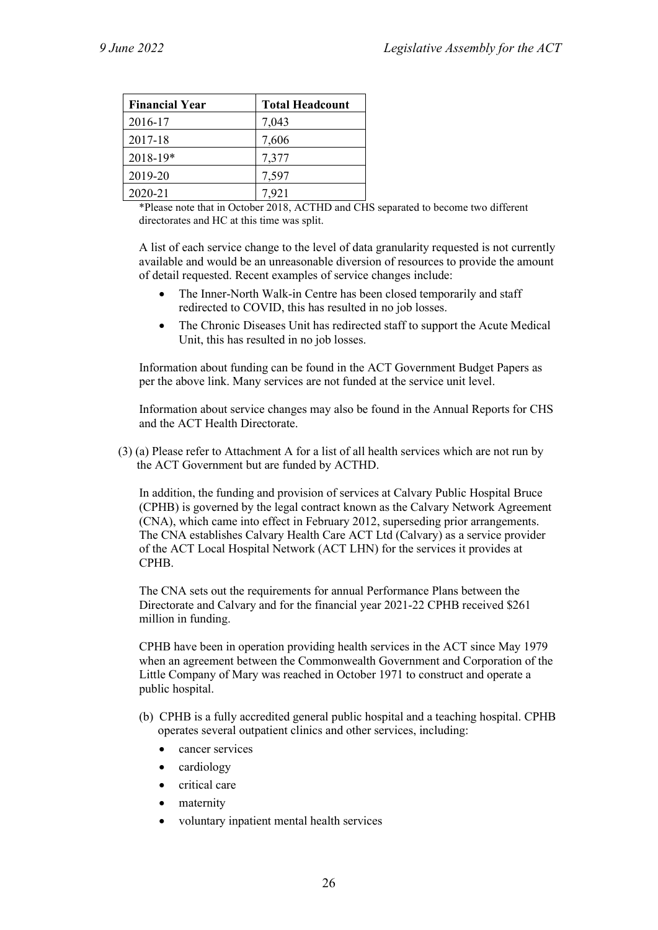| <b>Financial Year</b> | <b>Total Headcount</b> |
|-----------------------|------------------------|
| 2016-17               | 7,043                  |
| 2017-18               | 7,606                  |
| 2018-19*              | 7,377                  |
| 2019-20               | 7,597                  |
| 2020-21               | 7,921                  |

<sup>\*</sup>Please note that in October 2018, ACTHD and CHS separated to become two different directorates and HC at this time was split.

A list of each service change to the level of data granularity requested is not currently available and would be an unreasonable diversion of resources to provide the amount of detail requested. Recent examples of service changes include:

- The Inner-North Walk-in Centre has been closed temporarily and staff redirected to COVID, this has resulted in no job losses.
- The Chronic Diseases Unit has redirected staff to support the Acute Medical Unit, this has resulted in no job losses.

Information about funding can be found in the ACT Government Budget Papers as per the above link. Many services are not funded at the service unit level.

Information about service changes may also be found in the Annual Reports for CHS and the ACT Health Directorate.

(3) (a) Please refer to Attachment A for a list of all health services which are not run by the ACT Government but are funded by ACTHD.

In addition, the funding and provision of services at Calvary Public Hospital Bruce (CPHB) is governed by the legal contract known as the Calvary Network Agreement (CNA), which came into effect in February 2012, superseding prior arrangements. The CNA establishes Calvary Health Care ACT Ltd (Calvary) as a service provider of the ACT Local Hospital Network (ACT LHN) for the services it provides at CPHB.

The CNA sets out the requirements for annual Performance Plans between the Directorate and Calvary and for the financial year 2021-22 CPHB received \$261 million in funding.

CPHB have been in operation providing health services in the ACT since May 1979 when an agreement between the Commonwealth Government and Corporation of the Little Company of Mary was reached in October 1971 to construct and operate a public hospital.

- (b) CPHB is a fully accredited general public hospital and a teaching hospital. CPHB operates several outpatient clinics and other services, including:
	- cancer services
	- cardiology
	- critical care
	- maternity
	- voluntary inpatient mental health services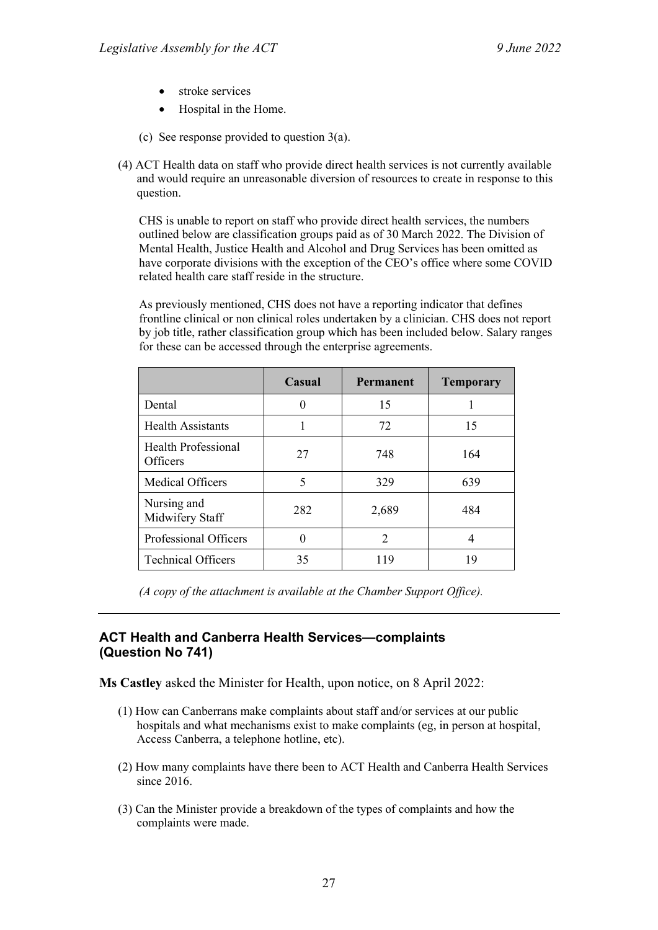- stroke services
- Hospital in the Home.
- (c) See response provided to question 3(a).
- (4) ACT Health data on staff who provide direct health services is not currently available and would require an unreasonable diversion of resources to create in response to this question.

CHS is unable to report on staff who provide direct health services, the numbers outlined below are classification groups paid as of 30 March 2022. The Division of Mental Health, Justice Health and Alcohol and Drug Services has been omitted as have corporate divisions with the exception of the CEO's office where some COVID related health care staff reside in the structure.

As previously mentioned, CHS does not have a reporting indicator that defines frontline clinical or non clinical roles undertaken by a clinician. CHS does not report by job title, rather classification group which has been included below. Salary ranges for these can be accessed through the enterprise agreements.

|                                        | Casual | Permanent | <b>Temporary</b> |
|----------------------------------------|--------|-----------|------------------|
| Dental                                 | 0      | 15        | 1                |
| <b>Health Assistants</b>               |        | 72        | 15               |
| <b>Health Professional</b><br>Officers | 27     | 748       | 164              |
| <b>Medical Officers</b>                | 5      | 329       | 639              |
| Nursing and<br>Midwifery Staff         | 282    | 2,689     | 484              |
| Professional Officers                  | 0      | 2         | 4                |
| <b>Technical Officers</b>              | 35     | 119       | 19               |

*(A copy of the attachment is available at the Chamber Support Office).*

### **ACT Health and Canberra Health Services—complaints (Question No 741)**

**Ms Castley** asked the Minister for Health, upon notice, on 8 April 2022:

- (1) How can Canberrans make complaints about staff and/or services at our public hospitals and what mechanisms exist to make complaints (eg, in person at hospital, Access Canberra, a telephone hotline, etc).
- (2) How many complaints have there been to ACT Health and Canberra Health Services since 2016.
- (3) Can the Minister provide a breakdown of the types of complaints and how the complaints were made.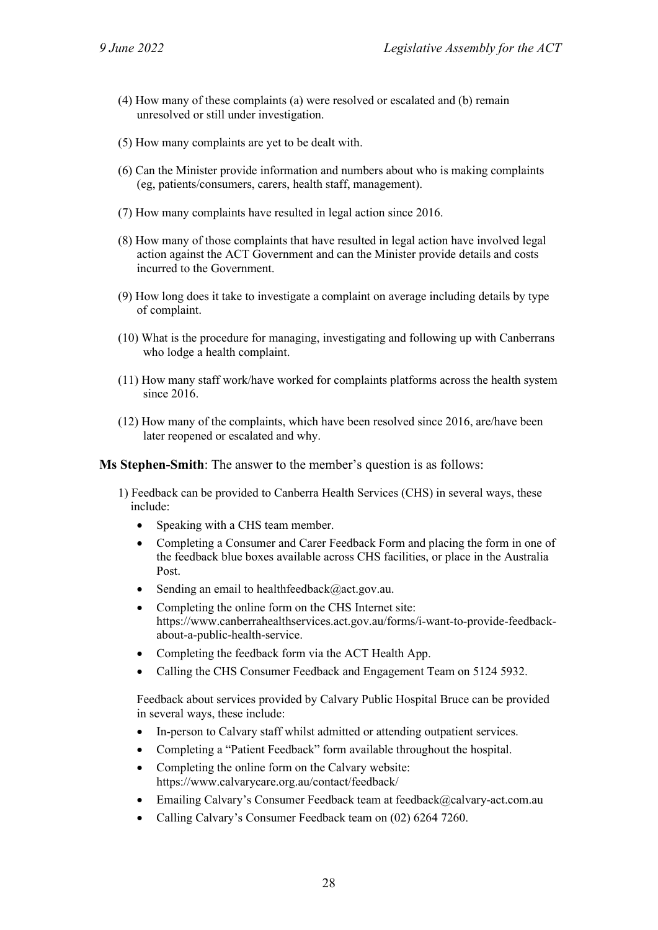- (4) How many of these complaints (a) were resolved or escalated and (b) remain unresolved or still under investigation.
- (5) How many complaints are yet to be dealt with.
- (6) Can the Minister provide information and numbers about who is making complaints (eg, patients/consumers, carers, health staff, management).
- (7) How many complaints have resulted in legal action since 2016.
- (8) How many of those complaints that have resulted in legal action have involved legal action against the ACT Government and can the Minister provide details and costs incurred to the Government.
- (9) How long does it take to investigate a complaint on average including details by type of complaint.
- (10) What is the procedure for managing, investigating and following up with Canberrans who lodge a health complaint.
- (11) How many staff work/have worked for complaints platforms across the health system since 2016.
- (12) How many of the complaints, which have been resolved since 2016, are/have been later reopened or escalated and why.

**Ms Stephen-Smith**: The answer to the member's question is as follows:

- 1) Feedback can be provided to Canberra Health Services (CHS) in several ways, these include:
	- Speaking with a CHS team member.
	- Completing a Consumer and Carer Feedback Form and placing the form in one of the feedback blue boxes available across CHS facilities, or place in the Australia Post.
	- Sending an email to healthfeedback@act.gov.au.
	- Completing the online form on the CHS Internet site: https://www.canberrahealthservices.act.gov.au/forms/i-want-to-provide-feedbackabout-a-public-health-service.
	- Completing the feedback form via the ACT Health App.
	- Calling the CHS Consumer Feedback and Engagement Team on 5124 5932.

Feedback about services provided by Calvary Public Hospital Bruce can be provided in several ways, these include:

- In-person to Calvary staff whilst admitted or attending outpatient services.
- Completing a "Patient Feedback" form available throughout the hospital.
- Completing the online form on the Calvary website: https://www.calvarycare.org.au/contact/feedback/
- Emailing Calvary's Consumer Feedback team at feedback@calvary-act.com.au
- Calling Calvary's Consumer Feedback team on (02) 6264 7260.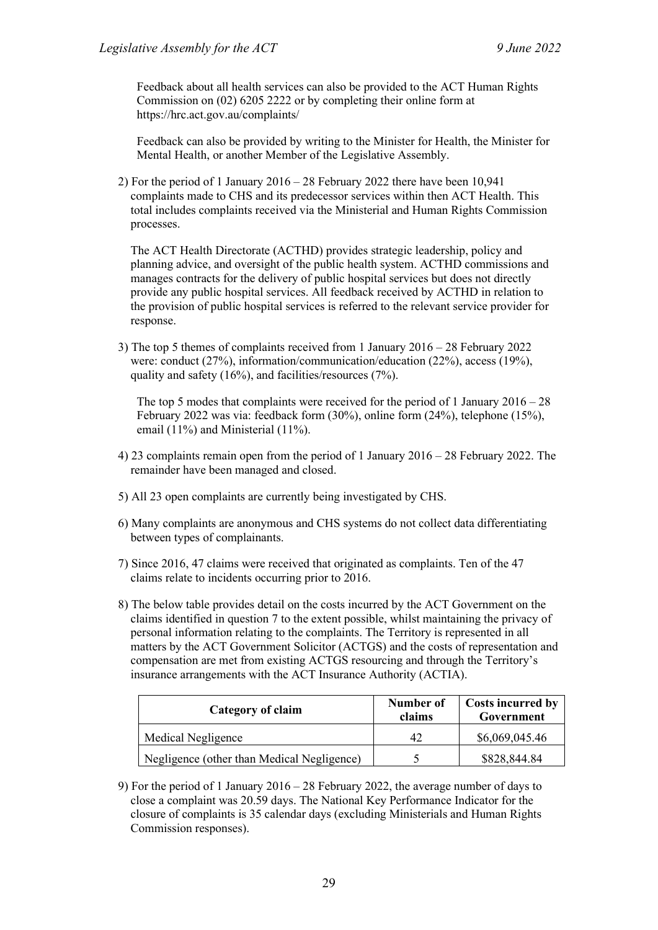Feedback about all health services can also be provided to the ACT Human Rights Commission on (02) 6205 2222 or by completing their online form at https://hrc.act.gov.au/complaints/

Feedback can also be provided by writing to the Minister for Health, the Minister for Mental Health, or another Member of the Legislative Assembly.

2) For the period of 1 January 2016 – 28 February 2022 there have been 10,941 complaints made to CHS and its predecessor services within then ACT Health. This total includes complaints received via the Ministerial and Human Rights Commission processes.

The ACT Health Directorate (ACTHD) provides strategic leadership, policy and planning advice, and oversight of the public health system. ACTHD commissions and manages contracts for the delivery of public hospital services but does not directly provide any public hospital services. All feedback received by ACTHD in relation to the provision of public hospital services is referred to the relevant service provider for response.

3) The top 5 themes of complaints received from 1 January 2016 – 28 February 2022 were: conduct (27%), information/communication/education (22%), access (19%), quality and safety (16%), and facilities/resources (7%).

The top 5 modes that complaints were received for the period of 1 January  $2016 - 28$ February 2022 was via: feedback form (30%), online form (24%), telephone (15%), email (11%) and Ministerial (11%).

- 4) 23 complaints remain open from the period of 1 January 2016 28 February 2022. The remainder have been managed and closed.
- 5) All 23 open complaints are currently being investigated by CHS.
- 6) Many complaints are anonymous and CHS systems do not collect data differentiating between types of complainants.
- 7) Since 2016, 47 claims were received that originated as complaints. Ten of the 47 claims relate to incidents occurring prior to 2016.
- 8) The below table provides detail on the costs incurred by the ACT Government on the claims identified in question 7 to the extent possible, whilst maintaining the privacy of personal information relating to the complaints. The Territory is represented in all matters by the ACT Government Solicitor (ACTGS) and the costs of representation and compensation are met from existing ACTGS resourcing and through the Territory's insurance arrangements with the ACT Insurance Authority (ACTIA).

| Category of claim                          | Number of<br>claims | Costs incurred by<br>Government |  |
|--------------------------------------------|---------------------|---------------------------------|--|
| Medical Negligence                         | 42                  | \$6,069,045.46                  |  |
| Negligence (other than Medical Negligence) |                     | \$828,844.84                    |  |

9) For the period of 1 January 2016 – 28 February 2022, the average number of days to close a complaint was 20.59 days. The National Key Performance Indicator for the closure of complaints is 35 calendar days (excluding Ministerials and Human Rights Commission responses).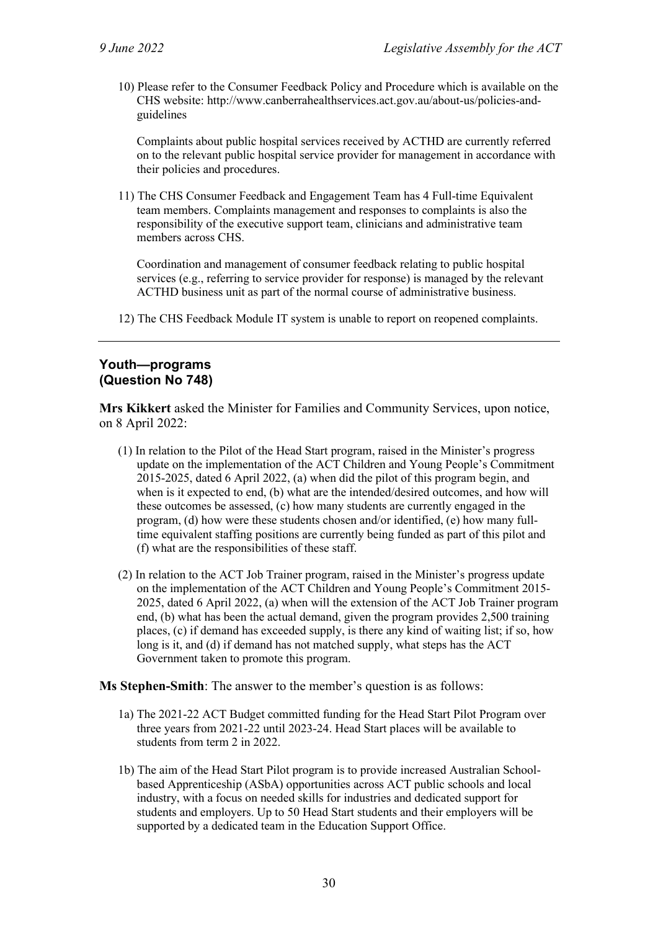10) Please refer to the Consumer Feedback Policy and Procedure which is available on the CHS website: http://www.canberrahealthservices.act.gov.au/about-us/policies-andguidelines

Complaints about public hospital services received by ACTHD are currently referred on to the relevant public hospital service provider for management in accordance with their policies and procedures.

11) The CHS Consumer Feedback and Engagement Team has 4 Full-time Equivalent team members. Complaints management and responses to complaints is also the responsibility of the executive support team, clinicians and administrative team members across CHS.

Coordination and management of consumer feedback relating to public hospital services (e.g., referring to service provider for response) is managed by the relevant ACTHD business unit as part of the normal course of administrative business.

12) The CHS Feedback Module IT system is unable to report on reopened complaints.

### **Youth—programs (Question No 748)**

**Mrs Kikkert** asked the Minister for Families and Community Services, upon notice, on 8 April 2022:

- (1) In relation to the Pilot of the Head Start program, raised in the Minister's progress update on the implementation of the ACT Children and Young People's Commitment 2015-2025, dated 6 April 2022, (a) when did the pilot of this program begin, and when is it expected to end, (b) what are the intended/desired outcomes, and how will these outcomes be assessed, (c) how many students are currently engaged in the program, (d) how were these students chosen and/or identified, (e) how many fulltime equivalent staffing positions are currently being funded as part of this pilot and (f) what are the responsibilities of these staff.
- (2) In relation to the ACT Job Trainer program, raised in the Minister's progress update on the implementation of the ACT Children and Young People's Commitment 2015- 2025, dated 6 April 2022, (a) when will the extension of the ACT Job Trainer program end, (b) what has been the actual demand, given the program provides 2,500 training places, (c) if demand has exceeded supply, is there any kind of waiting list; if so, how long is it, and (d) if demand has not matched supply, what steps has the ACT Government taken to promote this program.

### **Ms Stephen-Smith**: The answer to the member's question is as follows:

- 1a) The 2021-22 ACT Budget committed funding for the Head Start Pilot Program over three years from 2021-22 until 2023-24. Head Start places will be available to students from term 2 in 2022.
- 1b) The aim of the Head Start Pilot program is to provide increased Australian Schoolbased Apprenticeship (ASbA) opportunities across ACT public schools and local industry, with a focus on needed skills for industries and dedicated support for students and employers. Up to 50 Head Start students and their employers will be supported by a dedicated team in the Education Support Office.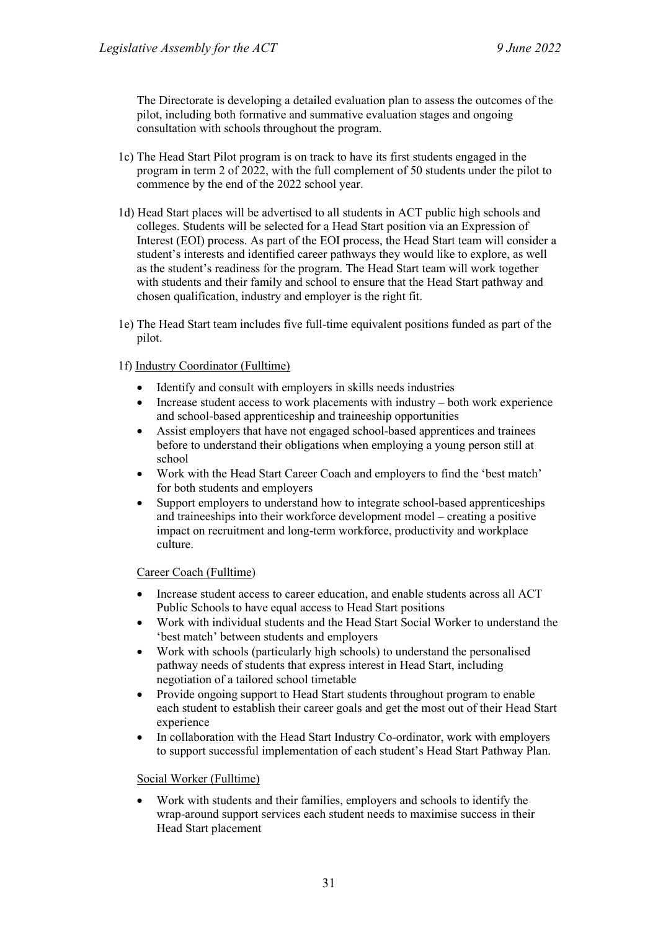The Directorate is developing a detailed evaluation plan to assess the outcomes of the pilot, including both formative and summative evaluation stages and ongoing consultation with schools throughout the program.

- 1c) The Head Start Pilot program is on track to have its first students engaged in the program in term 2 of 2022, with the full complement of 50 students under the pilot to commence by the end of the 2022 school year.
- 1d) Head Start places will be advertised to all students in ACT public high schools and colleges. Students will be selected for a Head Start position via an Expression of Interest (EOI) process. As part of the EOI process, the Head Start team will consider a student's interests and identified career pathways they would like to explore, as well as the student's readiness for the program. The Head Start team will work together with students and their family and school to ensure that the Head Start pathway and chosen qualification, industry and employer is the right fit.
- 1e) The Head Start team includes five full-time equivalent positions funded as part of the pilot.

#### 1f) Industry Coordinator (Fulltime)

- Identify and consult with employers in skills needs industries
- Increase student access to work placements with industry both work experience and school-based apprenticeship and traineeship opportunities
- Assist employers that have not engaged school-based apprentices and trainees before to understand their obligations when employing a young person still at school
- Work with the Head Start Career Coach and employers to find the 'best match' for both students and employers
- Support employers to understand how to integrate school-based apprenticeships and traineeships into their workforce development model – creating a positive impact on recruitment and long-term workforce, productivity and workplace culture.

#### Career Coach (Fulltime)

- Increase student access to career education, and enable students across all ACT Public Schools to have equal access to Head Start positions
- Work with individual students and the Head Start Social Worker to understand the 'best match' between students and employers
- Work with schools (particularly high schools) to understand the personalised pathway needs of students that express interest in Head Start, including negotiation of a tailored school timetable
- Provide ongoing support to Head Start students throughout program to enable each student to establish their career goals and get the most out of their Head Start experience
- In collaboration with the Head Start Industry Co-ordinator, work with employers to support successful implementation of each student's Head Start Pathway Plan.

#### Social Worker (Fulltime)

• Work with students and their families, employers and schools to identify the wrap-around support services each student needs to maximise success in their Head Start placement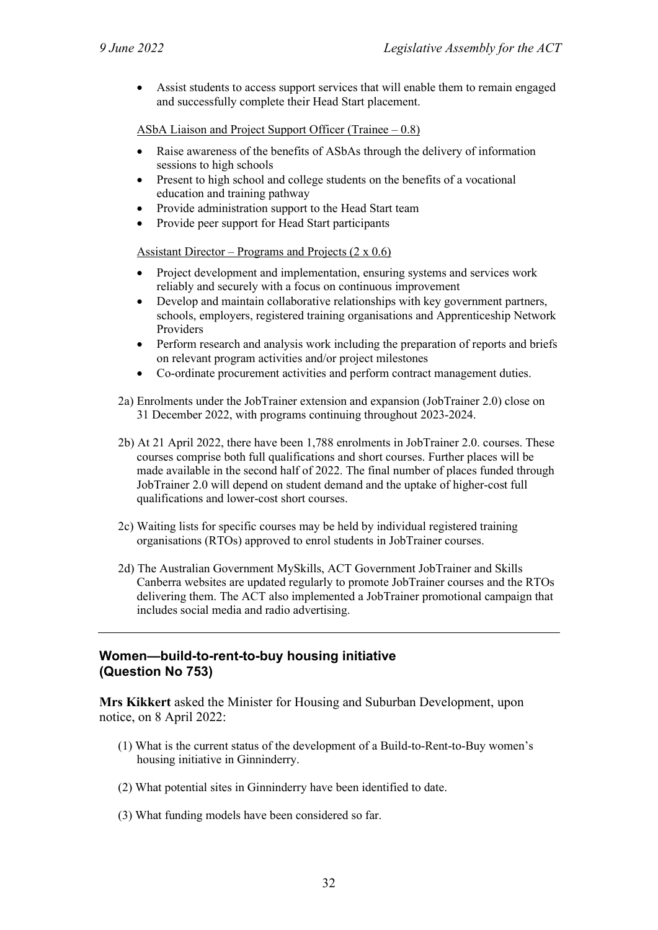• Assist students to access support services that will enable them to remain engaged and successfully complete their Head Start placement.

ASbA Liaison and Project Support Officer (Trainee – 0.8)

- Raise awareness of the benefits of ASbAs through the delivery of information sessions to high schools
- Present to high school and college students on the benefits of a vocational education and training pathway
- Provide administration support to the Head Start team
- Provide peer support for Head Start participants

### Assistant Director – Programs and Projects  $(2 \times 0.6)$

- Project development and implementation, ensuring systems and services work reliably and securely with a focus on continuous improvement
- Develop and maintain collaborative relationships with key government partners, schools, employers, registered training organisations and Apprenticeship Network Providers
- Perform research and analysis work including the preparation of reports and briefs on relevant program activities and/or project milestones
- Co-ordinate procurement activities and perform contract management duties.
- 2a) Enrolments under the JobTrainer extension and expansion (JobTrainer 2.0) close on 31 December 2022, with programs continuing throughout 2023-2024.
- 2b) At 21 April 2022, there have been 1,788 enrolments in JobTrainer 2.0. courses. These courses comprise both full qualifications and short courses. Further places will be made available in the second half of 2022. The final number of places funded through JobTrainer 2.0 will depend on student demand and the uptake of higher-cost full qualifications and lower-cost short courses.
- 2c) Waiting lists for specific courses may be held by individual registered training organisations (RTOs) approved to enrol students in JobTrainer courses.
- 2d) The Australian Government MySkills, ACT Government JobTrainer and Skills Canberra websites are updated regularly to promote JobTrainer courses and the RTOs delivering them. The ACT also implemented a JobTrainer promotional campaign that includes social media and radio advertising.

### **Women—build-to-rent-to-buy housing initiative (Question No 753)**

**Mrs Kikkert** asked the Minister for Housing and Suburban Development, upon notice, on 8 April 2022:

- (1) What is the current status of the development of a Build-to-Rent-to-Buy women's housing initiative in Ginninderry.
- (2) What potential sites in Ginninderry have been identified to date.
- (3) What funding models have been considered so far.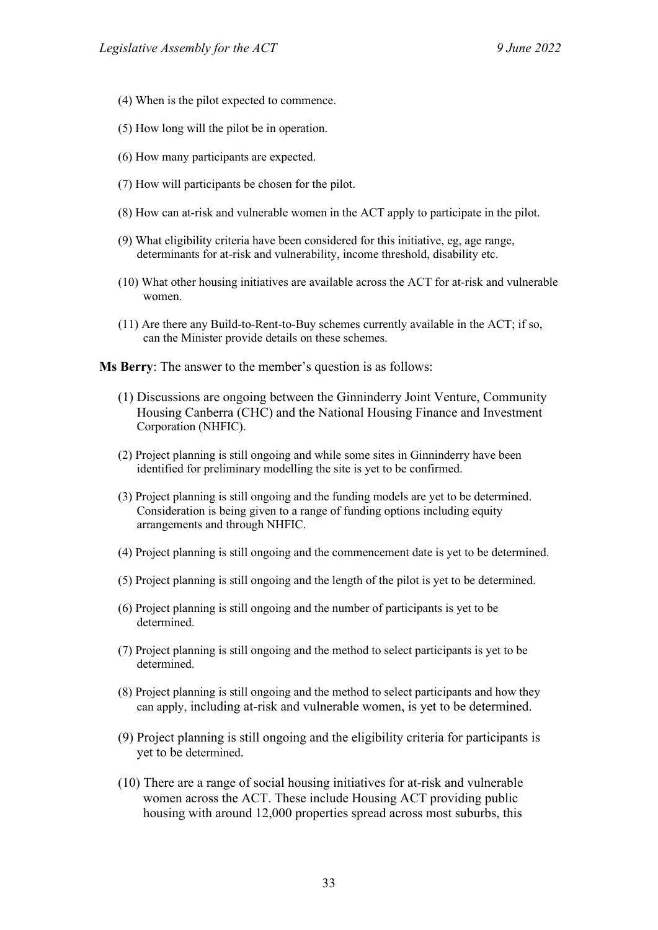- (4) When is the pilot expected to commence.
- (5) How long will the pilot be in operation.
- (6) How many participants are expected.
- (7) How will participants be chosen for the pilot.
- (8) How can at-risk and vulnerable women in the ACT apply to participate in the pilot.
- (9) What eligibility criteria have been considered for this initiative, eg, age range, determinants for at-risk and vulnerability, income threshold, disability etc.
- (10) What other housing initiatives are available across the ACT for at-risk and vulnerable women.
- (11) Are there any Build-to-Rent-to-Buy schemes currently available in the ACT; if so, can the Minister provide details on these schemes.

**Ms Berry**: The answer to the member's question is as follows:

- (1) Discussions are ongoing between the Ginninderry Joint Venture, Community Housing Canberra (CHC) and the National Housing Finance and Investment Corporation (NHFIC).
- (2) Project planning is still ongoing and while some sites in Ginninderry have been identified for preliminary modelling the site is yet to be confirmed.
- (3) Project planning is still ongoing and the funding models are yet to be determined. Consideration is being given to a range of funding options including equity arrangements and through NHFIC.
- (4) Project planning is still ongoing and the commencement date is yet to be determined.
- (5) Project planning is still ongoing and the length of the pilot is yet to be determined.
- (6) Project planning is still ongoing and the number of participants is yet to be determined.
- (7) Project planning is still ongoing and the method to select participants is yet to be determined.
- (8) Project planning is still ongoing and the method to select participants and how they can apply, including at-risk and vulnerable women, is yet to be determined.
- (9) Project planning is still ongoing and the eligibility criteria for participants is yet to be determined.
- (10) There are a range of social housing initiatives for at-risk and vulnerable women across the ACT. These include Housing ACT providing public housing with around 12,000 properties spread across most suburbs, this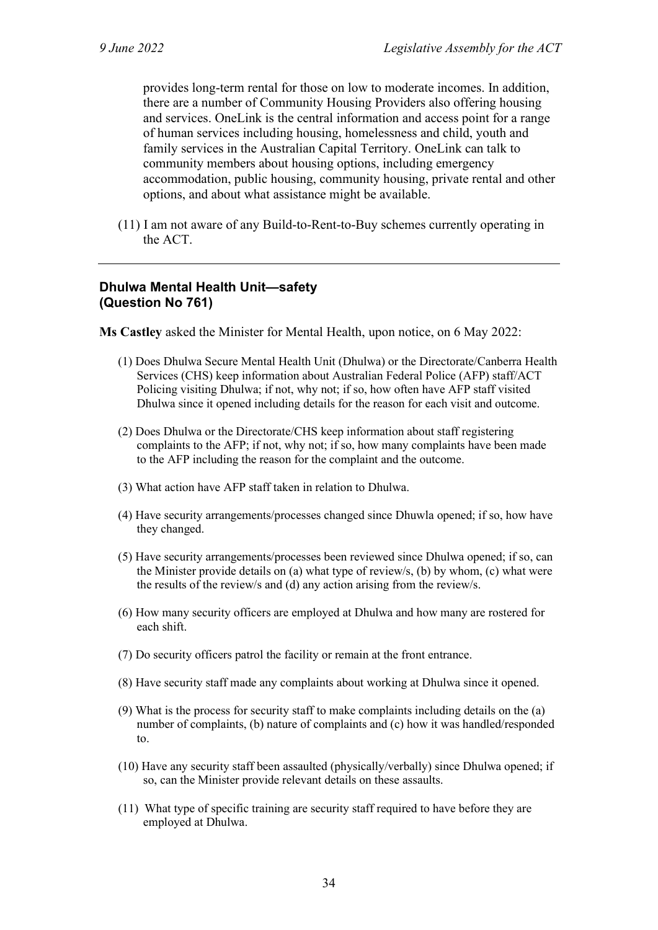provides long-term rental for those on low to moderate incomes. In addition, there are a number of Community Housing Providers also offering housing and services. OneLink is the central information and access point for a range of human services including housing, homelessness and child, youth and family services in the Australian Capital Territory. OneLink can talk to community members about housing options, including emergency accommodation, public housing, community housing, private rental and other options, and about what assistance might be available.

(11) I am not aware of any Build-to-Rent-to-Buy schemes currently operating in the ACT.

# **Dhulwa Mental Health Unit—safety (Question No 761)**

**Ms Castley** asked the Minister for Mental Health, upon notice, on 6 May 2022:

- (1) Does Dhulwa Secure Mental Health Unit (Dhulwa) or the Directorate/Canberra Health Services (CHS) keep information about Australian Federal Police (AFP) staff/ACT Policing visiting Dhulwa; if not, why not; if so, how often have AFP staff visited Dhulwa since it opened including details for the reason for each visit and outcome.
- (2) Does Dhulwa or the Directorate/CHS keep information about staff registering complaints to the AFP; if not, why not; if so, how many complaints have been made to the AFP including the reason for the complaint and the outcome.
- (3) What action have AFP staff taken in relation to Dhulwa.
- (4) Have security arrangements/processes changed since Dhuwla opened; if so, how have they changed.
- (5) Have security arrangements/processes been reviewed since Dhulwa opened; if so, can the Minister provide details on (a) what type of review/s, (b) by whom, (c) what were the results of the review/s and (d) any action arising from the review/s.
- (6) How many security officers are employed at Dhulwa and how many are rostered for each shift.
- (7) Do security officers patrol the facility or remain at the front entrance.
- (8) Have security staff made any complaints about working at Dhulwa since it opened.
- (9) What is the process for security staff to make complaints including details on the (a) number of complaints, (b) nature of complaints and (c) how it was handled/responded to.
- (10) Have any security staff been assaulted (physically/verbally) since Dhulwa opened; if so, can the Minister provide relevant details on these assaults.
- (11) What type of specific training are security staff required to have before they are employed at Dhulwa.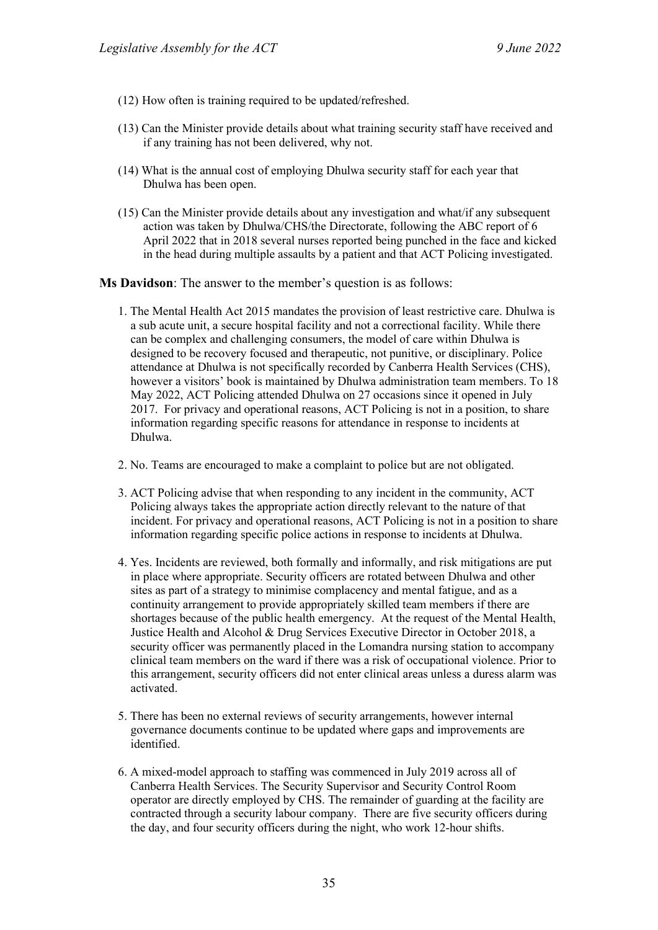- (12) How often is training required to be updated/refreshed.
- (13) Can the Minister provide details about what training security staff have received and if any training has not been delivered, why not.
- (14) What is the annual cost of employing Dhulwa security staff for each year that Dhulwa has been open.
- (15) Can the Minister provide details about any investigation and what/if any subsequent action was taken by Dhulwa/CHS/the Directorate, following the ABC report of 6 April 2022 that in 2018 several nurses reported being punched in the face and kicked in the head during multiple assaults by a patient and that ACT Policing investigated.

**Ms Davidson**: The answer to the member's question is as follows:

- 1. The Mental Health Act 2015 mandates the provision of least restrictive care. Dhulwa is a sub acute unit, a secure hospital facility and not a correctional facility. While there can be complex and challenging consumers, the model of care within Dhulwa is designed to be recovery focused and therapeutic, not punitive, or disciplinary. Police attendance at Dhulwa is not specifically recorded by Canberra Health Services (CHS), however a visitors' book is maintained by Dhulwa administration team members. To 18 May 2022, ACT Policing attended Dhulwa on 27 occasions since it opened in July 2017. For privacy and operational reasons, ACT Policing is not in a position, to share information regarding specific reasons for attendance in response to incidents at Dhulwa.
- 2. No. Teams are encouraged to make a complaint to police but are not obligated.
- 3. ACT Policing advise that when responding to any incident in the community, ACT Policing always takes the appropriate action directly relevant to the nature of that incident. For privacy and operational reasons, ACT Policing is not in a position to share information regarding specific police actions in response to incidents at Dhulwa.
- 4. Yes. Incidents are reviewed, both formally and informally, and risk mitigations are put in place where appropriate. Security officers are rotated between Dhulwa and other sites as part of a strategy to minimise complacency and mental fatigue, and as a continuity arrangement to provide appropriately skilled team members if there are shortages because of the public health emergency. At the request of the Mental Health, Justice Health and Alcohol & Drug Services Executive Director in October 2018, a security officer was permanently placed in the Lomandra nursing station to accompany clinical team members on the ward if there was a risk of occupational violence. Prior to this arrangement, security officers did not enter clinical areas unless a duress alarm was activated.
- 5. There has been no external reviews of security arrangements, however internal governance documents continue to be updated where gaps and improvements are identified.
- 6. A mixed-model approach to staffing was commenced in July 2019 across all of Canberra Health Services. The Security Supervisor and Security Control Room operator are directly employed by CHS. The remainder of guarding at the facility are contracted through a security labour company. There are five security officers during the day, and four security officers during the night, who work 12-hour shifts.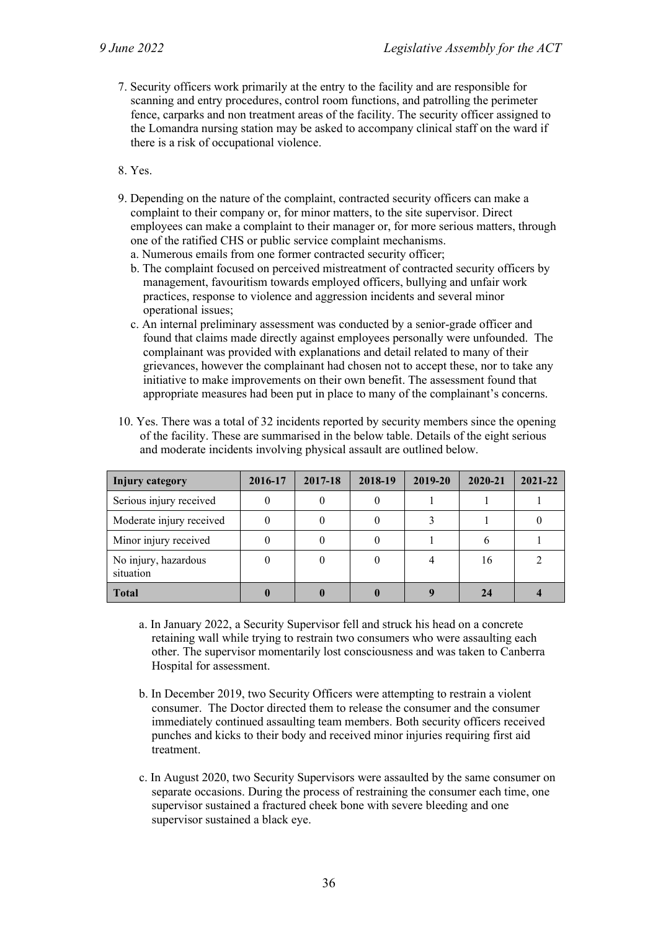- 7. Security officers work primarily at the entry to the facility and are responsible for scanning and entry procedures, control room functions, and patrolling the perimeter fence, carparks and non treatment areas of the facility. The security officer assigned to the Lomandra nursing station may be asked to accompany clinical staff on the ward if there is a risk of occupational violence.
- 8. Yes.
- 9. Depending on the nature of the complaint, contracted security officers can make a complaint to their company or, for minor matters, to the site supervisor. Direct employees can make a complaint to their manager or, for more serious matters, through one of the ratified CHS or public service complaint mechanisms.
	- a. Numerous emails from one former contracted security officer;
	- b. The complaint focused on perceived mistreatment of contracted security officers by management, favouritism towards employed officers, bullying and unfair work practices, response to violence and aggression incidents and several minor operational issues;
	- c. An internal preliminary assessment was conducted by a senior-grade officer and found that claims made directly against employees personally were unfounded. The complainant was provided with explanations and detail related to many of their grievances, however the complainant had chosen not to accept these, nor to take any initiative to make improvements on their own benefit. The assessment found that appropriate measures had been put in place to many of the complainant's concerns.

| Injury category                   | 2016-17 | 2017-18 | 2018-19 | 2019-20 | $2020 - 21$ | $2021 - 22$ |
|-----------------------------------|---------|---------|---------|---------|-------------|-------------|
| Serious injury received           |         |         |         |         |             |             |
| Moderate injury received          |         |         |         |         |             |             |
| Minor injury received             |         |         |         |         |             |             |
| No injury, hazardous<br>situation |         |         |         |         | 16          |             |
| <b>Total</b>                      |         |         |         |         |             |             |

10. Yes. There was a total of 32 incidents reported by security members since the opening of the facility. These are summarised in the below table. Details of the eight serious and moderate incidents involving physical assault are outlined below.

- a. In January 2022, a Security Supervisor fell and struck his head on a concrete retaining wall while trying to restrain two consumers who were assaulting each other. The supervisor momentarily lost consciousness and was taken to Canberra Hospital for assessment.
- b. In December 2019, two Security Officers were attempting to restrain a violent consumer. The Doctor directed them to release the consumer and the consumer immediately continued assaulting team members. Both security officers received punches and kicks to their body and received minor injuries requiring first aid treatment.
- c. In August 2020, two Security Supervisors were assaulted by the same consumer on separate occasions. During the process of restraining the consumer each time, one supervisor sustained a fractured cheek bone with severe bleeding and one supervisor sustained a black eye.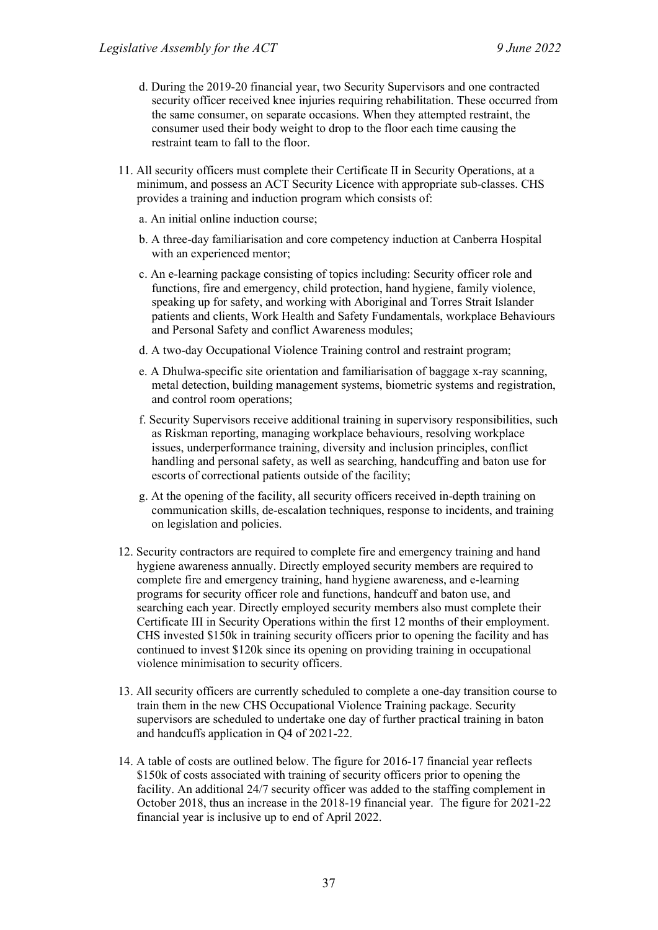- d. During the 2019-20 financial year, two Security Supervisors and one contracted security officer received knee injuries requiring rehabilitation. These occurred from the same consumer, on separate occasions. When they attempted restraint, the consumer used their body weight to drop to the floor each time causing the restraint team to fall to the floor.
- 11. All security officers must complete their Certificate II in Security Operations, at a minimum, and possess an ACT Security Licence with appropriate sub-classes. CHS provides a training and induction program which consists of:
	- a. An initial online induction course;
	- b. A three-day familiarisation and core competency induction at Canberra Hospital with an experienced mentor;
	- c. An e-learning package consisting of topics including: Security officer role and functions, fire and emergency, child protection, hand hygiene, family violence, speaking up for safety, and working with Aboriginal and Torres Strait Islander patients and clients, Work Health and Safety Fundamentals, workplace Behaviours and Personal Safety and conflict Awareness modules;
	- d. A two-day Occupational Violence Training control and restraint program;
	- e. A Dhulwa-specific site orientation and familiarisation of baggage x-ray scanning, metal detection, building management systems, biometric systems and registration, and control room operations;
	- f. Security Supervisors receive additional training in supervisory responsibilities, such as Riskman reporting, managing workplace behaviours, resolving workplace issues, underperformance training, diversity and inclusion principles, conflict handling and personal safety, as well as searching, handcuffing and baton use for escorts of correctional patients outside of the facility;
	- g. At the opening of the facility, all security officers received in-depth training on communication skills, de-escalation techniques, response to incidents, and training on legislation and policies.
- 12. Security contractors are required to complete fire and emergency training and hand hygiene awareness annually. Directly employed security members are required to complete fire and emergency training, hand hygiene awareness, and e-learning programs for security officer role and functions, handcuff and baton use, and searching each year. Directly employed security members also must complete their Certificate III in Security Operations within the first 12 months of their employment. CHS invested \$150k in training security officers prior to opening the facility and has continued to invest \$120k since its opening on providing training in occupational violence minimisation to security officers.
- 13. All security officers are currently scheduled to complete a one-day transition course to train them in the new CHS Occupational Violence Training package. Security supervisors are scheduled to undertake one day of further practical training in baton and handcuffs application in Q4 of 2021-22.
- 14. A table of costs are outlined below. The figure for 2016-17 financial year reflects \$150k of costs associated with training of security officers prior to opening the facility. An additional 24/7 security officer was added to the staffing complement in October 2018, thus an increase in the 2018-19 financial year. The figure for 2021-22 financial year is inclusive up to end of April 2022.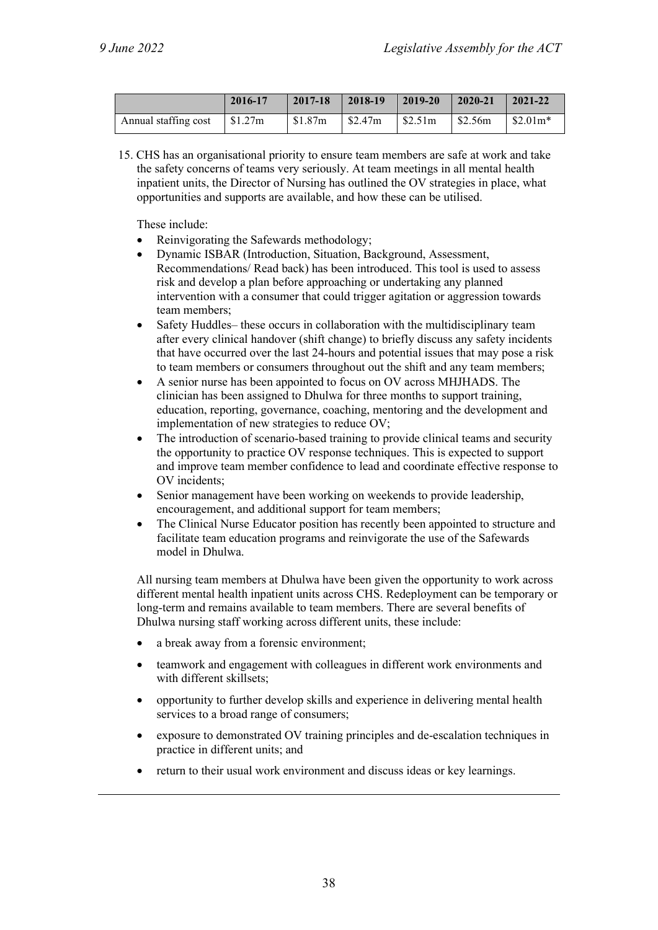|                      | 2016-17 | 2017-18 | 2018-19 | $12019-20$               | $12020 - 21$ | $12021 - 22$ |
|----------------------|---------|---------|---------|--------------------------|--------------|--------------|
| Annual staffing cost | \$1.27m | \$1.87m | \$2.47m | $\frac{\text{S2.51m}}{}$ | \$2.56m      | $$2.01m*$    |

15. CHS has an organisational priority to ensure team members are safe at work and take the safety concerns of teams very seriously. At team meetings in all mental health inpatient units, the Director of Nursing has outlined the OV strategies in place, what opportunities and supports are available, and how these can be utilised.

These include:

- Reinvigorating the Safewards methodology;
- Dynamic ISBAR (Introduction, Situation, Background, Assessment, Recommendations/ Read back) has been introduced. This tool is used to assess risk and develop a plan before approaching or undertaking any planned intervention with a consumer that could trigger agitation or aggression towards team members;
- Safety Huddles– these occurs in collaboration with the multidisciplinary team after every clinical handover (shift change) to briefly discuss any safety incidents that have occurred over the last 24-hours and potential issues that may pose a risk to team members or consumers throughout out the shift and any team members;
- A senior nurse has been appointed to focus on OV across MHJHADS. The clinician has been assigned to Dhulwa for three months to support training, education, reporting, governance, coaching, mentoring and the development and implementation of new strategies to reduce OV;
- The introduction of scenario-based training to provide clinical teams and security the opportunity to practice OV response techniques. This is expected to support and improve team member confidence to lead and coordinate effective response to OV incidents;
- Senior management have been working on weekends to provide leadership, encouragement, and additional support for team members;
- The Clinical Nurse Educator position has recently been appointed to structure and facilitate team education programs and reinvigorate the use of the Safewards model in Dhulwa.

All nursing team members at Dhulwa have been given the opportunity to work across different mental health inpatient units across CHS. Redeployment can be temporary or long-term and remains available to team members. There are several benefits of Dhulwa nursing staff working across different units, these include:

- a break away from a forensic environment;
- teamwork and engagement with colleagues in different work environments and with different skillsets;
- opportunity to further develop skills and experience in delivering mental health services to a broad range of consumers;
- exposure to demonstrated OV training principles and de-escalation techniques in practice in different units; and
- return to their usual work environment and discuss ideas or key learnings.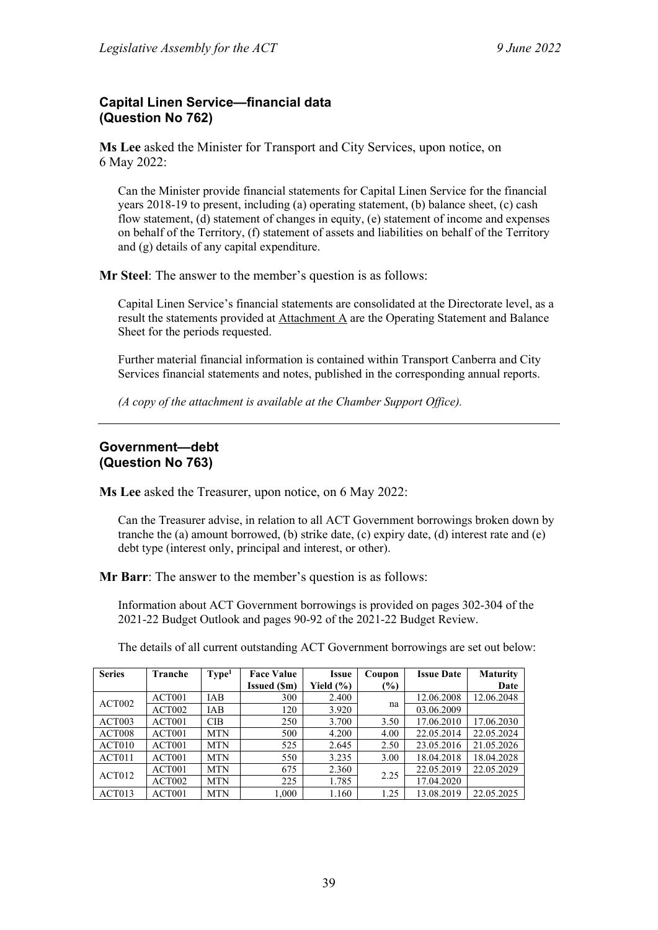# **Capital Linen Service—financial data (Question No 762)**

**Ms Lee** asked the Minister for Transport and City Services, upon notice, on 6 May 2022:

Can the Minister provide financial statements for Capital Linen Service for the financial years 2018-19 to present, including (a) operating statement, (b) balance sheet, (c) cash flow statement, (d) statement of changes in equity, (e) statement of income and expenses on behalf of the Territory, (f) statement of assets and liabilities on behalf of the Territory and (g) details of any capital expenditure.

**Mr Steel**: The answer to the member's question is as follows:

Capital Linen Service's financial statements are consolidated at the Directorate level, as a result the statements provided at Attachment A are the Operating Statement and Balance Sheet for the periods requested.

Further material financial information is contained within Transport Canberra and City Services financial statements and notes, published in the corresponding annual reports.

*(A copy of the attachment is available at the Chamber Support Office).* 

### **Government—debt (Question No 763)**

**Ms Lee** asked the Treasurer, upon notice, on 6 May 2022:

Can the Treasurer advise, in relation to all ACT Government borrowings broken down by tranche the (a) amount borrowed, (b) strike date, (c) expiry date, (d) interest rate and (e) debt type (interest only, principal and interest, or other).

**Mr Barr**: The answer to the member's question is as follows:

Information about ACT Government borrowings is provided on pages 302-304 of the 2021-22 Budget Outlook and pages 90-92 of the 2021-22 Budget Review.

The details of all current outstanding ACT Government borrowings are set out below:

| <b>Series</b>      | Tranche            | Type <sup>1</sup> | <b>Face Value</b>  | <b>Issue</b>  | Coupon        | <b>Issue Date</b> | <b>Maturity</b> |
|--------------------|--------------------|-------------------|--------------------|---------------|---------------|-------------------|-----------------|
|                    |                    |                   | <b>Issued (Sm)</b> | Yield $(\% )$ | $\frac{9}{6}$ |                   | Date            |
| ACT <sub>002</sub> | ACT <sub>001</sub> | IAB               | 300                | 2.400         |               | 12.06.2008        | 12.06.2048      |
|                    | ACT <sub>002</sub> | IAB               | 120                | 3.920         | na            | 03.06.2009        |                 |
| ACT <sub>003</sub> | ACT001             | CIB               | 250                | 3.700         | 3.50          | 17.06.2010        | 17.06.2030      |
| ACT <sub>008</sub> | ACT <sub>001</sub> | <b>MTN</b>        | 500                | 4.200         | 4.00          | 22.05.2014        | 22.05.2024      |
| ACT010             | ACT001             | <b>MTN</b>        | 525                | 2.645         | 2.50          | 23.05.2016        | 21.05.2026      |
| ACT011             | ACT <sub>001</sub> | <b>MTN</b>        | 550                | 3.235         | 3.00          | 18.04.2018        | 18.04.2028      |
| ACT012             | ACT <sub>001</sub> | <b>MTN</b>        | 675                | 2.360         | 2.25          | 22.05.2019        | 22.05.2029      |
|                    | ACT <sub>002</sub> | <b>MTN</b>        | 225                | 1.785         |               | 17.04.2020        |                 |
| ACT013             | ACT <sub>001</sub> | <b>MTN</b>        | 1,000              | 1.160         | 1.25          | 13.08.2019        | 22.05.2025      |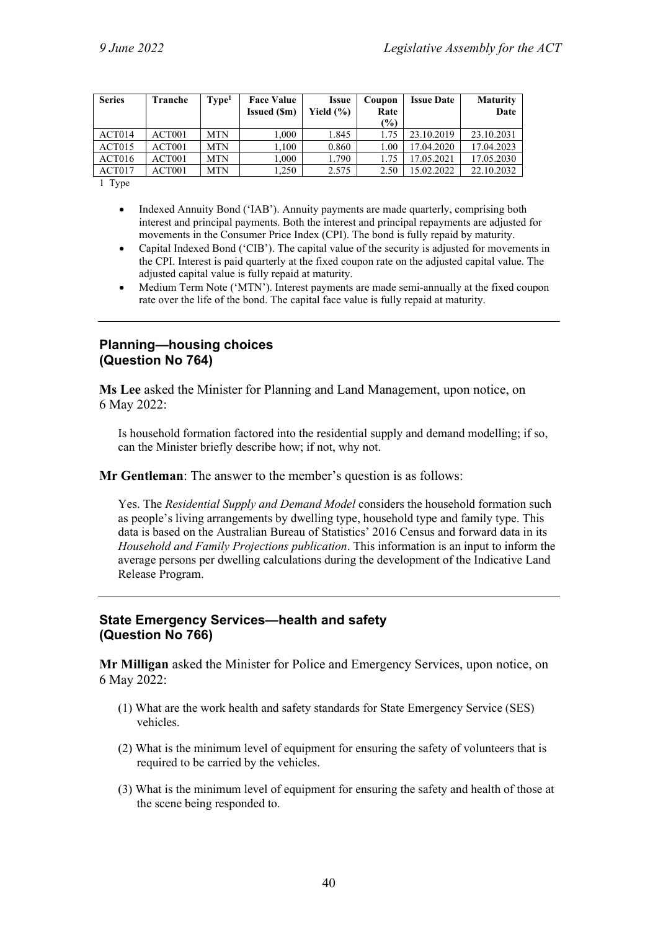| <b>Series</b> | Tranche            | Type <sup>1</sup> | <b>Face Value</b>  | Issue     | Coupon        | <b>Issue Date</b> | <b>Maturity</b> |
|---------------|--------------------|-------------------|--------------------|-----------|---------------|-------------------|-----------------|
|               |                    |                   | <b>Issued</b> (Sm) | Yield (%) | Rate          |                   | Date            |
|               |                    |                   |                    |           | $\frac{1}{2}$ |                   |                 |
| ACT014        | ACT <sub>001</sub> | <b>MTN</b>        | 000.1              | 1.845     | 1.75          | 23.10.2019        | 23.10.2031      |
| ACT015        | ACT <sub>001</sub> | <b>MTN</b>        | ,100               | 0.860     | 1.00          | 17.04.2020        | 17.04.2023      |
| ACT016        | ACT <sub>001</sub> | <b>MTN</b>        | $000$ .            | 1.790     | 1.75          | 17.05.2021        | 17.05.2030      |
| ACT017        | ACT <sub>001</sub> | <b>MTN</b>        | .250               | 2.575     | 2.50          | 15.02.2022        | 22.10.2032      |

1 Type

- Indexed Annuity Bond ('IAB'). Annuity payments are made quarterly, comprising both interest and principal payments. Both the interest and principal repayments are adjusted for movements in the Consumer Price Index (CPI). The bond is fully repaid by maturity.
- Capital Indexed Bond ('CIB'). The capital value of the security is adjusted for movements in the CPI. Interest is paid quarterly at the fixed coupon rate on the adjusted capital value. The adjusted capital value is fully repaid at maturity.
- Medium Term Note ('MTN'). Interest payments are made semi-annually at the fixed coupon rate over the life of the bond. The capital face value is fully repaid at maturity.

# **Planning—housing choices (Question No 764)**

**Ms Lee** asked the Minister for Planning and Land Management, upon notice, on 6 May 2022:

Is household formation factored into the residential supply and demand modelling; if so, can the Minister briefly describe how; if not, why not.

**Mr Gentleman**: The answer to the member's question is as follows:

Yes. The *Residential Supply and Demand Model* considers the household formation such as people's living arrangements by dwelling type, household type and family type. This data is based on the Australian Bureau of Statistics' 2016 Census and forward data in its *Household and Family Projections publication*. This information is an input to inform the average persons per dwelling calculations during the development of the Indicative Land Release Program.

## **State Emergency Services—health and safety (Question No 766)**

**Mr Milligan** asked the Minister for Police and Emergency Services, upon notice, on 6 May 2022:

- (1) What are the work health and safety standards for State Emergency Service (SES) vehicles.
- (2) What is the minimum level of equipment for ensuring the safety of volunteers that is required to be carried by the vehicles.
- (3) What is the minimum level of equipment for ensuring the safety and health of those at the scene being responded to.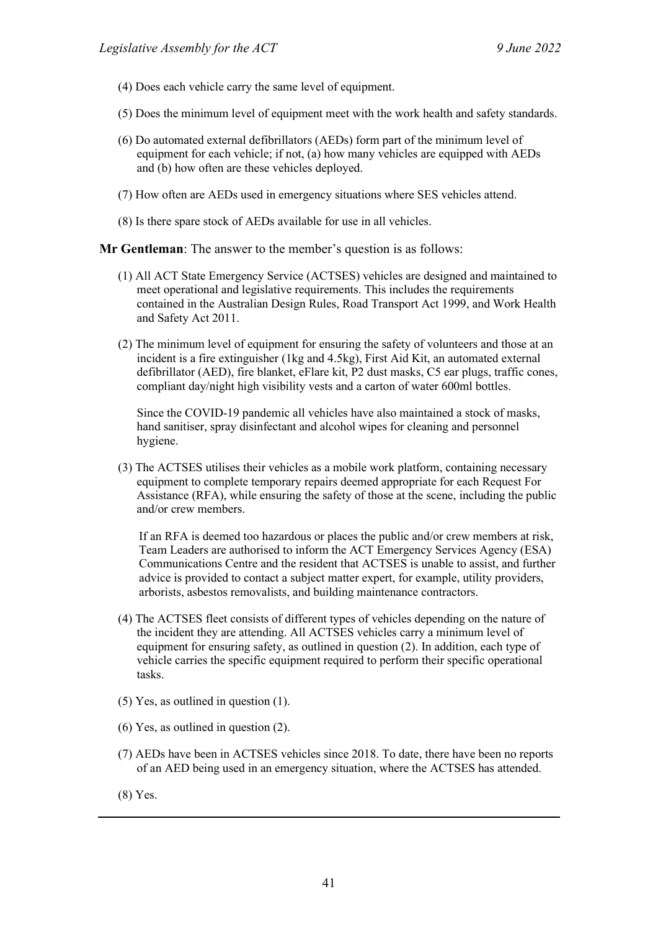- (4) Does each vehicle carry the same level of equipment.
- (5) Does the minimum level of equipment meet with the work health and safety standards.
- (6) Do automated external defibrillators (AEDs) form part of the minimum level of equipment for each vehicle; if not, (a) how many vehicles are equipped with AEDs and (b) how often are these vehicles deployed.
- (7) How often are AEDs used in emergency situations where SES vehicles attend.
- (8) Is there spare stock of AEDs available for use in all vehicles.

**Mr Gentleman**: The answer to the member's question is as follows:

- (1) All ACT State Emergency Service (ACTSES) vehicles are designed and maintained to meet operational and legislative requirements. This includes the requirements contained in the Australian Design Rules, Road Transport Act 1999, and Work Health and Safety Act 2011.
- (2) The minimum level of equipment for ensuring the safety of volunteers and those at an incident is a fire extinguisher (1kg and 4.5kg), First Aid Kit, an automated external defibrillator (AED), fire blanket, eFlare kit, P2 dust masks, C5 ear plugs, traffic cones, compliant day/night high visibility vests and a carton of water 600ml bottles.

Since the COVID-19 pandemic all vehicles have also maintained a stock of masks, hand sanitiser, spray disinfectant and alcohol wipes for cleaning and personnel hygiene.

(3) The ACTSES utilises their vehicles as a mobile work platform, containing necessary equipment to complete temporary repairs deemed appropriate for each Request For Assistance (RFA), while ensuring the safety of those at the scene, including the public and/or crew members.

If an RFA is deemed too hazardous or places the public and/or crew members at risk, Team Leaders are authorised to inform the ACT Emergency Services Agency (ESA) Communications Centre and the resident that ACTSES is unable to assist, and further advice is provided to contact a subject matter expert, for example, utility providers, arborists, asbestos removalists, and building maintenance contractors.

- (4) The ACTSES fleet consists of different types of vehicles depending on the nature of the incident they are attending. All ACTSES vehicles carry a minimum level of equipment for ensuring safety, as outlined in question (2). In addition, each type of vehicle carries the specific equipment required to perform their specific operational tasks.
- (5) Yes, as outlined in question (1).
- (6) Yes, as outlined in question (2).
- (7) AEDs have been in ACTSES vehicles since 2018. To date, there have been no reports of an AED being used in an emergency situation, where the ACTSES has attended.
- (8) Yes.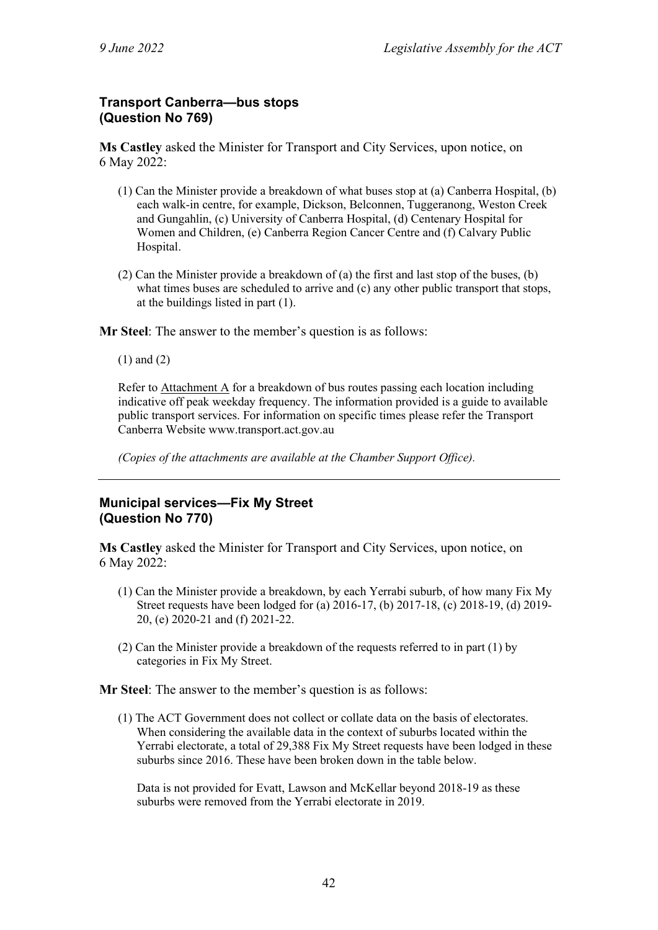# **Transport Canberra—bus stops (Question No 769)**

**Ms Castley** asked the Minister for Transport and City Services, upon notice, on 6 May 2022:

- (1) Can the Minister provide a breakdown of what buses stop at (a) Canberra Hospital, (b) each walk-in centre, for example, Dickson, Belconnen, Tuggeranong, Weston Creek and Gungahlin, (c) University of Canberra Hospital, (d) Centenary Hospital for Women and Children, (e) Canberra Region Cancer Centre and (f) Calvary Public Hospital.
- (2) Can the Minister provide a breakdown of (a) the first and last stop of the buses, (b) what times buses are scheduled to arrive and (c) any other public transport that stops, at the buildings listed in part (1).

**Mr Steel**: The answer to the member's question is as follows:

(1) and (2)

Refer to Attachment A for a breakdown of bus routes passing each location including indicative off peak weekday frequency. The information provided is a guide to available public transport services. For information on specific times please refer the Transport Canberra Website www.transport.act.gov.au

*(Copies of the attachments are available at the Chamber Support Office).* 

# **Municipal services—Fix My Street (Question No 770)**

**Ms Castley** asked the Minister for Transport and City Services, upon notice, on 6 May 2022:

- (1) Can the Minister provide a breakdown, by each Yerrabi suburb, of how many Fix My Street requests have been lodged for (a) 2016-17, (b) 2017-18, (c) 2018-19, (d) 2019- 20, (e) 2020-21 and (f) 2021-22.
- (2) Can the Minister provide a breakdown of the requests referred to in part (1) by categories in Fix My Street.

**Mr Steel**: The answer to the member's question is as follows:

(1) The ACT Government does not collect or collate data on the basis of electorates. When considering the available data in the context of suburbs located within the Yerrabi electorate, a total of 29,388 Fix My Street requests have been lodged in these suburbs since 2016. These have been broken down in the table below.

Data is not provided for Evatt, Lawson and McKellar beyond 2018-19 as these suburbs were removed from the Yerrabi electorate in 2019.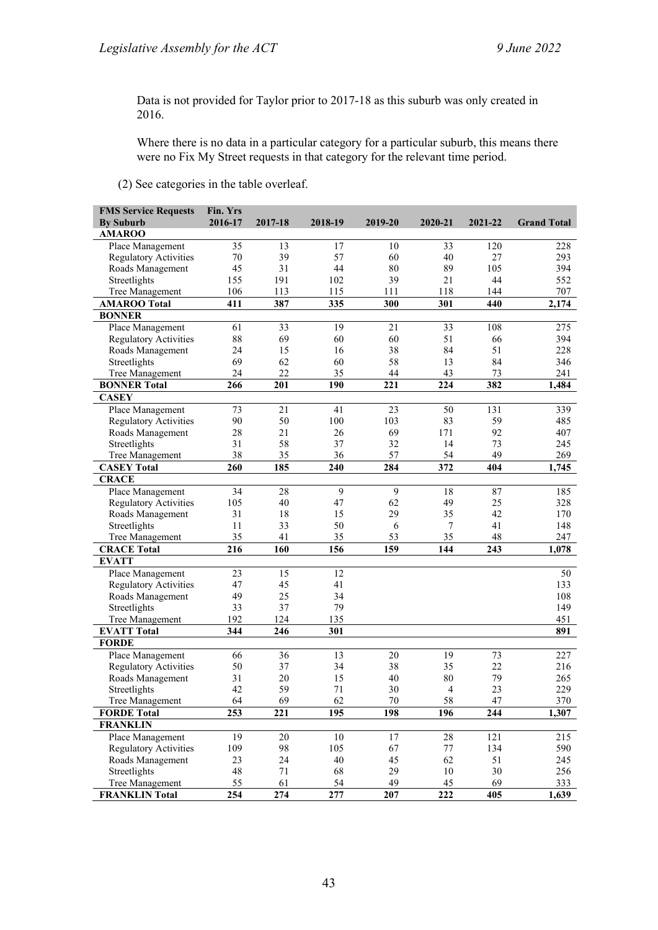Data is not provided for Taylor prior to 2017-18 as this suburb was only created in 2016.

Where there is no data in a particular category for a particular suburb, this means there were no Fix My Street requests in that category for the relevant time period.

(2) See categories in the table overleaf.

| <b>FMS Service Requests</b>  | Fin. Yrs |         |         |         |                  |         |                    |
|------------------------------|----------|---------|---------|---------|------------------|---------|--------------------|
| <b>By Suburb</b>             | 2016-17  | 2017-18 | 2018-19 | 2019-20 | 2020-21          | 2021-22 | <b>Grand Total</b> |
| <b>AMAROO</b>                |          |         |         |         |                  |         |                    |
| Place Management             | 35       | 13      | 17      | 10      | 33               | 120     | 228                |
| <b>Regulatory Activities</b> | 70       | 39      | 57      | 60      | 40               | 27      | 293                |
| Roads Management             | 45       | 31      | 44      | 80      | 89               | 105     | 394                |
| Streetlights                 | 155      | 191     | 102     | 39      | 21               | 44      | 552                |
| Tree Management              | 106      | 113     | 115     | 111     | 118              | 144     | 707                |
| <b>AMAROO</b> Total          | 411      | 387     | 335     | 300     | 301              | 440     | 2,174              |
| <b>BONNER</b>                |          |         |         |         |                  |         |                    |
| Place Management             | 61       | 33      | 19      | 21      | 33               | 108     | 275                |
| <b>Regulatory Activities</b> | 88       | 69      | 60      | 60      | 51               | 66      | 394                |
| Roads Management             | 24       | 15      | 16      | 38      | 84               | 51      | 228                |
| Streetlights                 | 69       | 62      | 60      | 58      | 13               | 84      | 346                |
| Tree Management              | 24       | 22      | 35      | 44      | 43               | 73      | 241                |
| <b>BONNER Total</b>          | 266      | 201     | 190     | 221     | $\overline{224}$ | 382     | 1,484              |
| <b>CASEY</b>                 |          |         |         |         |                  |         |                    |
| Place Management             | 73       | 21      | 41      | 23      | 50               | 131     | 339                |
| <b>Regulatory Activities</b> | 90       | 50      | 100     | 103     | 83               | 59      | 485                |
| Roads Management             | 28       | 21      | 26      | 69      | 171              | 92      | 407                |
| Streetlights                 | 31       | 58      | 37      | 32      | 14               | 73      | 245                |
| Tree Management              | 38       | 35      | 36      | 57      | 54               | 49      | 269                |
| <b>CASEY Total</b>           | 260      | 185     | 240     | 284     | 372              | 404     |                    |
| <b>CRACE</b>                 |          |         |         |         |                  |         | 1,745              |
|                              |          |         |         |         |                  |         |                    |
| Place Management             | 34       | 28      | 9       | 9       | 18               | 87      | 185                |
| <b>Regulatory Activities</b> | 105      | 40      | 47      | 62      | 49               | 25      | 328                |
| Roads Management             | 31       | 18      | 15      | 29      | 35               | 42      | 170                |
| Streetlights                 | 11       | 33      | 50      | 6       | $\tau$           | 41      | 148                |
| Tree Management              | 35       | 41      | 35      | 53      | 35               | 48      | 247                |
| <b>CRACE Total</b>           | 216      | 160     | 156     | 159     | 144              | 243     | 1,078              |
| <b>EVATT</b>                 |          |         |         |         |                  |         |                    |
| Place Management             | 23       | 15      | 12      |         |                  |         | 50                 |
| <b>Regulatory Activities</b> | 47       | 45      | 41      |         |                  |         | 133                |
| Roads Management             | 49       | 25      | 34      |         |                  |         | 108                |
| Streetlights                 | 33       | 37      | 79      |         |                  |         | 149                |
| Tree Management              | 192      | 124     | 135     |         |                  |         | 451                |
| <b>EVATT Total</b>           | 344      | 246     | 301     |         |                  |         | 891                |
| <b>FORDE</b>                 |          |         |         |         |                  |         |                    |
| Place Management             | 66       | 36      | 13      | 20      | 19               | 73      | 227                |
| <b>Regulatory Activities</b> | 50       | 37      | 34      | 38      | 35               | 22      | 216                |
| Roads Management             | 31       | 20      | 15      | 40      | 80               | 79      | 265                |
| Streetlights                 | 42       | 59      | 71      | 30      | $\overline{4}$   | 23      | 229                |
| Tree Management              | 64       | 69      | 62      | 70      | 58               | 47      | 370                |
| <b>FORDE Total</b>           | 253      | 221     | 195     | 198     | 196              | 244     | 1,307              |
| <b>FRANKLIN</b>              |          |         |         |         |                  |         |                    |
| Place Management             | 19       | 20      | 10      | 17      | 28               | 121     | 215                |
| <b>Regulatory Activities</b> | 109      | 98      | 105     | 67      | $77\,$           | 134     | 590                |
| Roads Management             | 23       | 24      | 40      | 45      | 62               | 51      | 245                |
| Streetlights                 | 48       | 71      | 68      | 29      | $10\,$           | 30      | 256                |
| Tree Management              | 55       | 61      | 54      | 49      | 45               | 69      | 333                |
| <b>FRANKLIN Total</b>        | 254      | 274     | 277     | 207     | 222              | 405     | 1,639              |
|                              |          |         |         |         |                  |         |                    |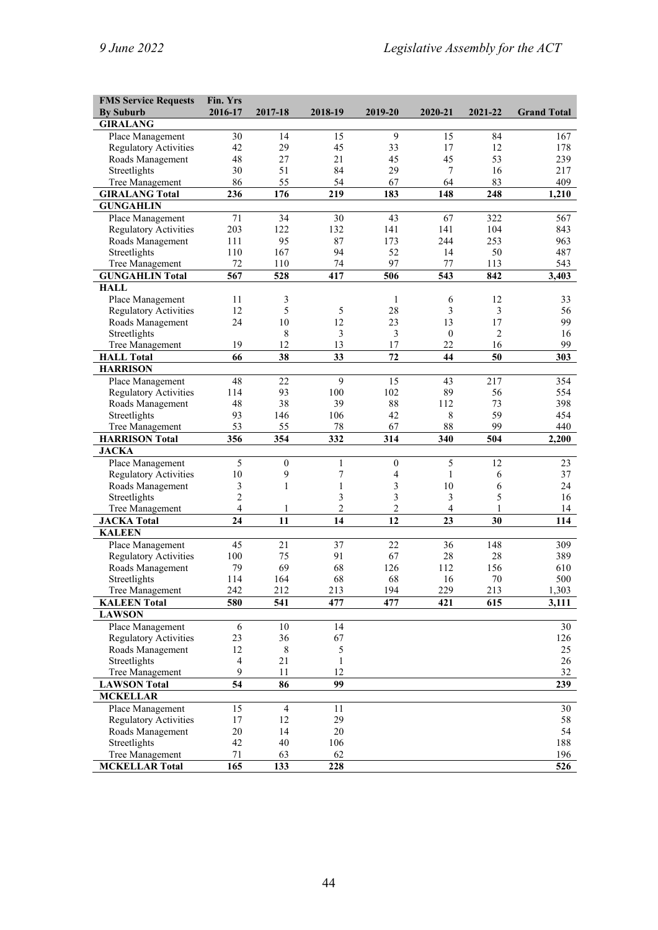| <b>FMS Service Requests</b>  | Fin. Yrs       |                |                |                  |              |                |                    |
|------------------------------|----------------|----------------|----------------|------------------|--------------|----------------|--------------------|
| <b>By Suburb</b>             | 2016-17        | 2017-18        | 2018-19        | 2019-20          | 2020-21      | 2021-22        | <b>Grand Total</b> |
| <b>GIRALANG</b>              |                |                |                |                  |              |                |                    |
| Place Management             | 30             | 14             | 15             | 9                | 15           | 84             | 167                |
| <b>Regulatory Activities</b> | 42             | 29             | 45             | 33               | 17           | 12             | 178                |
| Roads Management             | 48             | 27             | 21             | 45               | 45           | 53             | 239                |
| Streetlights                 | 30             | 51             | 84             | 29               | 7            | 16             | 217                |
| Tree Management              | 86             | 55             | 54             | 67               | 64           | 83             | 409                |
| <b>GIRALANG Total</b>        | 236            | 176            | 219            | 183              | 148          | 248            | 1,210              |
| <b>GUNGAHLIN</b>             |                |                |                |                  |              |                |                    |
| Place Management             | 71             | 34             | 30             | 43               | 67           | 322            | 567                |
| <b>Regulatory Activities</b> | 203            | 122            | 132            | 141              | 141          | 104            | 843                |
| Roads Management             | 111            | 95             | 87             | 173              | 244          | 253            | 963                |
| Streetlights                 | 110            | 167            | 94             | 52               | 14           | 50             | 487                |
| Tree Management              | 72             | 110            | 74             | 97               | 77           | 113            | 543                |
| <b>GUNGAHLIN Total</b>       | 567            | 528            | 417            | 506              | 543          | 842            | 3,403              |
| <b>HALL</b>                  |                |                |                |                  |              |                |                    |
| Place Management             | 11             | 3              |                | 1                | 6            | 12             | 33                 |
| <b>Regulatory Activities</b> | 12             | 5              | 5              | 28               | 3            | 3              | 56                 |
| Roads Management             | 24             | 10             | 12             | 23               | 13           | 17             | 99                 |
| Streetlights                 |                | 8              | 3              | 3                | $\mathbf{0}$ | $\overline{2}$ | 16                 |
| Tree Management              | 19             | 12             | 13             | 17               | 22           | 16             | 99                 |
| <b>HALL Total</b>            | 66             | 38             | 33             | 72               | 44           | 50             | 303                |
| <b>HARRISON</b>              |                |                |                |                  |              |                |                    |
|                              |                |                |                |                  |              |                |                    |
| Place Management             | 48             | 22             | 9              | 15               | 43           | 217            | 354                |
| <b>Regulatory Activities</b> | 114            | 93             | 100            | 102              | 89           | 56             | 554                |
| Roads Management             | 48             | 38             | 39             | 88               | 112          | 73             | 398                |
| Streetlights                 | 93             | 146            | 106            | 42               | 8            | 59             | 454                |
| Tree Management              | 53             | 55             | 78             | 67               | 88           | 99             | 440                |
| <b>HARRISON Total</b>        | 356            | 354            | 332            | 314              | 340          | 504            | 2,200              |
| <b>JACKA</b>                 |                |                |                |                  |              |                |                    |
| Place Management             | 5              | $\mathbf{0}$   | $\mathbf{1}$   | $\boldsymbol{0}$ | 5            | 12             | 23                 |
| <b>Regulatory Activities</b> | 10             | 9              | 7              | 4                | 1            | 6              | 37                 |
| Roads Management             | 3              | $\mathbf{1}$   | 1              | 3                | 10           | 6              | 24                 |
| Streetlights                 | $\overline{2}$ |                | 3              | 3                | 3            | 5              | 16                 |
| Tree Management              | $\overline{4}$ | 1              | $\overline{c}$ | 2                | 4            | 1              | 14                 |
| <b>JACKA Total</b>           | 24             | 11             | 14             | 12               | 23           | 30             | 114                |
| <b>KALEEN</b>                |                |                |                |                  |              |                |                    |
| Place Management             | 45             | 21             | 37             | 22               | 36           | 148            | 309                |
| <b>Regulatory Activities</b> | 100            | 75             | 91             | 67               | 28           | 28             | 389                |
| Roads Management             | 79             | 69             | 68             | 126              | 112          | 156            | 610                |
| Streetlights                 | 114            | 164            | 68             | 68               | 16           | 70             | 500                |
| Tree Management              | 242            | 212            | 213            | 194              | 229          | 213            | 1,303              |
| <b>KALEEN Total</b>          | 580            | 541            | 477            | 477              | 421          | 615            | 3,111              |
| <b>LAWSON</b>                |                |                |                |                  |              |                |                    |
| Place Management             | 6              | 10             | 14             |                  |              |                | 30                 |
| <b>Regulatory Activities</b> | 23             | 36             | 67             |                  |              |                | 126                |
| Roads Management             | 12             | 8              | 5              |                  |              |                | 25                 |
| Streetlights                 | 4              | 21             | 1              |                  |              |                | 26                 |
| Tree Management              | 9              | 11             | 12             |                  |              |                | 32                 |
| <b>LAWSON Total</b>          | 54             | 86             | 99             |                  |              |                | 239                |
| <b>MCKELLAR</b>              |                |                |                |                  |              |                |                    |
| Place Management             | 15             | $\overline{4}$ | 11             |                  |              |                | 30                 |
| <b>Regulatory Activities</b> | 17             | 12             | 29             |                  |              |                | 58                 |
| Roads Management             | 20             | 14             | 20             |                  |              |                | 54                 |
| Streetlights                 | 42             | 40             | 106            |                  |              |                | 188                |
| Tree Management              | 71             | 63             | 62             |                  |              |                | 196                |
| <b>MCKELLAR Total</b>        | 165            | 133            | 228            |                  |              |                | 526                |
|                              |                |                |                |                  |              |                |                    |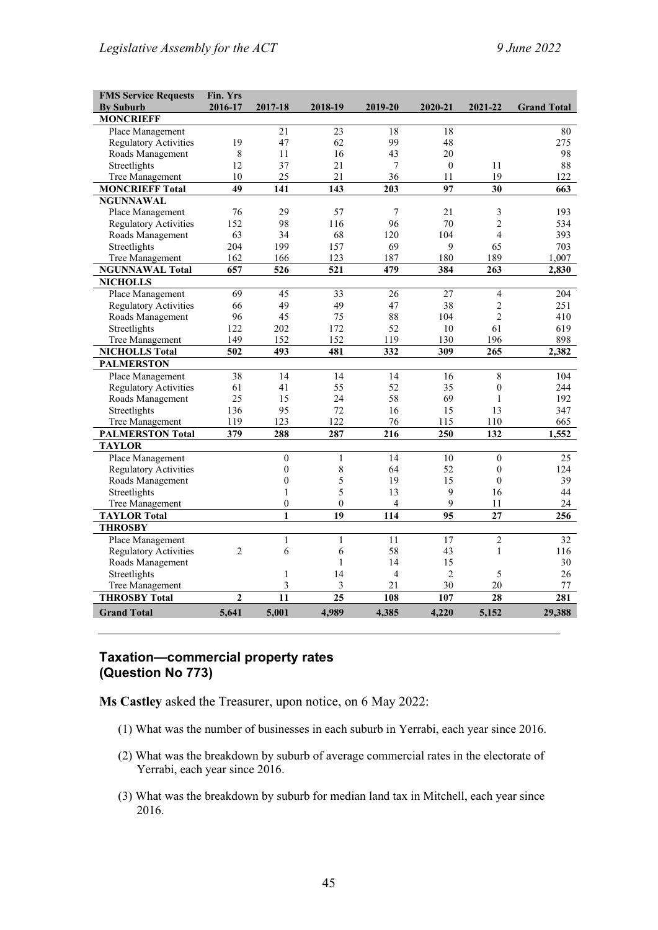| <b>FMS Service Requests</b>  | Fin. Yrs        |                  |                  |                  |                  |                 |                    |
|------------------------------|-----------------|------------------|------------------|------------------|------------------|-----------------|--------------------|
| <b>By Suburb</b>             | 2016-17         | 2017-18          | 2018-19          | 2019-20          | 2020-21          | 2021-22         | <b>Grand Total</b> |
| <b>MONCRIEFF</b>             |                 |                  |                  |                  |                  |                 |                    |
| Place Management             |                 | 21               | 23               | 18               | 18               |                 | 80                 |
| <b>Regulatory Activities</b> | 19              | 47               | 62               | 99               | 48               |                 | 275                |
| Roads Management             | 8               | 11               | 16               | 43               | 20               |                 | 98                 |
| Streetlights                 | 12              | 37               | 21               | $\boldsymbol{7}$ | $\boldsymbol{0}$ | 11              | 88                 |
| Tree Management              | 10              | 25               | 21               | 36               | 11               | 19              | 122                |
| <b>MONCRIEFF Total</b>       | $\overline{49}$ | $\overline{141}$ | $\overline{143}$ | 203              | 97               | $\overline{30}$ | 663                |
| <b>NGUNNAWAL</b>             |                 |                  |                  |                  |                  |                 |                    |
| Place Management             | 76              | 29               | 57               | 7                | 21               | 3               | 193                |
| <b>Regulatory Activities</b> | 152             | 98               | 116              | 96               | 70               | $\overline{2}$  | 534                |
| Roads Management             | 63              | 34               | 68               | 120              | 104              | $\overline{4}$  | 393                |
| Streetlights                 | 204             | 199              | 157              | 69               | 9                | 65              | 703                |
| Tree Management              | 162             | 166              | 123              | 187              | 180              | 189             | 1,007              |
| <b>NGUNNAWAL Total</b>       | 657             | 526              | 521              | 479              | 384              | 263             | 2,830              |
| <b>NICHOLLS</b>              |                 |                  |                  |                  |                  |                 |                    |
| Place Management             | 69              | 45               | 33               | 26               | 27               | $\overline{4}$  | 204                |
| <b>Regulatory Activities</b> | 66              | 49               | 49               | 47               | 38               | $\overline{c}$  | 251                |
| Roads Management             | 96              | 45               | 75               | 88               | 104              | $\overline{2}$  | 410                |
| Streetlights                 | 122             | 202              | 172              | 52               | 10               | 61              | 619                |
| Tree Management              | 149             | 152              | 152              | 119              | 130              | 196             | 898                |
| <b>NICHOLLS Total</b>        | 502             | 493              | 481              | 332              | 309              | 265             | 2,382              |
| <b>PALMERSTON</b>            |                 |                  |                  |                  |                  |                 |                    |
| Place Management             | 38              | 14               | 14               | 14               | 16               | 8               | 104                |
| <b>Regulatory Activities</b> | 61              | 41               | 55               | 52               | 35               | $\mathbf{0}$    | 244                |
| Roads Management             | 25              | 15               | 24               | 58               | 69               | $\mathbf{1}$    | 192                |
| Streetlights                 | 136             | 95               | 72               | 16               | 15               | 13              | 347                |
| Tree Management              | 119             | 123              | 122              | 76               | 115              | 110             | 665                |
| <b>PALMERSTON Total</b>      | 379             | 288              | 287              | 216              | 250              | 132             | 1,552              |
| <b>TAYLOR</b>                |                 |                  |                  |                  |                  |                 |                    |
| Place Management             |                 | $\mathbf{0}$     | $\mathbf{1}$     | 14               | 10               | $\mathbf{0}$    | $\overline{25}$    |
| <b>Regulatory Activities</b> |                 | $\theta$         | $\,$ $\,$        | 64               | 52               | $\theta$        | 124                |
| Roads Management             |                 | $\mathbf{0}$     | 5                | 19               | 15               | $\overline{0}$  | 39                 |
| Streetlights                 |                 | $\mathbf{1}$     | 5                | 13               | 9                | 16              | 44                 |
| Tree Management              |                 | $\boldsymbol{0}$ | $\boldsymbol{0}$ | 4                | 9                | 11              | 24                 |
| <b>TAYLOR Total</b>          |                 | 1                | 19               | $\overline{114}$ | 95               | $\overline{27}$ | 256                |
| <b>THROSBY</b>               |                 |                  |                  |                  |                  |                 |                    |
| Place Management             |                 | $\mathbf{1}$     | 1                | 11               | 17               | $\overline{2}$  | 32                 |
| <b>Regulatory Activities</b> | $\overline{2}$  | 6                | 6                | 58               | 43               | $\mathbf{1}$    | 116                |
| Roads Management             |                 |                  | 1                | 14               | 15               |                 | 30                 |
| Streetlights                 |                 | 1                | 14               | 4                | $\overline{2}$   | 5               | 26                 |
| Tree Management              |                 | 3                | 3                | 21               | 30               | 20              | 77                 |
| <b>THROSBY Total</b>         | $\overline{2}$  | 11               | 25               | 108              | 107              | 28              | 281                |
|                              |                 |                  |                  |                  |                  |                 |                    |
| <b>Grand Total</b>           | 5,641           | 5,001            | 4,989            | 4,385            | 4,220            | 5,152           | 29,388             |

## **Taxation—commercial property rates (Question No 773)**

**Ms Castley** asked the Treasurer, upon notice, on 6 May 2022:

- (1) What was the number of businesses in each suburb in Yerrabi, each year since 2016.
- (2) What was the breakdown by suburb of average commercial rates in the electorate of Yerrabi, each year since 2016.
- (3) What was the breakdown by suburb for median land tax in Mitchell, each year since 2016.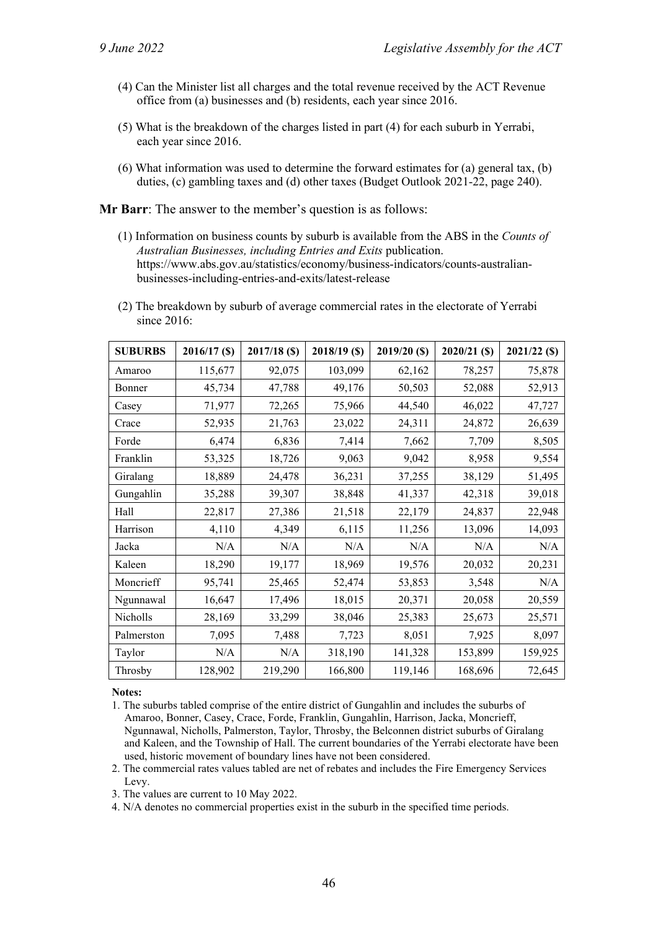- (4) Can the Minister list all charges and the total revenue received by the ACT Revenue office from (a) businesses and (b) residents, each year since 2016.
- (5) What is the breakdown of the charges listed in part (4) for each suburb in Yerrabi, each year since 2016.
- (6) What information was used to determine the forward estimates for (a) general tax, (b) duties, (c) gambling taxes and (d) other taxes (Budget Outlook 2021-22, page 240).

**Mr Barr**: The answer to the member's question is as follows:

(1) Information on business counts by suburb is available from the ABS in the *Counts of Australian Businesses, including Entries and Exits* publication. https://www.abs.gov.au/statistics/economy/business-indicators/counts-australianbusinesses-including-entries-and-exits/latest-release

| (2) The breakdown by suburb of average commercial rates in the electorate of Yerrabi |  |  |
|--------------------------------------------------------------------------------------|--|--|
| since $2016$ :                                                                       |  |  |

| <b>SUBURBS</b> | $2016/17$ (\$) | $2017/18$ (\$) | $2018/19$ (\$) | $2019/20$ (\$) | $2020/21$ (\$) | $2021/22$ (\$) |
|----------------|----------------|----------------|----------------|----------------|----------------|----------------|
| Amaroo         | 115,677        | 92,075         | 103,099        | 62,162         | 78,257         | 75,878         |
| Bonner         | 45,734         | 47,788         | 49,176         | 50,503         | 52,088         | 52,913         |
| Casey          | 71,977         | 72,265         | 75,966         | 44,540         | 46,022         | 47,727         |
| Crace          | 52,935         | 21,763         | 23,022         | 24,311         | 24,872         | 26,639         |
| Forde          | 6,474          | 6,836          | 7,414          | 7,662          | 7,709          | 8,505          |
| Franklin       | 53,325         | 18,726         | 9,063          | 9,042          | 8,958          | 9,554          |
| Giralang       | 18,889         | 24,478         | 36,231         | 37,255         | 38,129         | 51,495         |
| Gungahlin      | 35,288         | 39,307         | 38,848         | 41,337         | 42,318         | 39,018         |
| Hall           | 22,817         | 27,386         | 21,518         | 22,179         | 24,837         | 22,948         |
| Harrison       | 4,110          | 4,349          | 6,115          | 11,256         | 13,096         | 14,093         |
| Jacka          | N/A            | N/A            | N/A            | N/A            | N/A            | N/A            |
| Kaleen         | 18,290         | 19,177         | 18,969         | 19,576         | 20,032         | 20,231         |
| Moncrieff      | 95,741         | 25,465         | 52,474         | 53,853         | 3,548          | N/A            |
| Ngunnawal      | 16,647         | 17,496         | 18,015         | 20,371         | 20,058         | 20,559         |
| Nicholls       | 28,169         | 33,299         | 38,046         | 25,383         | 25,673         | 25,571         |
| Palmerston     | 7,095          | 7,488          | 7,723          | 8,051          | 7,925          | 8,097          |
| Taylor         | N/A            | N/A            | 318,190        | 141,328        | 153,899        | 159,925        |
| Throsby        | 128,902        | 219,290        | 166,800        | 119,146        | 168,696        | 72,645         |

**Notes:**

- 1. The suburbs tabled comprise of the entire district of Gungahlin and includes the suburbs of Amaroo, Bonner, Casey, Crace, Forde, Franklin, Gungahlin, Harrison, Jacka, Moncrieff, Ngunnawal, Nicholls, Palmerston, Taylor, Throsby, the Belconnen district suburbs of Giralang and Kaleen, and the Township of Hall. The current boundaries of the Yerrabi electorate have been used, historic movement of boundary lines have not been considered.
- 2. The commercial rates values tabled are net of rebates and includes the Fire Emergency Services Levy.
- 3. The values are current to 10 May 2022.
- 4. N/A denotes no commercial properties exist in the suburb in the specified time periods.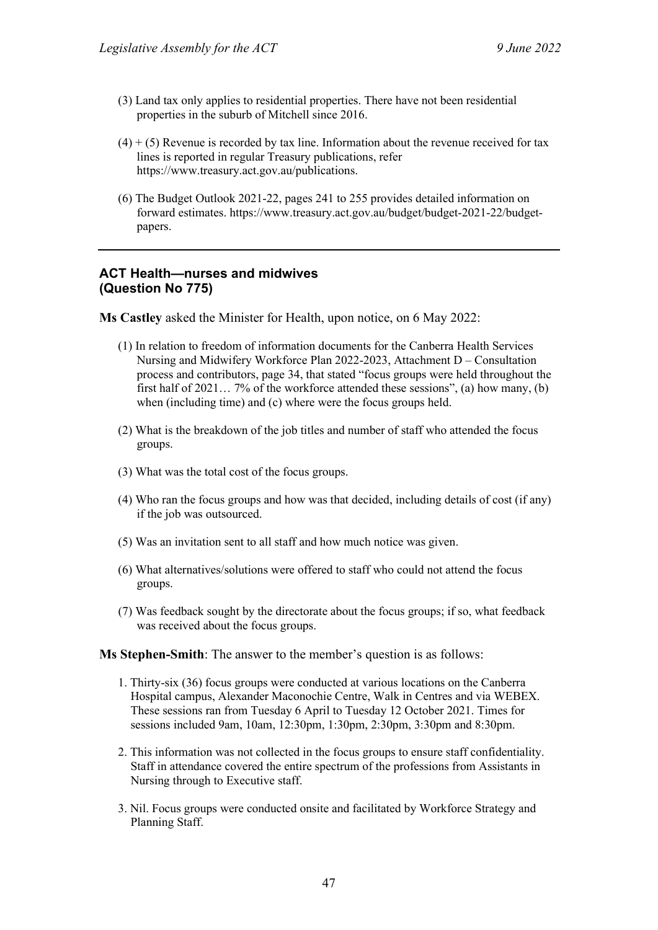- (3) Land tax only applies to residential properties. There have not been residential properties in the suburb of Mitchell since 2016.
- $(4) + (5)$  Revenue is recorded by tax line. Information about the revenue received for tax lines is reported in regular Treasury publications, refer https://www.treasury.act.gov.au/publications.
- (6) The Budget Outlook 2021-22, pages 241 to 255 provides detailed information on forward estimates. https://www.treasury.act.gov.au/budget/budget-2021-22/budgetpapers.

#### **ACT Health—nurses and midwives (Question No 775)**

**Ms Castley** asked the Minister for Health, upon notice, on 6 May 2022:

- (1) In relation to freedom of information documents for the Canberra Health Services Nursing and Midwifery Workforce Plan 2022-2023, Attachment D – Consultation process and contributors, page 34, that stated "focus groups were held throughout the first half of 2021… 7% of the workforce attended these sessions", (a) how many, (b) when (including time) and (c) where were the focus groups held.
- (2) What is the breakdown of the job titles and number of staff who attended the focus groups.
- (3) What was the total cost of the focus groups.
- (4) Who ran the focus groups and how was that decided, including details of cost (if any) if the job was outsourced.
- (5) Was an invitation sent to all staff and how much notice was given.
- (6) What alternatives/solutions were offered to staff who could not attend the focus groups.
- (7) Was feedback sought by the directorate about the focus groups; if so, what feedback was received about the focus groups.

**Ms Stephen-Smith**: The answer to the member's question is as follows:

- 1. Thirty-six (36) focus groups were conducted at various locations on the Canberra Hospital campus, Alexander Maconochie Centre, Walk in Centres and via WEBEX. These sessions ran from Tuesday 6 April to Tuesday 12 October 2021. Times for sessions included 9am, 10am, 12:30pm, 1:30pm, 2:30pm, 3:30pm and 8:30pm.
- 2. This information was not collected in the focus groups to ensure staff confidentiality. Staff in attendance covered the entire spectrum of the professions from Assistants in Nursing through to Executive staff.
- 3. Nil. Focus groups were conducted onsite and facilitated by Workforce Strategy and Planning Staff.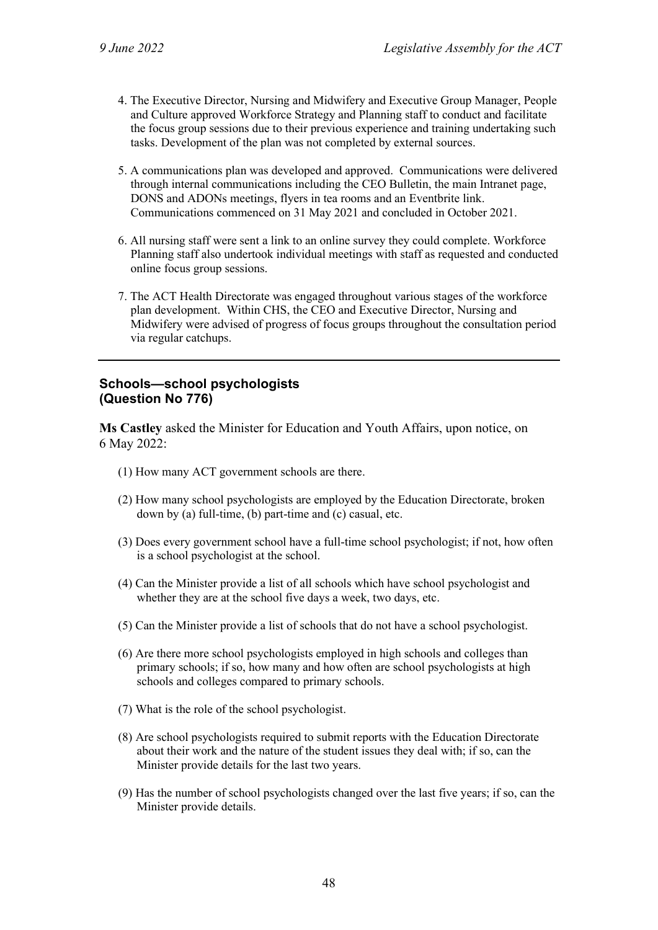- 4. The Executive Director, Nursing and Midwifery and Executive Group Manager, People and Culture approved Workforce Strategy and Planning staff to conduct and facilitate the focus group sessions due to their previous experience and training undertaking such tasks. Development of the plan was not completed by external sources.
- 5. A communications plan was developed and approved. Communications were delivered through internal communications including the CEO Bulletin, the main Intranet page, DONS and ADONs meetings, flyers in tea rooms and an Eventbrite link. Communications commenced on 31 May 2021 and concluded in October 2021.
- 6. All nursing staff were sent a link to an online survey they could complete. Workforce Planning staff also undertook individual meetings with staff as requested and conducted online focus group sessions.
- 7. The ACT Health Directorate was engaged throughout various stages of the workforce plan development. Within CHS, the CEO and Executive Director, Nursing and Midwifery were advised of progress of focus groups throughout the consultation period via regular catchups.

## **Schools—school psychologists (Question No 776)**

**Ms Castley** asked the Minister for Education and Youth Affairs, upon notice, on 6 May 2022:

- (1) How many ACT government schools are there.
- (2) How many school psychologists are employed by the Education Directorate, broken down by (a) full-time, (b) part-time and (c) casual, etc.
- (3) Does every government school have a full-time school psychologist; if not, how often is a school psychologist at the school.
- (4) Can the Minister provide a list of all schools which have school psychologist and whether they are at the school five days a week, two days, etc.
- (5) Can the Minister provide a list of schools that do not have a school psychologist.
- (6) Are there more school psychologists employed in high schools and colleges than primary schools; if so, how many and how often are school psychologists at high schools and colleges compared to primary schools.
- (7) What is the role of the school psychologist.
- (8) Are school psychologists required to submit reports with the Education Directorate about their work and the nature of the student issues they deal with; if so, can the Minister provide details for the last two years.
- (9) Has the number of school psychologists changed over the last five years; if so, can the Minister provide details.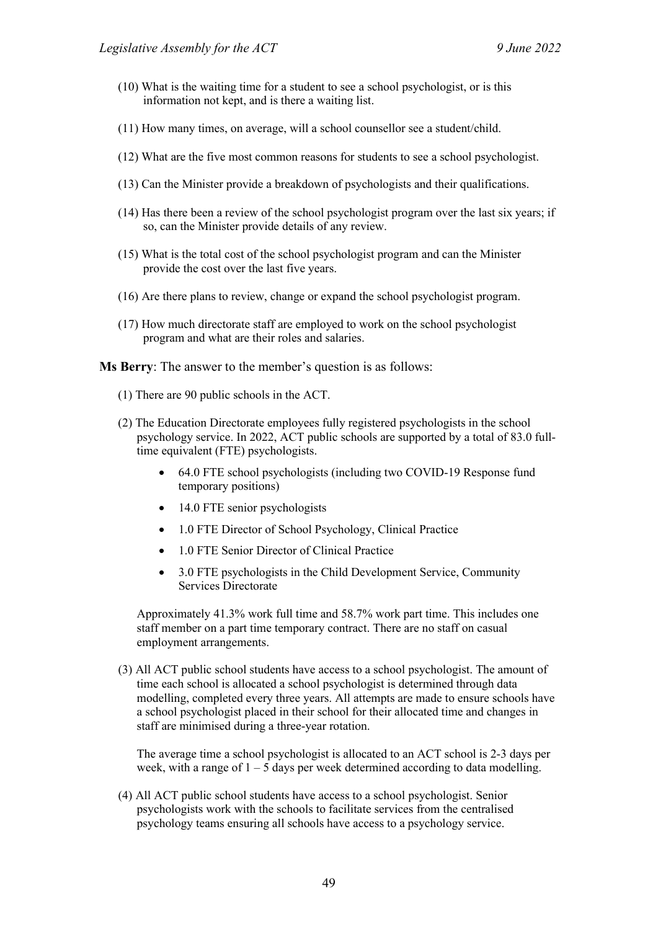- (10) What is the waiting time for a student to see a school psychologist, or is this information not kept, and is there a waiting list.
- (11) How many times, on average, will a school counsellor see a student/child.
- (12) What are the five most common reasons for students to see a school psychologist.
- (13) Can the Minister provide a breakdown of psychologists and their qualifications.
- (14) Has there been a review of the school psychologist program over the last six years; if so, can the Minister provide details of any review.
- (15) What is the total cost of the school psychologist program and can the Minister provide the cost over the last five years.
- (16) Are there plans to review, change or expand the school psychologist program.
- (17) How much directorate staff are employed to work on the school psychologist program and what are their roles and salaries.

**Ms Berry**: The answer to the member's question is as follows:

- (1) There are 90 public schools in the ACT.
- (2) The Education Directorate employees fully registered psychologists in the school psychology service. In 2022, ACT public schools are supported by a total of 83.0 fulltime equivalent (FTE) psychologists.
	- 64.0 FTE school psychologists (including two COVID-19 Response fund temporary positions)
	- 14.0 FTE senior psychologists
	- 1.0 FTE Director of School Psychology, Clinical Practice
	- 1.0 FTE Senior Director of Clinical Practice
	- 3.0 FTE psychologists in the Child Development Service, Community Services Directorate

Approximately 41.3% work full time and 58.7% work part time. This includes one staff member on a part time temporary contract. There are no staff on casual employment arrangements.

(3) All ACT public school students have access to a school psychologist. The amount of time each school is allocated a school psychologist is determined through data modelling, completed every three years. All attempts are made to ensure schools have a school psychologist placed in their school for their allocated time and changes in staff are minimised during a three-year rotation.

The average time a school psychologist is allocated to an ACT school is 2-3 days per week, with a range of  $1 - 5$  days per week determined according to data modelling.

(4) All ACT public school students have access to a school psychologist. Senior psychologists work with the schools to facilitate services from the centralised psychology teams ensuring all schools have access to a psychology service.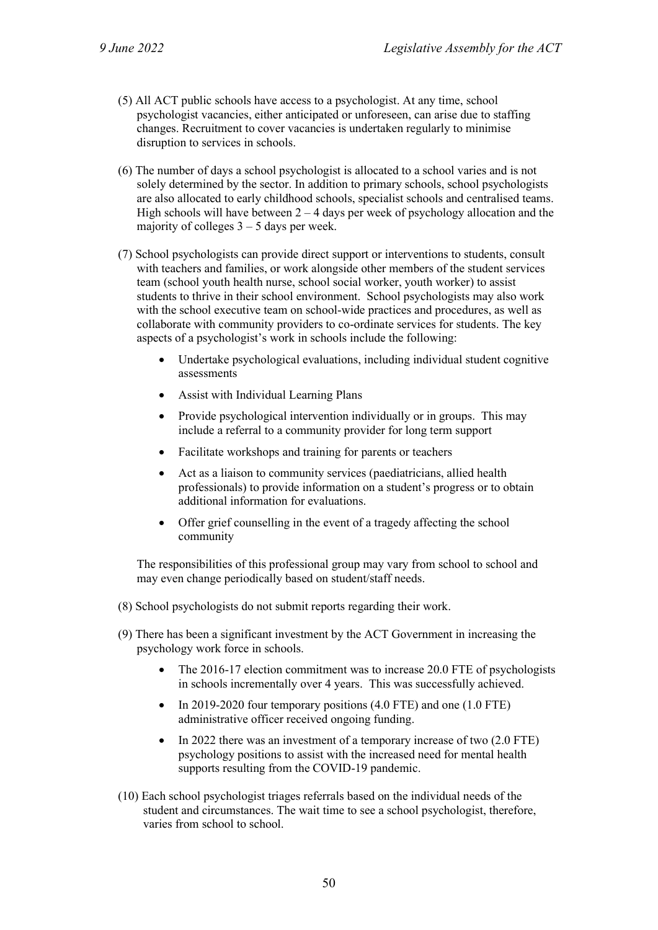- (5) All ACT public schools have access to a psychologist. At any time, school psychologist vacancies, either anticipated or unforeseen, can arise due to staffing changes. Recruitment to cover vacancies is undertaken regularly to minimise disruption to services in schools.
- (6) The number of days a school psychologist is allocated to a school varies and is not solely determined by the sector. In addition to primary schools, school psychologists are also allocated to early childhood schools, specialist schools and centralised teams. High schools will have between  $2 - 4$  days per week of psychology allocation and the majority of colleges  $3 - 5$  days per week.
- (7) School psychologists can provide direct support or interventions to students, consult with teachers and families, or work alongside other members of the student services team (school youth health nurse, school social worker, youth worker) to assist students to thrive in their school environment. School psychologists may also work with the school executive team on school-wide practices and procedures, as well as collaborate with community providers to co-ordinate services for students. The key aspects of a psychologist's work in schools include the following:
	- Undertake psychological evaluations, including individual student cognitive assessments
	- Assist with Individual Learning Plans
	- Provide psychological intervention individually or in groups. This may include a referral to a community provider for long term support
	- Facilitate workshops and training for parents or teachers
	- Act as a liaison to community services (paediatricians, allied health professionals) to provide information on a student's progress or to obtain additional information for evaluations.
	- Offer grief counselling in the event of a tragedy affecting the school community

The responsibilities of this professional group may vary from school to school and may even change periodically based on student/staff needs.

- (8) School psychologists do not submit reports regarding their work.
- (9) There has been a significant investment by the ACT Government in increasing the psychology work force in schools.
	- The 2016-17 election commitment was to increase 20.0 FTE of psychologists in schools incrementally over 4 years. This was successfully achieved.
	- In 2019-2020 four temporary positions (4.0 FTE) and one (1.0 FTE) administrative officer received ongoing funding.
	- In 2022 there was an investment of a temporary increase of two (2.0 FTE) psychology positions to assist with the increased need for mental health supports resulting from the COVID-19 pandemic.
- (10) Each school psychologist triages referrals based on the individual needs of the student and circumstances. The wait time to see a school psychologist, therefore, varies from school to school.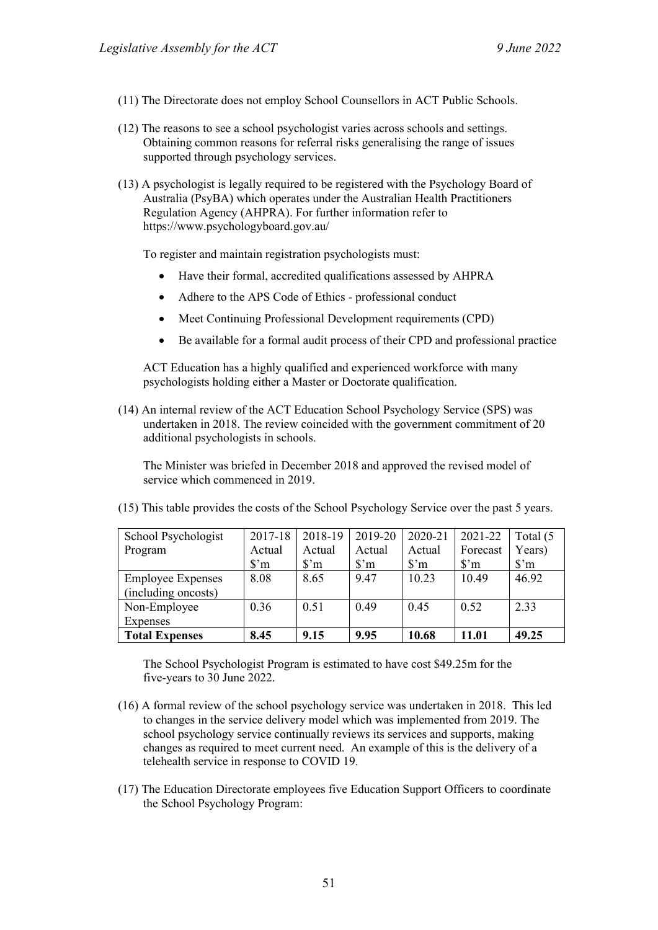- (11) The Directorate does not employ School Counsellors in ACT Public Schools.
- (12) The reasons to see a school psychologist varies across schools and settings. Obtaining common reasons for referral risks generalising the range of issues supported through psychology services.
- (13) A psychologist is legally required to be registered with the Psychology Board of Australia (PsyBA) which operates under the Australian Health Practitioners Regulation Agency (AHPRA). For further information refer to https://www.psychologyboard.gov.au/

To register and maintain registration psychologists must:

- Have their formal, accredited qualifications assessed by AHPRA
- Adhere to the APS Code of Ethics professional conduct
- Meet Continuing Professional Development requirements (CPD)
- Be available for a formal audit process of their CPD and professional practice

ACT Education has a highly qualified and experienced workforce with many psychologists holding either a Master or Doctorate qualification.

(14) An internal review of the ACT Education School Psychology Service (SPS) was undertaken in 2018. The review coincided with the government commitment of 20 additional psychologists in schools.

The Minister was briefed in December 2018 and approved the revised model of service which commenced in 2019.

(15) This table provides the costs of the School Psychology Service over the past 5 years.

| School Psychologist      | 2017-18              | 2018-19                 | 2019-20              | 2020-21                       | 2021-22                 | Total (5             |
|--------------------------|----------------------|-------------------------|----------------------|-------------------------------|-------------------------|----------------------|
| Program                  | Actual               | Actual                  | Actual               | Actual                        | Forecast                | Years)               |
|                          | $\mathbf{\hat{S}}$ m | $\mathbf{S}^{\prime}$ m | $\mathbf{\hat{S}}$ m | $\mathbf{\hat{S}}^{\prime}$ m | $\mathbf{S}^{\prime}$ m | $\mathbf{\hat{S}}$ m |
| <b>Employee Expenses</b> | 8.08                 | 8.65                    | 9.47                 | 10.23                         | 10.49                   | 46.92                |
| (including oncosts)      |                      |                         |                      |                               |                         |                      |
| Non-Employee             | 0.36                 | 0.51                    | 0.49                 | 0.45                          | 0.52                    | 2.33                 |
| <b>Expenses</b>          |                      |                         |                      |                               |                         |                      |
| <b>Total Expenses</b>    | 8.45                 | 9.15                    | 9.95                 | 10.68                         | 11.01                   | 49.25                |

The School Psychologist Program is estimated to have cost \$49.25m for the five-years to 30 June 2022.

- (16) A formal review of the school psychology service was undertaken in 2018. This led to changes in the service delivery model which was implemented from 2019. The school psychology service continually reviews its services and supports, making changes as required to meet current need. An example of this is the delivery of a telehealth service in response to COVID 19.
- (17) The Education Directorate employees five Education Support Officers to coordinate the School Psychology Program: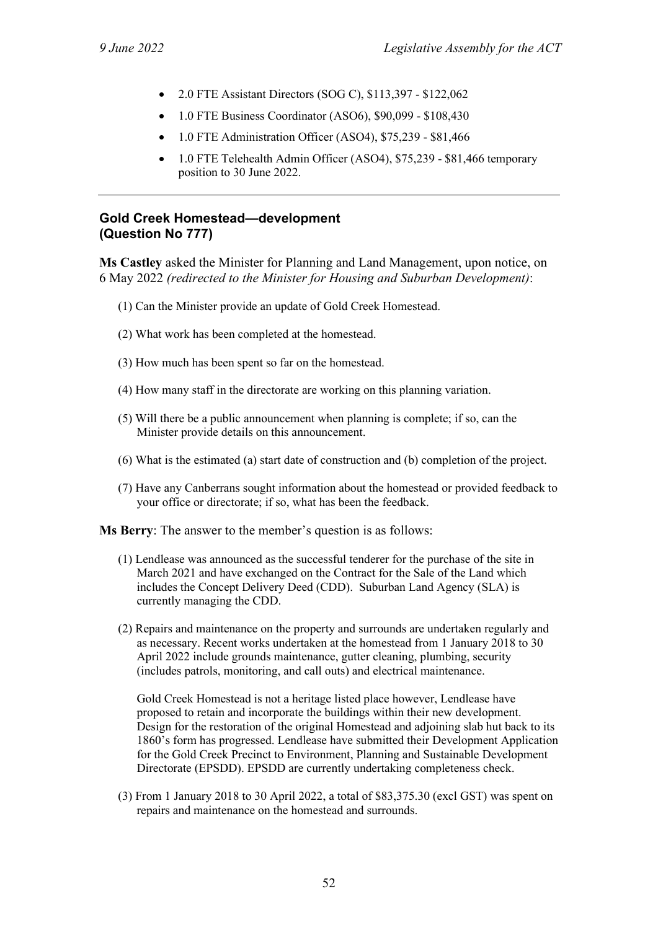- 2.0 FTE Assistant Directors (SOG C), \$113,397 \$122,062
- 1.0 FTE Business Coordinator (ASO6), \$90,099 \$108,430
- 1.0 FTE Administration Officer (ASO4), \$75,239 \$81,466
- 1.0 FTE Telehealth Admin Officer (ASO4), \$75,239 \$81,466 temporary position to 30 June 2022.

# **Gold Creek Homestead—development (Question No 777)**

**Ms Castley** asked the Minister for Planning and Land Management, upon notice, on 6 May 2022 *(redirected to the Minister for Housing and Suburban Development)*:

- (1) Can the Minister provide an update of Gold Creek Homestead.
- (2) What work has been completed at the homestead.
- (3) How much has been spent so far on the homestead.
- (4) How many staff in the directorate are working on this planning variation.
- (5) Will there be a public announcement when planning is complete; if so, can the Minister provide details on this announcement.
- (6) What is the estimated (a) start date of construction and (b) completion of the project.
- (7) Have any Canberrans sought information about the homestead or provided feedback to your office or directorate; if so, what has been the feedback.

**Ms Berry**: The answer to the member's question is as follows:

- (1) Lendlease was announced as the successful tenderer for the purchase of the site in March 2021 and have exchanged on the Contract for the Sale of the Land which includes the Concept Delivery Deed (CDD). Suburban Land Agency (SLA) is currently managing the CDD.
- (2) Repairs and maintenance on the property and surrounds are undertaken regularly and as necessary. Recent works undertaken at the homestead from 1 January 2018 to 30 April 2022 include grounds maintenance, gutter cleaning, plumbing, security (includes patrols, monitoring, and call outs) and electrical maintenance.

Gold Creek Homestead is not a heritage listed place however, Lendlease have proposed to retain and incorporate the buildings within their new development. Design for the restoration of the original Homestead and adjoining slab hut back to its 1860's form has progressed. Lendlease have submitted their Development Application for the Gold Creek Precinct to Environment, Planning and Sustainable Development Directorate (EPSDD). EPSDD are currently undertaking completeness check.

(3) From 1 January 2018 to 30 April 2022, a total of \$83,375.30 (excl GST) was spent on repairs and maintenance on the homestead and surrounds.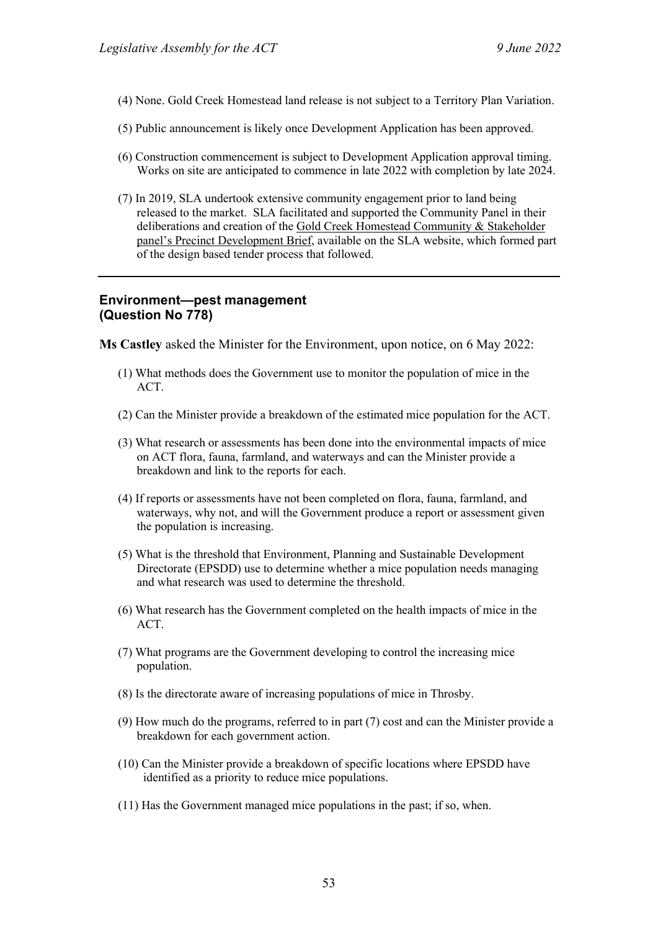- (4) None. Gold Creek Homestead land release is not subject to a Territory Plan Variation.
- (5) Public announcement is likely once Development Application has been approved.
- (6) Construction commencement is subject to Development Application approval timing. Works on site are anticipated to commence in late 2022 with completion by late 2024.
- (7) In 2019, SLA undertook extensive community engagement prior to land being released to the market. SLA facilitated and supported the Community Panel in their deliberations and creation of the Gold Creek Homestead Community & Stakeholder panel's Precinct Development Brief, available on the SLA website, which formed part of the design based tender process that followed.

### **Environment—pest management (Question No 778)**

**Ms Castley** asked the Minister for the Environment, upon notice, on 6 May 2022:

- (1) What methods does the Government use to monitor the population of mice in the ACT.
- (2) Can the Minister provide a breakdown of the estimated mice population for the ACT.
- (3) What research or assessments has been done into the environmental impacts of mice on ACT flora, fauna, farmland, and waterways and can the Minister provide a breakdown and link to the reports for each.
- (4) If reports or assessments have not been completed on flora, fauna, farmland, and waterways, why not, and will the Government produce a report or assessment given the population is increasing.
- (5) What is the threshold that Environment, Planning and Sustainable Development Directorate (EPSDD) use to determine whether a mice population needs managing and what research was used to determine the threshold.
- (6) What research has the Government completed on the health impacts of mice in the ACT.
- (7) What programs are the Government developing to control the increasing mice population.
- (8) Is the directorate aware of increasing populations of mice in Throsby.
- (9) How much do the programs, referred to in part (7) cost and can the Minister provide a breakdown for each government action.
- (10) Can the Minister provide a breakdown of specific locations where EPSDD have identified as a priority to reduce mice populations.
- (11) Has the Government managed mice populations in the past; if so, when.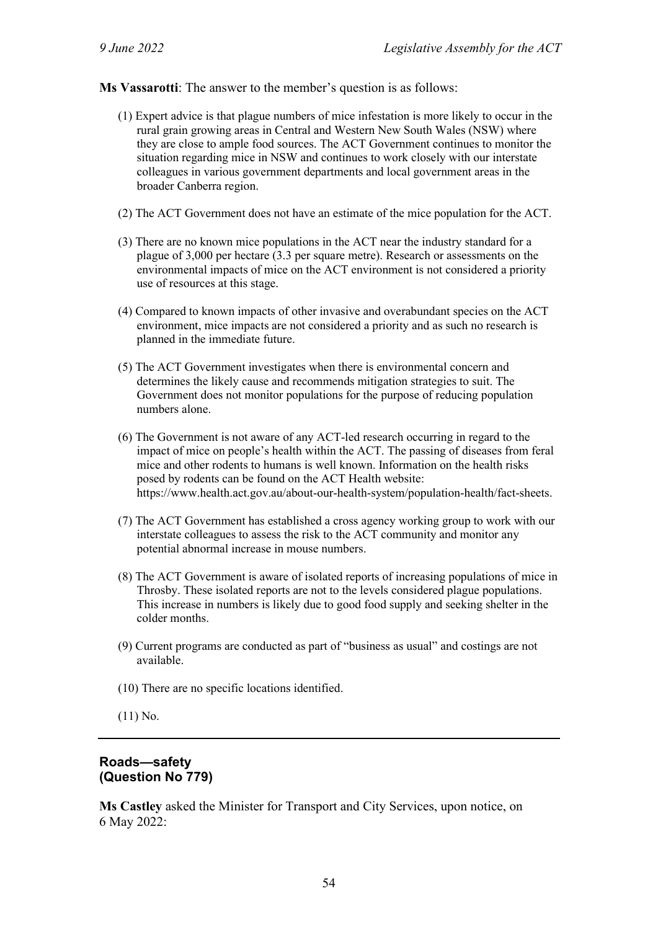**Ms Vassarotti**: The answer to the member's question is as follows:

- (1) Expert advice is that plague numbers of mice infestation is more likely to occur in the rural grain growing areas in Central and Western New South Wales (NSW) where they are close to ample food sources. The ACT Government continues to monitor the situation regarding mice in NSW and continues to work closely with our interstate colleagues in various government departments and local government areas in the broader Canberra region.
- (2) The ACT Government does not have an estimate of the mice population for the ACT.
- (3) There are no known mice populations in the ACT near the industry standard for a plague of 3,000 per hectare (3.3 per square metre). Research or assessments on the environmental impacts of mice on the ACT environment is not considered a priority use of resources at this stage.
- (4) Compared to known impacts of other invasive and overabundant species on the ACT environment, mice impacts are not considered a priority and as such no research is planned in the immediate future.
- (5) The ACT Government investigates when there is environmental concern and determines the likely cause and recommends mitigation strategies to suit. The Government does not monitor populations for the purpose of reducing population numbers alone.
- (6) The Government is not aware of any ACT-led research occurring in regard to the impact of mice on people's health within the ACT. The passing of diseases from feral mice and other rodents to humans is well known. Information on the health risks posed by rodents can be found on the ACT Health website: https://www.health.act.gov.au/about-our-health-system/population-health/fact-sheets.
- (7) The ACT Government has established a cross agency working group to work with our interstate colleagues to assess the risk to the ACT community and monitor any potential abnormal increase in mouse numbers.
- (8) The ACT Government is aware of isolated reports of increasing populations of mice in Throsby. These isolated reports are not to the levels considered plague populations. This increase in numbers is likely due to good food supply and seeking shelter in the colder months.
- (9) Current programs are conducted as part of "business as usual" and costings are not available.
- (10) There are no specific locations identified.

(11) No.

### **Roads—safety (Question No 779)**

**Ms Castley** asked the Minister for Transport and City Services, upon notice, on 6 May 2022: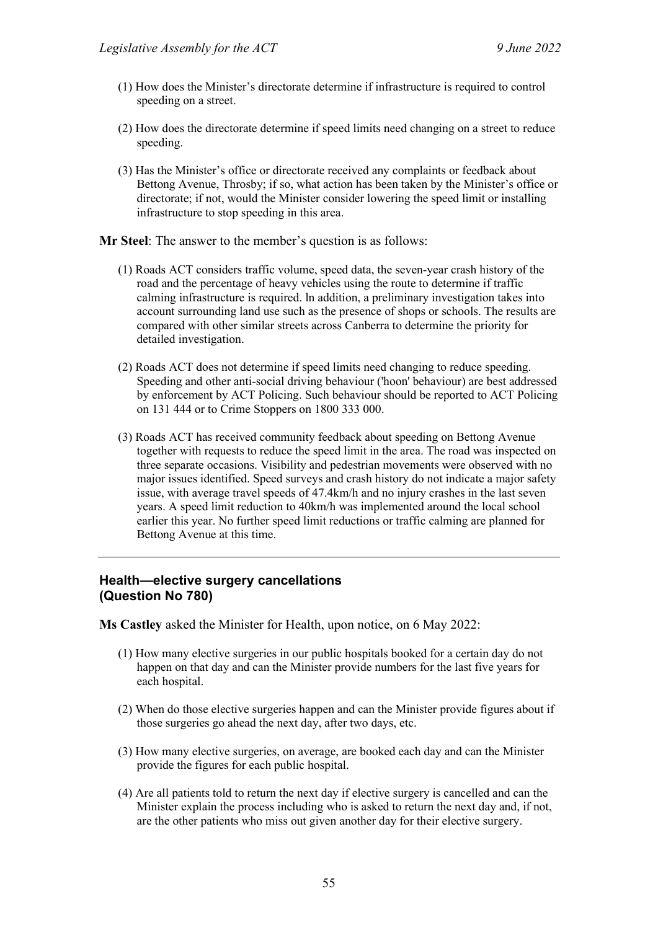- (1) How does the Minister's directorate determine if infrastructure is required to control speeding on a street.
- (2) How does the directorate determine if speed limits need changing on a street to reduce speeding.
- (3) Has the Minister's office or directorate received any complaints or feedback about Bettong Avenue, Throsby; if so, what action has been taken by the Minister's office or directorate; if not, would the Minister consider lowering the speed limit or installing infrastructure to stop speeding in this area.
- **Mr Steel**: The answer to the member's question is as follows:
	- (1) Roads ACT considers traffic volume, speed data, the seven-year crash history of the road and the percentage of heavy vehicles using the route to determine if traffic calming infrastructure is required. ln addition, a preliminary investigation takes into account surrounding land use such as the presence of shops or schools. The results are compared with other similar streets across Canberra to determine the priority for detailed investigation.
	- (2) Roads ACT does not determine if speed limits need changing to reduce speeding. Speeding and other anti-social driving behaviour ('hoon' behaviour) are best addressed by enforcement by ACT Policing. Such behaviour should be reported to ACT Policing on 131 444 or to Crime Stoppers on 1800 333 000.
	- (3) Roads ACT has received community feedback about speeding on Bettong Avenue together with requests to reduce the speed limit in the area. The road was inspected on three separate occasions. Visibility and pedestrian movements were observed with no major issues identified. Speed surveys and crash history do not indicate a major safety issue, with average travel speeds of 47.4km/h and no injury crashes in the last seven years. A speed limit reduction to 40km/h was implemented around the local school earlier this year. No further speed limit reductions or traffic calming are planned for Bettong Avenue at this time.

### **Health—elective surgery cancellations (Question No 780)**

**Ms Castley** asked the Minister for Health, upon notice, on 6 May 2022:

- (1) How many elective surgeries in our public hospitals booked for a certain day do not happen on that day and can the Minister provide numbers for the last five years for each hospital.
- (2) When do those elective surgeries happen and can the Minister provide figures about if those surgeries go ahead the next day, after two days, etc.
- (3) How many elective surgeries, on average, are booked each day and can the Minister provide the figures for each public hospital.
- (4) Are all patients told to return the next day if elective surgery is cancelled and can the Minister explain the process including who is asked to return the next day and, if not, are the other patients who miss out given another day for their elective surgery.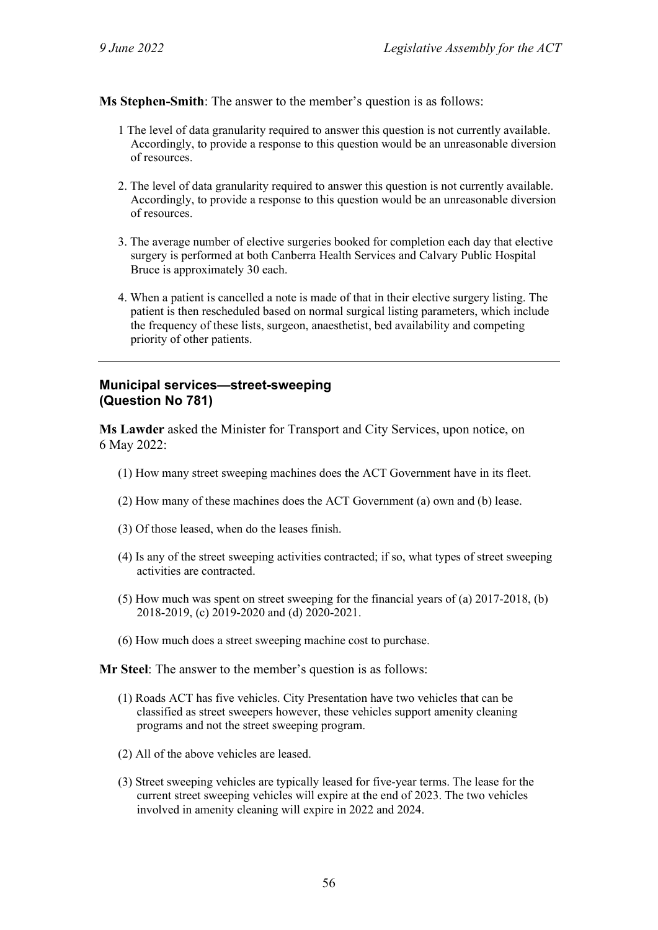**Ms Stephen-Smith**: The answer to the member's question is as follows:

- 1 The level of data granularity required to answer this question is not currently available. Accordingly, to provide a response to this question would be an unreasonable diversion of resources.
- 2. The level of data granularity required to answer this question is not currently available. Accordingly, to provide a response to this question would be an unreasonable diversion of resources.
- 3. The average number of elective surgeries booked for completion each day that elective surgery is performed at both Canberra Health Services and Calvary Public Hospital Bruce is approximately 30 each.
- 4. When a patient is cancelled a note is made of that in their elective surgery listing. The patient is then rescheduled based on normal surgical listing parameters, which include the frequency of these lists, surgeon, anaesthetist, bed availability and competing priority of other patients.

### **Municipal services—street-sweeping (Question No 781)**

**Ms Lawder** asked the Minister for Transport and City Services, upon notice, on 6 May 2022:

- (1) How many street sweeping machines does the ACT Government have in its fleet.
- (2) How many of these machines does the ACT Government (a) own and (b) lease.
- (3) Of those leased, when do the leases finish.
- (4) Is any of the street sweeping activities contracted; if so, what types of street sweeping activities are contracted.
- (5) How much was spent on street sweeping for the financial years of (a) 2017-2018, (b) 2018-2019, (c) 2019-2020 and (d) 2020-2021.
- (6) How much does a street sweeping machine cost to purchase.

**Mr Steel**: The answer to the member's question is as follows:

- (1) Roads ACT has five vehicles. City Presentation have two vehicles that can be classified as street sweepers however, these vehicles support amenity cleaning programs and not the street sweeping program.
- (2) All of the above vehicles are leased.
- (3) Street sweeping vehicles are typically leased for five-year terms. The lease for the current street sweeping vehicles will expire at the end of 2023. The two vehicles involved in amenity cleaning will expire in 2022 and 2024.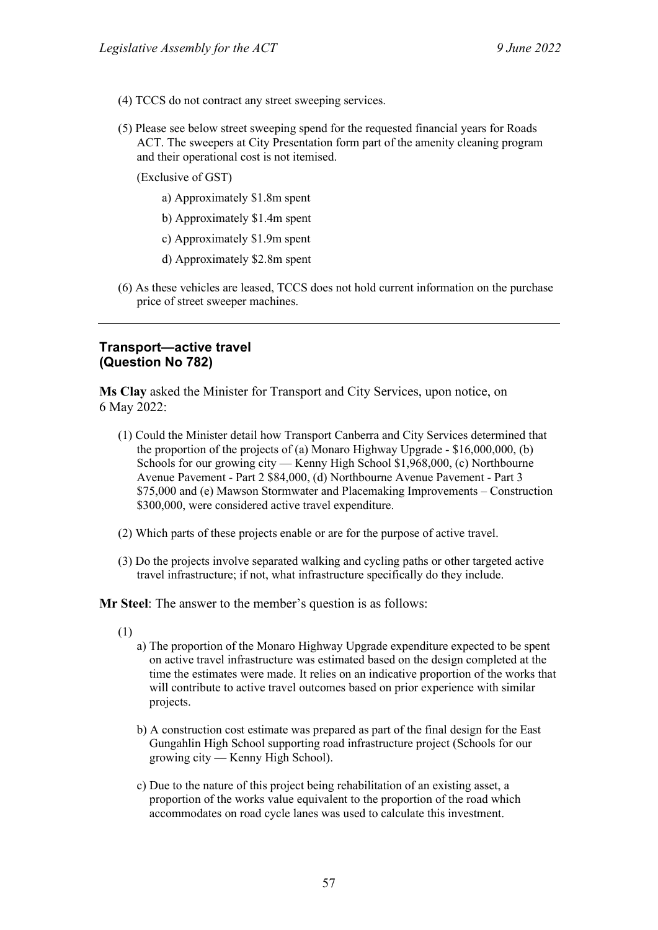- (4) TCCS do not contract any street sweeping services.
- (5) Please see below street sweeping spend for the requested financial years for Roads ACT. The sweepers at City Presentation form part of the amenity cleaning program and their operational cost is not itemised.
	- (Exclusive of GST)
		- a) Approximately \$1.8m spent
		- b) Approximately \$1.4m spent
		- c) Approximately \$1.9m spent
		- d) Approximately \$2.8m spent
- (6) As these vehicles are leased, TCCS does not hold current information on the purchase price of street sweeper machines.

#### **Transport—active travel (Question No 782)**

**Ms Clay** asked the Minister for Transport and City Services, upon notice, on 6 May 2022:

- (1) Could the Minister detail how Transport Canberra and City Services determined that the proportion of the projects of (a) Monaro Highway Upgrade - \$16,000,000, (b) Schools for our growing city — Kenny High School \$1,968,000, (c) Northbourne Avenue Pavement - Part 2 \$84,000, (d) Northbourne Avenue Pavement - Part 3 \$75,000 and (e) Mawson Stormwater and Placemaking Improvements – Construction \$300,000, were considered active travel expenditure.
- (2) Which parts of these projects enable or are for the purpose of active travel.
- (3) Do the projects involve separated walking and cycling paths or other targeted active travel infrastructure; if not, what infrastructure specifically do they include.

**Mr Steel**: The answer to the member's question is as follows:

- (1)
- a) The proportion of the Monaro Highway Upgrade expenditure expected to be spent on active travel infrastructure was estimated based on the design completed at the time the estimates were made. It relies on an indicative proportion of the works that will contribute to active travel outcomes based on prior experience with similar projects.
- b) A construction cost estimate was prepared as part of the final design for the East Gungahlin High School supporting road infrastructure project (Schools for our growing city — Kenny High School).
- c) Due to the nature of this project being rehabilitation of an existing asset, a proportion of the works value equivalent to the proportion of the road which accommodates on road cycle lanes was used to calculate this investment.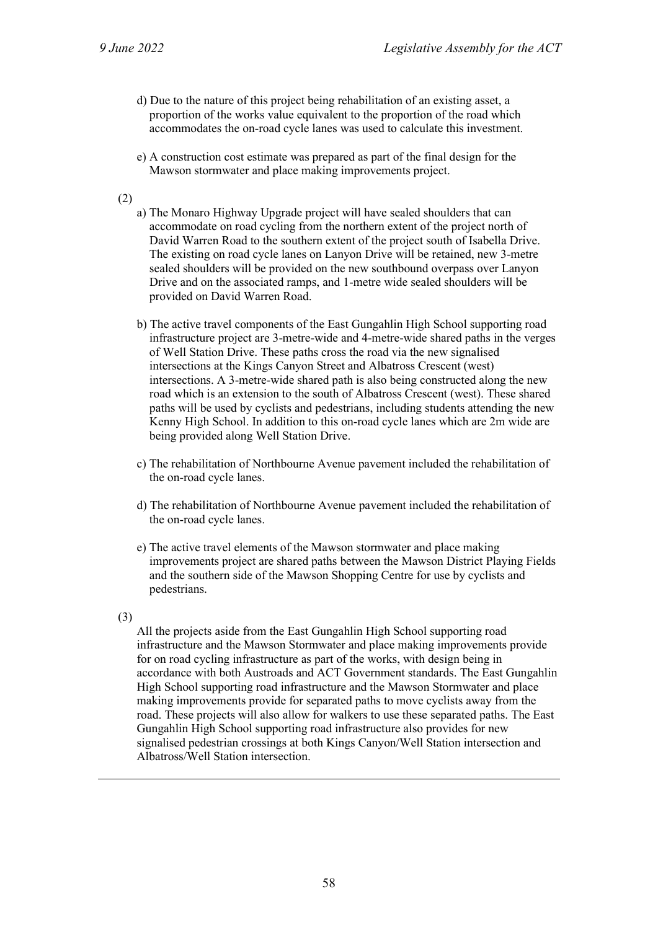- d) Due to the nature of this project being rehabilitation of an existing asset, a proportion of the works value equivalent to the proportion of the road which accommodates the on-road cycle lanes was used to calculate this investment.
- e) A construction cost estimate was prepared as part of the final design for the Mawson stormwater and place making improvements project.
- (2)
	- a) The Monaro Highway Upgrade project will have sealed shoulders that can accommodate on road cycling from the northern extent of the project north of David Warren Road to the southern extent of the project south of Isabella Drive. The existing on road cycle lanes on Lanyon Drive will be retained, new 3-metre sealed shoulders will be provided on the new southbound overpass over Lanyon Drive and on the associated ramps, and 1-metre wide sealed shoulders will be provided on David Warren Road.
	- b) The active travel components of the East Gungahlin High School supporting road infrastructure project are 3-metre-wide and 4-metre-wide shared paths in the verges of Well Station Drive. These paths cross the road via the new signalised intersections at the Kings Canyon Street and Albatross Crescent (west) intersections. A 3-metre-wide shared path is also being constructed along the new road which is an extension to the south of Albatross Crescent (west). These shared paths will be used by cyclists and pedestrians, including students attending the new Kenny High School. In addition to this on-road cycle lanes which are 2m wide are being provided along Well Station Drive.
	- c) The rehabilitation of Northbourne Avenue pavement included the rehabilitation of the on-road cycle lanes.
	- d) The rehabilitation of Northbourne Avenue pavement included the rehabilitation of the on-road cycle lanes.
	- e) The active travel elements of the Mawson stormwater and place making improvements project are shared paths between the Mawson District Playing Fields and the southern side of the Mawson Shopping Centre for use by cyclists and pedestrians.

(3)

All the projects aside from the East Gungahlin High School supporting road infrastructure and the Mawson Stormwater and place making improvements provide for on road cycling infrastructure as part of the works, with design being in accordance with both Austroads and ACT Government standards. The East Gungahlin High School supporting road infrastructure and the Mawson Stormwater and place making improvements provide for separated paths to move cyclists away from the road. These projects will also allow for walkers to use these separated paths. The East Gungahlin High School supporting road infrastructure also provides for new signalised pedestrian crossings at both Kings Canyon/Well Station intersection and Albatross/Well Station intersection.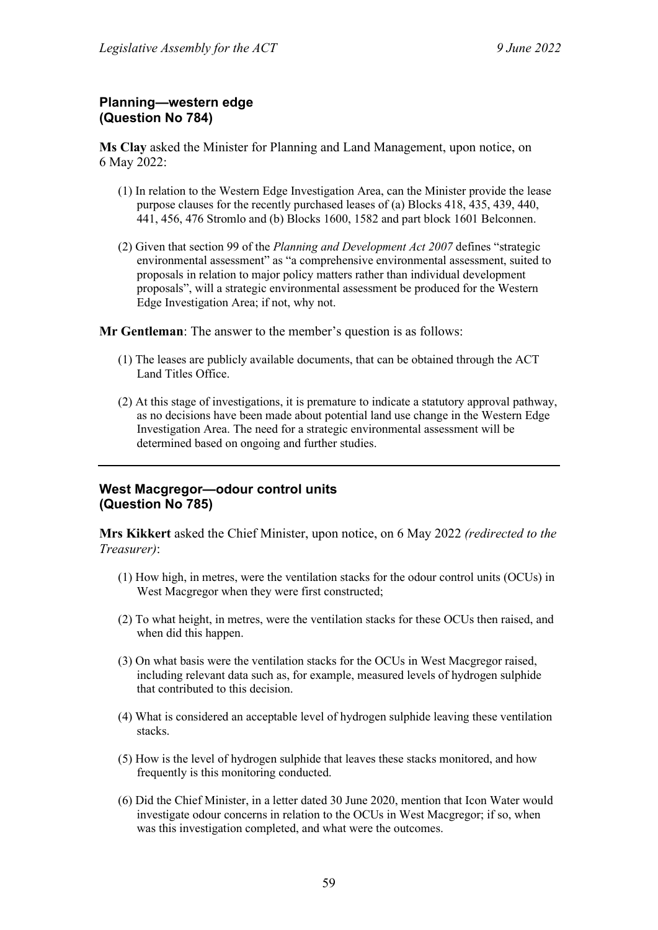## **Planning—western edge (Question No 784)**

**Ms Clay** asked the Minister for Planning and Land Management, upon notice, on 6 May 2022:

- (1) In relation to the Western Edge Investigation Area, can the Minister provide the lease purpose clauses for the recently purchased leases of (a) Blocks 418, 435, 439, 440, 441, 456, 476 Stromlo and (b) Blocks 1600, 1582 and part block 1601 Belconnen.
- (2) Given that section 99 of the *Planning and Development Act 2007* defines "strategic environmental assessment" as "a comprehensive environmental assessment, suited to proposals in relation to major policy matters rather than individual development proposals", will a strategic environmental assessment be produced for the Western Edge Investigation Area; if not, why not.

**Mr Gentleman**: The answer to the member's question is as follows:

- (1) The leases are publicly available documents, that can be obtained through the ACT Land Titles Office.
- (2) At this stage of investigations, it is premature to indicate a statutory approval pathway, as no decisions have been made about potential land use change in the Western Edge Investigation Area. The need for a strategic environmental assessment will be determined based on ongoing and further studies.

## **West Macgregor—odour control units (Question No 785)**

**Mrs Kikkert** asked the Chief Minister, upon notice, on 6 May 2022 *(redirected to the Treasurer)*:

- (1) How high, in metres, were the ventilation stacks for the odour control units (OCUs) in West Macgregor when they were first constructed;
- (2) To what height, in metres, were the ventilation stacks for these OCUs then raised, and when did this happen.
- (3) On what basis were the ventilation stacks for the OCUs in West Macgregor raised, including relevant data such as, for example, measured levels of hydrogen sulphide that contributed to this decision.
- (4) What is considered an acceptable level of hydrogen sulphide leaving these ventilation stacks.
- (5) How is the level of hydrogen sulphide that leaves these stacks monitored, and how frequently is this monitoring conducted.
- (6) Did the Chief Minister, in a letter dated 30 June 2020, mention that Icon Water would investigate odour concerns in relation to the OCUs in West Macgregor; if so, when was this investigation completed, and what were the outcomes.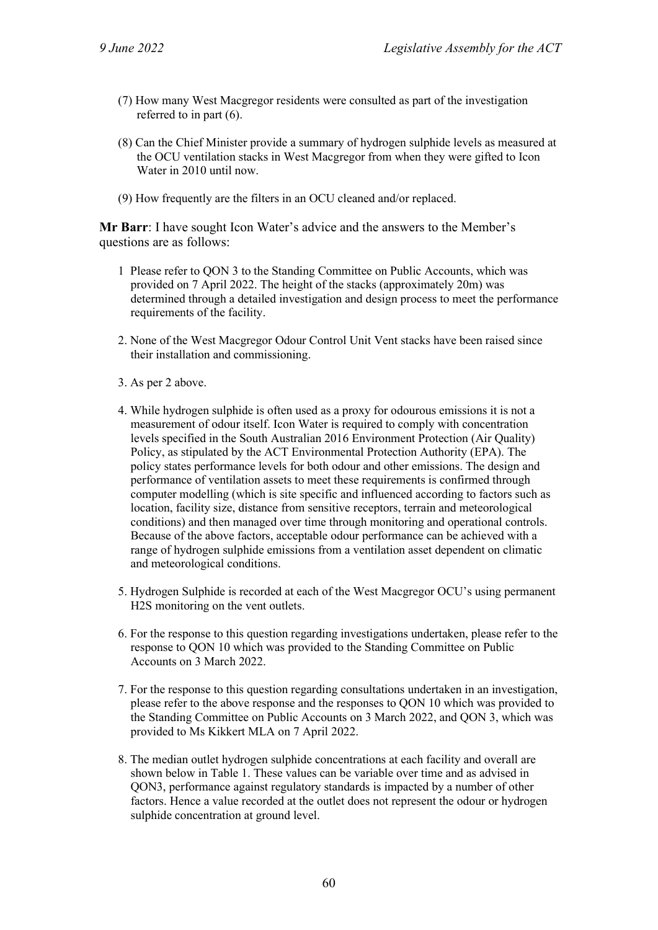- (7) How many West Macgregor residents were consulted as part of the investigation referred to in part (6).
- (8) Can the Chief Minister provide a summary of hydrogen sulphide levels as measured at the OCU ventilation stacks in West Macgregor from when they were gifted to Icon Water in 2010 until now.
- (9) How frequently are the filters in an OCU cleaned and/or replaced.

**Mr Barr**: I have sought Icon Water's advice and the answers to the Member's questions are as follows:

- 1 Please refer to QON 3 to the Standing Committee on Public Accounts, which was provided on 7 April 2022. The height of the stacks (approximately 20m) was determined through a detailed investigation and design process to meet the performance requirements of the facility.
- 2. None of the West Macgregor Odour Control Unit Vent stacks have been raised since their installation and commissioning.
- 3. As per 2 above.
- 4. While hydrogen sulphide is often used as a proxy for odourous emissions it is not a measurement of odour itself. Icon Water is required to comply with concentration levels specified in the South Australian 2016 Environment Protection (Air Quality) Policy, as stipulated by the ACT Environmental Protection Authority (EPA). The policy states performance levels for both odour and other emissions. The design and performance of ventilation assets to meet these requirements is confirmed through computer modelling (which is site specific and influenced according to factors such as location, facility size, distance from sensitive receptors, terrain and meteorological conditions) and then managed over time through monitoring and operational controls. Because of the above factors, acceptable odour performance can be achieved with a range of hydrogen sulphide emissions from a ventilation asset dependent on climatic and meteorological conditions.
- 5. Hydrogen Sulphide is recorded at each of the West Macgregor OCU's using permanent H2S monitoring on the vent outlets.
- 6. For the response to this question regarding investigations undertaken, please refer to the response to QON 10 which was provided to the Standing Committee on Public Accounts on 3 March 2022.
- 7. For the response to this question regarding consultations undertaken in an investigation, please refer to the above response and the responses to QON 10 which was provided to the Standing Committee on Public Accounts on 3 March 2022, and QON 3, which was provided to Ms Kikkert MLA on 7 April 2022.
- 8. The median outlet hydrogen sulphide concentrations at each facility and overall are shown below in Table 1. These values can be variable over time and as advised in QON3, performance against regulatory standards is impacted by a number of other factors. Hence a value recorded at the outlet does not represent the odour or hydrogen sulphide concentration at ground level.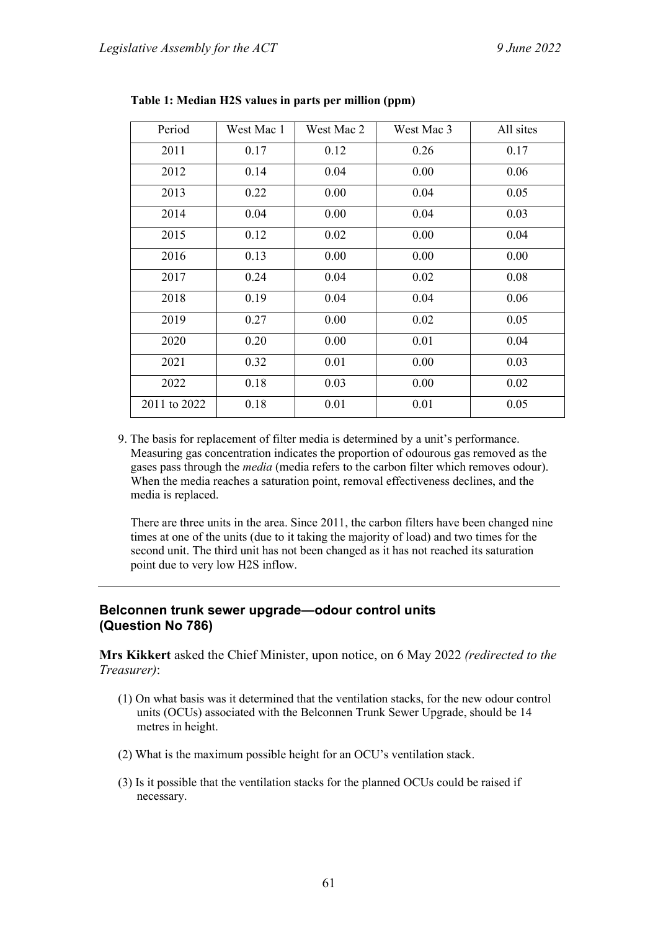| Period       | West Mac 1 | West Mac 2 | West Mac 3 | All sites |
|--------------|------------|------------|------------|-----------|
| 2011         | 0.17       | 0.12       | 0.26       | 0.17      |
| 2012         | 0.14       | 0.04       | 0.00       | 0.06      |
| 2013         | 0.22       | 0.00       | 0.04       | 0.05      |
| 2014         | 0.04       | 0.00       | 0.04       | 0.03      |
| 2015         | 0.12       | 0.02       | 0.00       | 0.04      |
| 2016         | 0.13       | 0.00       | 0.00       | 0.00      |
| 2017         | 0.24       | 0.04       | 0.02       | 0.08      |
| 2018         | 0.19       | 0.04       | 0.04       | 0.06      |
| 2019         | 0.27       | 0.00       | 0.02       | 0.05      |
| 2020         | 0.20       | 0.00       | 0.01       | 0.04      |
| 2021         | 0.32       | 0.01       | 0.00       | 0.03      |
| 2022         | 0.18       | 0.03       | 0.00       | 0.02      |
| 2011 to 2022 | 0.18       | 0.01       | 0.01       | 0.05      |

**Table 1: Median H2S values in parts per million (ppm)**

9. The basis for replacement of filter media is determined by a unit's performance. Measuring gas concentration indicates the proportion of odourous gas removed as the gases pass through the *media* (media refers to the carbon filter which removes odour). When the media reaches a saturation point, removal effectiveness declines, and the media is replaced.

There are three units in the area. Since 2011, the carbon filters have been changed nine times at one of the units (due to it taking the majority of load) and two times for the second unit. The third unit has not been changed as it has not reached its saturation point due to very low H2S inflow.

## **Belconnen trunk sewer upgrade—odour control units (Question No 786)**

**Mrs Kikkert** asked the Chief Minister, upon notice, on 6 May 2022 *(redirected to the Treasurer)*:

- (1) On what basis was it determined that the ventilation stacks, for the new odour control units (OCUs) associated with the Belconnen Trunk Sewer Upgrade, should be 14 metres in height.
- (2) What is the maximum possible height for an OCU's ventilation stack.
- (3) Is it possible that the ventilation stacks for the planned OCUs could be raised if necessary.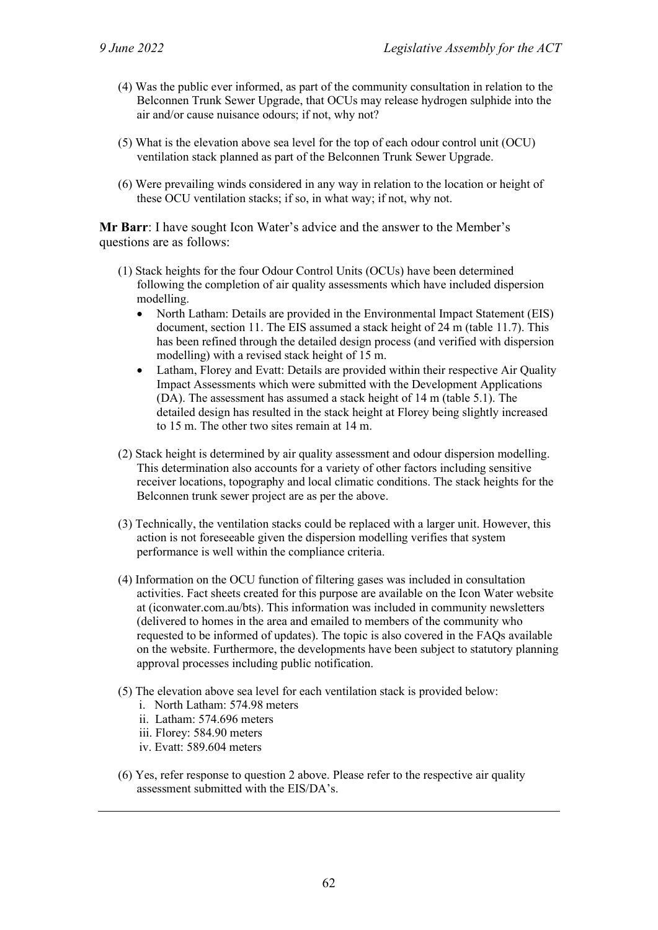- (4) Was the public ever informed, as part of the community consultation in relation to the Belconnen Trunk Sewer Upgrade, that OCUs may release hydrogen sulphide into the air and/or cause nuisance odours; if not, why not?
- (5) What is the elevation above sea level for the top of each odour control unit (OCU) ventilation stack planned as part of the Belconnen Trunk Sewer Upgrade.
- (6) Were prevailing winds considered in any way in relation to the location or height of these OCU ventilation stacks; if so, in what way; if not, why not.

**Mr Barr**: I have sought Icon Water's advice and the answer to the Member's questions are as follows:

- (1) Stack heights for the four Odour Control Units (OCUs) have been determined following the completion of air quality assessments which have included dispersion modelling.
	- North Latham: Details are provided in the Environmental Impact Statement (EIS) document, section 11. The EIS assumed a stack height of 24 m (table 11.7). This has been refined through the detailed design process (and verified with dispersion modelling) with a revised stack height of 15 m.
	- Latham, Florey and Evatt: Details are provided within their respective Air Quality Impact Assessments which were submitted with the Development Applications (DA). The assessment has assumed a stack height of 14 m (table 5.1). The detailed design has resulted in the stack height at Florey being slightly increased to 15 m. The other two sites remain at 14 m.
- (2) Stack height is determined by air quality assessment and odour dispersion modelling. This determination also accounts for a variety of other factors including sensitive receiver locations, topography and local climatic conditions. The stack heights for the Belconnen trunk sewer project are as per the above.
- (3) Technically, the ventilation stacks could be replaced with a larger unit. However, this action is not foreseeable given the dispersion modelling verifies that system performance is well within the compliance criteria.
- (4) Information on the OCU function of filtering gases was included in consultation activities. Fact sheets created for this purpose are available on the Icon Water website at (iconwater.com.au/bts). This information was included in community newsletters (delivered to homes in the area and emailed to members of the community who requested to be informed of updates). The topic is also covered in the FAQs available on the website. Furthermore, the developments have been subject to statutory planning approval processes including public notification.
- (5) The elevation above sea level for each ventilation stack is provided below:
	- i. North Latham: 574.98 meters
	- ii. Latham: 574.696 meters
	- iii. Florey: 584.90 meters
	- iv. Evatt: 589.604 meters
- (6) Yes, refer response to question 2 above. Please refer to the respective air quality assessment submitted with the EIS/DA's.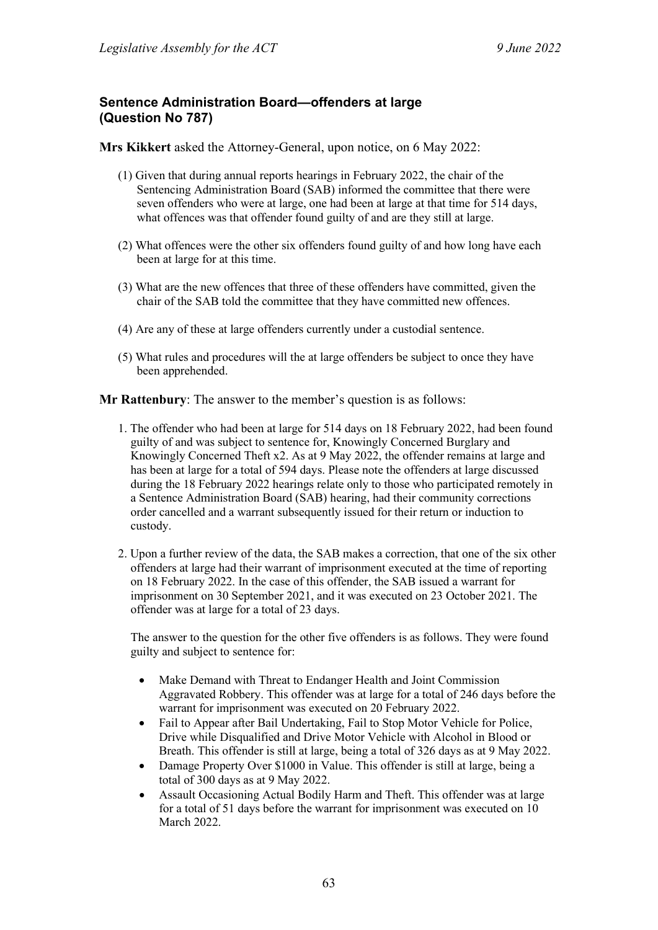# **Sentence Administration Board—offenders at large (Question No 787)**

**Mrs Kikkert** asked the Attorney-General, upon notice, on 6 May 2022:

- (1) Given that during annual reports hearings in February 2022, the chair of the Sentencing Administration Board (SAB) informed the committee that there were seven offenders who were at large, one had been at large at that time for 514 days, what offences was that offender found guilty of and are they still at large.
- (2) What offences were the other six offenders found guilty of and how long have each been at large for at this time.
- (3) What are the new offences that three of these offenders have committed, given the chair of the SAB told the committee that they have committed new offences.
- (4) Are any of these at large offenders currently under a custodial sentence.
- (5) What rules and procedures will the at large offenders be subject to once they have been apprehended.

**Mr Rattenbury**: The answer to the member's question is as follows:

- 1. The offender who had been at large for 514 days on 18 February 2022, had been found guilty of and was subject to sentence for, Knowingly Concerned Burglary and Knowingly Concerned Theft x2. As at 9 May 2022, the offender remains at large and has been at large for a total of 594 days. Please note the offenders at large discussed during the 18 February 2022 hearings relate only to those who participated remotely in a Sentence Administration Board (SAB) hearing, had their community corrections order cancelled and a warrant subsequently issued for their return or induction to custody.
- 2. Upon a further review of the data, the SAB makes a correction, that one of the six other offenders at large had their warrant of imprisonment executed at the time of reporting on 18 February 2022. In the case of this offender, the SAB issued a warrant for imprisonment on 30 September 2021, and it was executed on 23 October 2021. The offender was at large for a total of 23 days.

The answer to the question for the other five offenders is as follows. They were found guilty and subject to sentence for:

- Make Demand with Threat to Endanger Health and Joint Commission Aggravated Robbery. This offender was at large for a total of 246 days before the warrant for imprisonment was executed on 20 February 2022.
- Fail to Appear after Bail Undertaking, Fail to Stop Motor Vehicle for Police, Drive while Disqualified and Drive Motor Vehicle with Alcohol in Blood or Breath. This offender is still at large, being a total of 326 days as at 9 May 2022.
- Damage Property Over \$1000 in Value. This offender is still at large, being a total of 300 days as at 9 May 2022.
- Assault Occasioning Actual Bodily Harm and Theft. This offender was at large for a total of 51 days before the warrant for imprisonment was executed on 10 March 2022.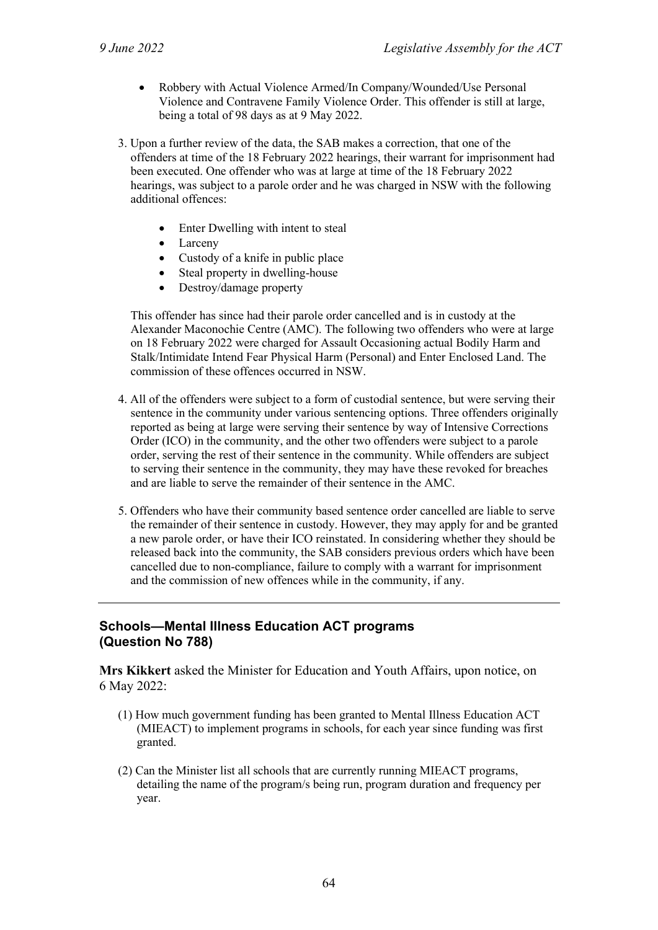- Robbery with Actual Violence Armed/In Company/Wounded/Use Personal Violence and Contravene Family Violence Order. This offender is still at large, being a total of 98 days as at 9 May 2022.
- 3. Upon a further review of the data, the SAB makes a correction, that one of the offenders at time of the 18 February 2022 hearings, their warrant for imprisonment had been executed. One offender who was at large at time of the 18 February 2022 hearings, was subject to a parole order and he was charged in NSW with the following additional offences:
	- Enter Dwelling with intent to steal
	- Larceny
	- Custody of a knife in public place
	- Steal property in dwelling-house
	- Destroy/damage property

This offender has since had their parole order cancelled and is in custody at the Alexander Maconochie Centre (AMC). The following two offenders who were at large on 18 February 2022 were charged for Assault Occasioning actual Bodily Harm and Stalk/Intimidate Intend Fear Physical Harm (Personal) and Enter Enclosed Land. The commission of these offences occurred in NSW.

- 4. All of the offenders were subject to a form of custodial sentence, but were serving their sentence in the community under various sentencing options. Three offenders originally reported as being at large were serving their sentence by way of Intensive Corrections Order (ICO) in the community, and the other two offenders were subject to a parole order, serving the rest of their sentence in the community. While offenders are subject to serving their sentence in the community, they may have these revoked for breaches and are liable to serve the remainder of their sentence in the AMC.
- 5. Offenders who have their community based sentence order cancelled are liable to serve the remainder of their sentence in custody. However, they may apply for and be granted a new parole order, or have their ICO reinstated. In considering whether they should be released back into the community, the SAB considers previous orders which have been cancelled due to non-compliance, failure to comply with a warrant for imprisonment and the commission of new offences while in the community, if any.

## **Schools—Mental Illness Education ACT programs (Question No 788)**

**Mrs Kikkert** asked the Minister for Education and Youth Affairs, upon notice, on 6 May 2022:

- (1) How much government funding has been granted to Mental Illness Education ACT (MIEACT) to implement programs in schools, for each year since funding was first granted.
- (2) Can the Minister list all schools that are currently running MIEACT programs, detailing the name of the program/s being run, program duration and frequency per year.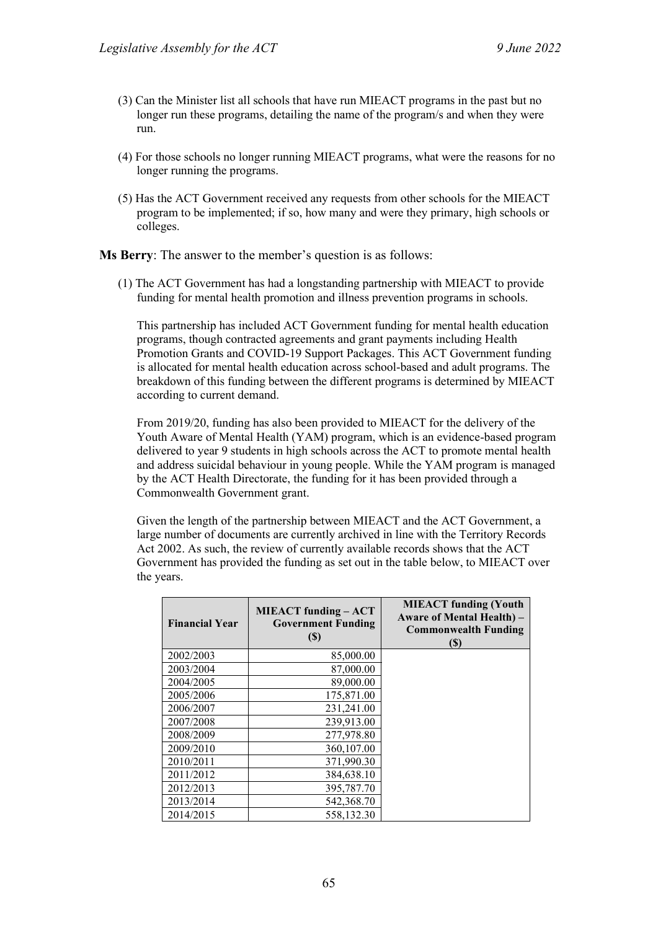- (3) Can the Minister list all schools that have run MIEACT programs in the past but no longer run these programs, detailing the name of the program/s and when they were run.
- (4) For those schools no longer running MIEACT programs, what were the reasons for no longer running the programs.
- (5) Has the ACT Government received any requests from other schools for the MIEACT program to be implemented; if so, how many and were they primary, high schools or colleges.

**Ms Berry**: The answer to the member's question is as follows:

(1) The ACT Government has had a longstanding partnership with MIEACT to provide funding for mental health promotion and illness prevention programs in schools.

This partnership has included ACT Government funding for mental health education programs, though contracted agreements and grant payments including Health Promotion Grants and COVID-19 Support Packages. This ACT Government funding is allocated for mental health education across school-based and adult programs. The breakdown of this funding between the different programs is determined by MIEACT according to current demand.

From 2019/20, funding has also been provided to MIEACT for the delivery of the Youth Aware of Mental Health (YAM) program, which is an evidence-based program delivered to year 9 students in high schools across the ACT to promote mental health and address suicidal behaviour in young people. While the YAM program is managed by the ACT Health Directorate, the funding for it has been provided through a Commonwealth Government grant.

Given the length of the partnership between MIEACT and the ACT Government, a large number of documents are currently archived in line with the Territory Records Act 2002. As such, the review of currently available records shows that the ACT Government has provided the funding as set out in the table below, to MIEACT over the years.

| <b>Financial Year</b> | <b>MIEACT</b> funding - ACT<br><b>Government Funding</b><br><b>(\$)</b> | <b>MIEACT</b> funding (Youth<br><b>Aware of Mental Health) -</b><br><b>Commonwealth Funding</b><br>(S) |
|-----------------------|-------------------------------------------------------------------------|--------------------------------------------------------------------------------------------------------|
| 2002/2003             | 85,000.00                                                               |                                                                                                        |
| 2003/2004             | 87,000.00                                                               |                                                                                                        |
| 2004/2005             | 89,000.00                                                               |                                                                                                        |
| 2005/2006             | 175,871.00                                                              |                                                                                                        |
| 2006/2007             | 231,241.00                                                              |                                                                                                        |
| 2007/2008             | 239,913.00                                                              |                                                                                                        |
| 2008/2009             | 277,978.80                                                              |                                                                                                        |
| 2009/2010             | 360,107.00                                                              |                                                                                                        |
| 2010/2011             | 371,990.30                                                              |                                                                                                        |
| 2011/2012             | 384,638.10                                                              |                                                                                                        |
| 2012/2013             | 395,787.70                                                              |                                                                                                        |
| 2013/2014             | 542,368.70                                                              |                                                                                                        |
| 2014/2015             | 558,132.30                                                              |                                                                                                        |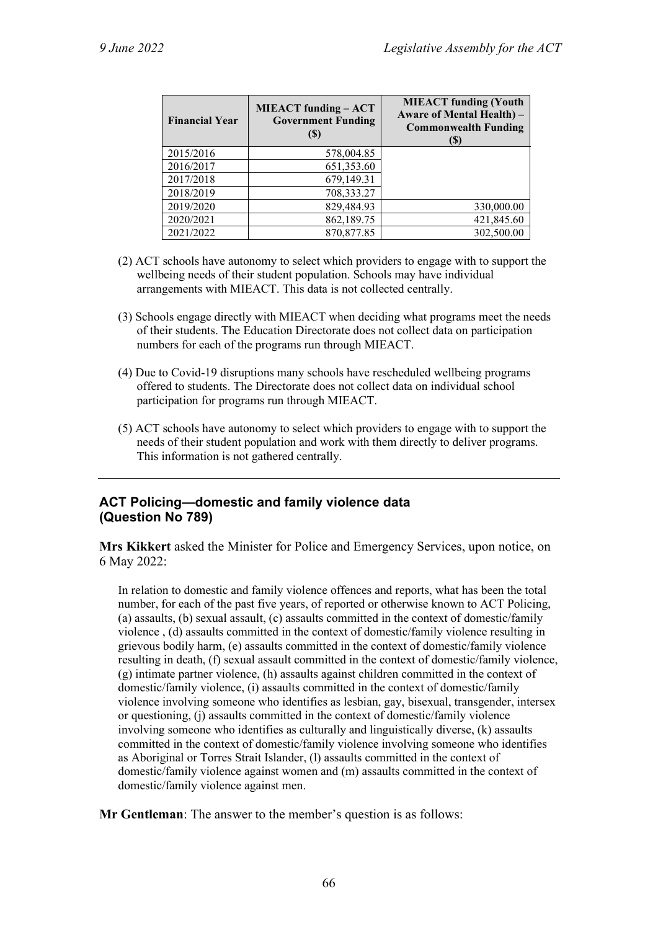| <b>Financial Year</b> | <b>MIEACT</b> funding - ACT<br><b>Government Funding</b><br>(S) | <b>MIEACT</b> funding (Youth<br><b>Aware of Mental Health) -</b><br><b>Commonwealth Funding</b><br>(S) |
|-----------------------|-----------------------------------------------------------------|--------------------------------------------------------------------------------------------------------|
| 2015/2016             | 578,004.85                                                      |                                                                                                        |
| 2016/2017             | 651,353.60                                                      |                                                                                                        |
| 2017/2018             | 679,149.31                                                      |                                                                                                        |
| 2018/2019             | 708,333.27                                                      |                                                                                                        |
| 2019/2020             | 829,484.93                                                      | 330,000.00                                                                                             |
| 2020/2021             | 862,189.75                                                      | 421,845.60                                                                                             |
| 2021/2022             | 870,877.85                                                      | 302,500.00                                                                                             |

- (2) ACT schools have autonomy to select which providers to engage with to support the wellbeing needs of their student population. Schools may have individual arrangements with MIEACT. This data is not collected centrally.
- (3) Schools engage directly with MIEACT when deciding what programs meet the needs of their students. The Education Directorate does not collect data on participation numbers for each of the programs run through MIEACT.
- (4) Due to Covid-19 disruptions many schools have rescheduled wellbeing programs offered to students. The Directorate does not collect data on individual school participation for programs run through MIEACT.
- (5) ACT schools have autonomy to select which providers to engage with to support the needs of their student population and work with them directly to deliver programs. This information is not gathered centrally.

## **ACT Policing—domestic and family violence data (Question No 789)**

**Mrs Kikkert** asked the Minister for Police and Emergency Services, upon notice, on 6 May 2022:

In relation to domestic and family violence offences and reports, what has been the total number, for each of the past five years, of reported or otherwise known to ACT Policing, (a) assaults, (b) sexual assault, (c) assaults committed in the context of domestic/family violence , (d) assaults committed in the context of domestic/family violence resulting in grievous bodily harm, (e) assaults committed in the context of domestic/family violence resulting in death, (f) sexual assault committed in the context of domestic/family violence, (g) intimate partner violence, (h) assaults against children committed in the context of domestic/family violence, (i) assaults committed in the context of domestic/family violence involving someone who identifies as lesbian, gay, bisexual, transgender, intersex or questioning, (j) assaults committed in the context of domestic/family violence involving someone who identifies as culturally and linguistically diverse, (k) assaults committed in the context of domestic/family violence involving someone who identifies as Aboriginal or Torres Strait Islander, (l) assaults committed in the context of domestic/family violence against women and (m) assaults committed in the context of domestic/family violence against men.

**Mr Gentleman**: The answer to the member's question is as follows: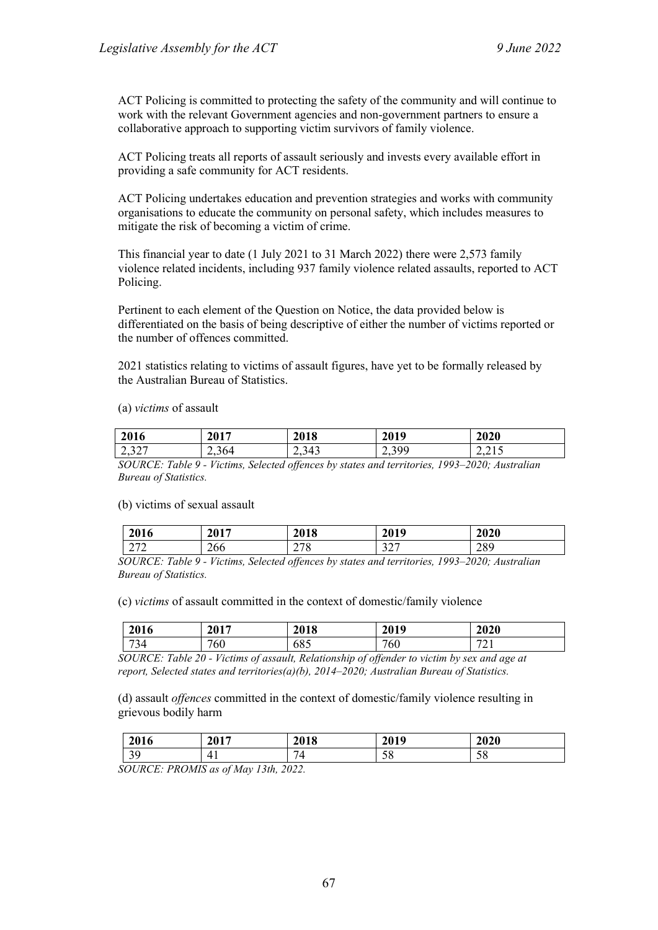ACT Policing is committed to protecting the safety of the community and will continue to work with the relevant Government agencies and non-government partners to ensure a collaborative approach to supporting victim survivors of family violence.

ACT Policing treats all reports of assault seriously and invests every available effort in providing a safe community for ACT residents.

ACT Policing undertakes education and prevention strategies and works with community organisations to educate the community on personal safety, which includes measures to mitigate the risk of becoming a victim of crime.

This financial year to date (1 July 2021 to 31 March 2022) there were 2,573 family violence related incidents, including 937 family violence related assaults, reported to ACT Policing.

Pertinent to each element of the Question on Notice, the data provided below is differentiated on the basis of being descriptive of either the number of victims reported or the number of offences committed.

2021 statistics relating to victims of assault figures, have yet to be formally released by the Australian Bureau of Statistics.

(a) *victims* of assault

| 2016              | 2017  | 2018  | 2019        | 2020          |
|-------------------|-------|-------|-------------|---------------|
| 2.327<br>المكروسك | 2,364 | 2,343 | 300<br>رریہ | 0.15<br>ر د م |

*SOURCE: Table 9 - Victims, Selected offences by states and territories, 1993–2020; Australian Bureau of Statistics.*

(b) victims of sexual assault

| 2016       | 2017 | 2018       | 2019          | 2020 |
|------------|------|------------|---------------|------|
| 272<br>212 | 266  | 770<br>210 | 227<br>ا سے ب | 289  |

*SOURCE: Table 9 - Victims, Selected offences by states and territories, 1993–2020; Australian Bureau of Statistics.*

(c) *victims* of assault committed in the context of domestic/family violence

| 2016      | 2017 | 2018 | 2019 | 2020                           |
|-----------|------|------|------|--------------------------------|
| 724<br>54 | 760  | 685  | 760  | $\overline{\phantom{a}}$<br>∠⊥ |

*SOURCE: Table 20 - Victims of assault, Relationship of offender to victim by sex and age at report, Selected states and territories(a)(b), 2014–2020; Australian Bureau of Statistics.*

(d) assault *offences* committed in the context of domestic/family violence resulting in grievous bodily harm

| 2016                    | 2017 | 2018 | 2019     | 2020                           |
|-------------------------|------|------|----------|--------------------------------|
| $\Omega$<br>ι.<br>- 2 - | ட    | 74   | c٥<br>20 | $\overline{\phantom{a}}$<br>20 |

*SOURCE: PROMIS as of May 13th, 2022.*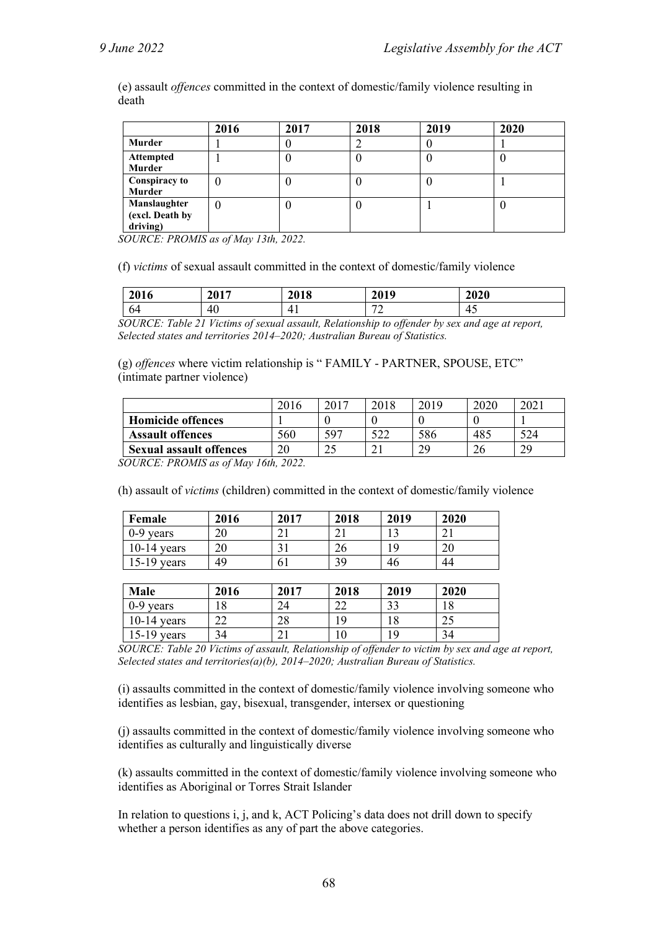(e) assault *offences* committed in the context of domestic/family violence resulting in death

|                                             | 2016 | 2017 | 2018 | 2019 | 2020 |
|---------------------------------------------|------|------|------|------|------|
| Murder                                      |      |      |      |      |      |
| <b>Attempted</b><br>Murder                  |      |      |      |      | U    |
| <b>Conspiracy to</b><br>Murder              | 0    |      |      |      |      |
| Manslaughter<br>(excl. Death by<br>driving) | 0    |      |      |      | ν    |

*SOURCE: PROMIS as of May 13th, 2022.*

(f) *victims* of sexual assault committed in the context of domestic/family violence

| 2016 | 2017 | 2018 | 2019                          | 2020          |
|------|------|------|-------------------------------|---------------|
| 64   | 40   | ↵    | $\overline{\phantom{a}}$<br>∼ | <b>_</b><br>τ |

*SOURCE: Table 21 Victims of sexual assault, Relationship to offender by sex and age at report, Selected states and territories 2014–2020; Australian Bureau of Statistics.*

(g) *offences* where victim relationship is " FAMILY - PARTNER, SPOUSE, ETC" (intimate partner violence)

|                                          | 2016 | 2017 | 2018 | 2019 | 2020 | 2021 |
|------------------------------------------|------|------|------|------|------|------|
| <b>Homicide offences</b>                 |      |      |      |      |      |      |
| <b>Assault offences</b>                  | 560  | 597  | ເາາ  | 586  | 485  | 524  |
| <b>Sexual assault offences</b>           |      |      |      | 29   | 26   | 29   |
| $COTIDCF, DDOME$ as $CML$ $LLL$ 164.1002 |      |      |      |      |      |      |

*SOURCE: PROMIS as of May 16th, 2022.*

(h) assault of *victims* (children) committed in the context of domestic/family violence

| Female        | 2016 | 2017 | 2018 | 2019 | 2020 |
|---------------|------|------|------|------|------|
| $0-9$ years   |      |      |      |      |      |
| $10-14$ years | ററ   |      | 26   |      | 20   |
| $15-19$ years | 49   |      | 39   | 46   | 44   |

| Male          | 2016    | 2017 | 2018         | 2019 | 2020            |
|---------------|---------|------|--------------|------|-----------------|
| $0-9$ years   | !8      | 24   | $\sim$<br>∠∠ | 33   |                 |
| $10-14$ years | ີ<br>∠∠ | 28   | 19           | 18   | $\Delta$<br>ر ب |
| $15-19$ years | 34      | ້⊥   | 10           | 19   | 34              |

*SOURCE: Table 20 Victims of assault, Relationship of offender to victim by sex and age at report, Selected states and territories(a)(b), 2014–2020; Australian Bureau of Statistics.*

(i) assaults committed in the context of domestic/family violence involving someone who identifies as lesbian, gay, bisexual, transgender, intersex or questioning

(j) assaults committed in the context of domestic/family violence involving someone who identifies as culturally and linguistically diverse

(k) assaults committed in the context of domestic/family violence involving someone who identifies as Aboriginal or Torres Strait Islander

In relation to questions i, j, and k, ACT Policing's data does not drill down to specify whether a person identifies as any of part the above categories.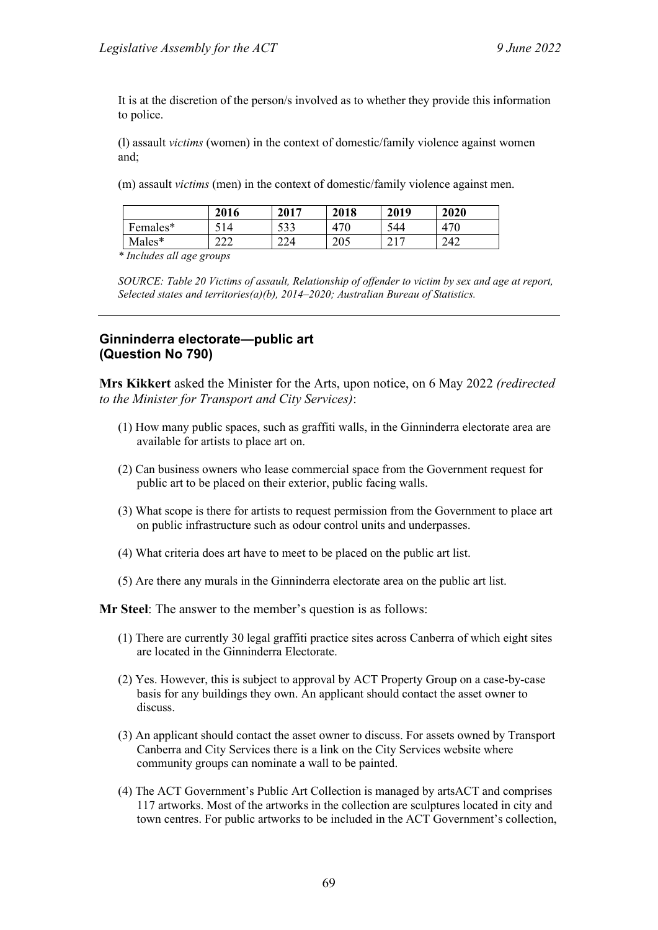It is at the discretion of the person/s involved as to whether they provide this information to police.

(l) assault *victims* (women) in the context of domestic/family violence against women and;

(m) assault *victims* (men) in the context of domestic/family violence against men.

|          | 2016        | 2017         | 2018 | 2019     | 2020 |
|----------|-------------|--------------|------|----------|------|
| Females* | 14          | د د -<br>JJJ | 470  | 544      | 470  |
| Males*   | າາາ<br>44 L | 224<br>∠∠⊣   | 205  | $\sim$ 1 | 242  |

*\* Includes all age groups*

*SOURCE: Table 20 Victims of assault, Relationship of offender to victim by sex and age at report, Selected states and territories(a)(b), 2014–2020; Australian Bureau of Statistics.*

## **Ginninderra electorate—public art (Question No 790)**

**Mrs Kikkert** asked the Minister for the Arts, upon notice, on 6 May 2022 *(redirected to the Minister for Transport and City Services)*:

- (1) How many public spaces, such as graffiti walls, in the Ginninderra electorate area are available for artists to place art on.
- (2) Can business owners who lease commercial space from the Government request for public art to be placed on their exterior, public facing walls.
- (3) What scope is there for artists to request permission from the Government to place art on public infrastructure such as odour control units and underpasses.
- (4) What criteria does art have to meet to be placed on the public art list.
- (5) Are there any murals in the Ginninderra electorate area on the public art list.

**Mr Steel**: The answer to the member's question is as follows:

- (1) There are currently 30 legal graffiti practice sites across Canberra of which eight sites are located in the Ginninderra Electorate.
- (2) Yes. However, this is subject to approval by ACT Property Group on a case-by-case basis for any buildings they own. An applicant should contact the asset owner to discuss.
- (3) An applicant should contact the asset owner to discuss. For assets owned by Transport Canberra and City Services there is a link on the City Services website where community groups can nominate a wall to be painted.
- (4) The ACT Government's Public Art Collection is managed by artsACT and comprises 117 artworks. Most of the artworks in the collection are sculptures located in city and town centres. For public artworks to be included in the ACT Government's collection,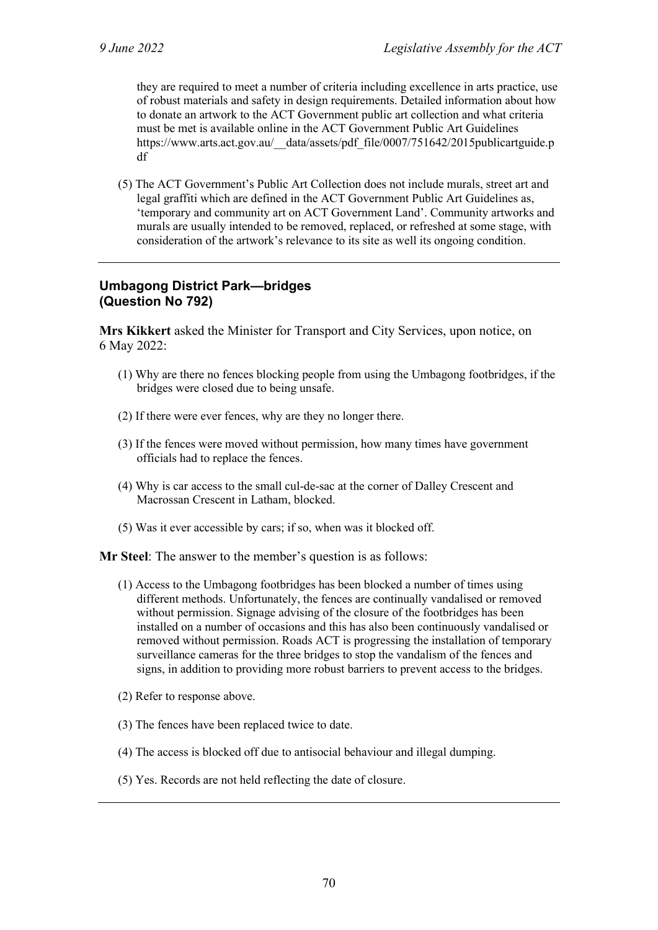they are required to meet a number of criteria including excellence in arts practice, use of robust materials and safety in design requirements. Detailed information about how to donate an artwork to the ACT Government public art collection and what criteria must be met is available online in the ACT Government Public Art Guidelines https://www.arts.act.gov.au/\_\_data/assets/pdf\_file/0007/751642/2015publicartguide.p df

(5) The ACT Government's Public Art Collection does not include murals, street art and legal graffiti which are defined in the ACT Government Public Art Guidelines as, 'temporary and community art on ACT Government Land'. Community artworks and murals are usually intended to be removed, replaced, or refreshed at some stage, with consideration of the artwork's relevance to its site as well its ongoing condition.

# **Umbagong District Park—bridges (Question No 792)**

**Mrs Kikkert** asked the Minister for Transport and City Services, upon notice, on 6 May 2022:

- (1) Why are there no fences blocking people from using the Umbagong footbridges, if the bridges were closed due to being unsafe.
- (2) If there were ever fences, why are they no longer there.
- (3) If the fences were moved without permission, how many times have government officials had to replace the fences.
- (4) Why is car access to the small cul-de-sac at the corner of Dalley Crescent and Macrossan Crescent in Latham, blocked.
- (5) Was it ever accessible by cars; if so, when was it blocked off.

**Mr Steel**: The answer to the member's question is as follows:

- (1) Access to the Umbagong footbridges has been blocked a number of times using different methods. Unfortunately, the fences are continually vandalised or removed without permission. Signage advising of the closure of the footbridges has been installed on a number of occasions and this has also been continuously vandalised or removed without permission. Roads ACT is progressing the installation of temporary surveillance cameras for the three bridges to stop the vandalism of the fences and signs, in addition to providing more robust barriers to prevent access to the bridges.
- (2) Refer to response above.
- (3) The fences have been replaced twice to date.
- (4) The access is blocked off due to antisocial behaviour and illegal dumping.
- (5) Yes. Records are not held reflecting the date of closure.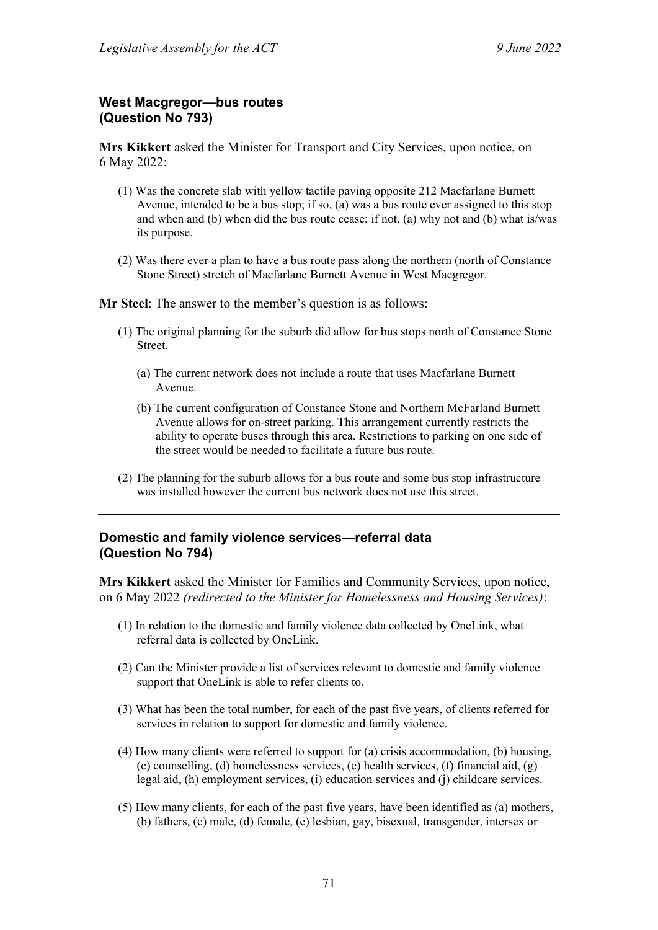# **West Macgregor—bus routes (Question No 793)**

**Mrs Kikkert** asked the Minister for Transport and City Services, upon notice, on 6 May 2022:

- (1) Was the concrete slab with yellow tactile paving opposite 212 Macfarlane Burnett Avenue, intended to be a bus stop; if so, (a) was a bus route ever assigned to this stop and when and (b) when did the bus route cease; if not, (a) why not and (b) what is/was its purpose.
- (2) Was there ever a plan to have a bus route pass along the northern (north of Constance Stone Street) stretch of Macfarlane Burnett Avenue in West Macgregor.

**Mr Steel**: The answer to the member's question is as follows:

- (1) The original planning for the suburb did allow for bus stops north of Constance Stone Street.
	- (a) The current network does not include a route that uses Macfarlane Burnett Avenue.
	- (b) The current configuration of Constance Stone and Northern McFarland Burnett Avenue allows for on-street parking. This arrangement currently restricts the ability to operate buses through this area. Restrictions to parking on one side of the street would be needed to facilitate a future bus route.
- (2) The planning for the suburb allows for a bus route and some bus stop infrastructure was installed however the current bus network does not use this street.

#### **Domestic and family violence services—referral data (Question No 794)**

**Mrs Kikkert** asked the Minister for Families and Community Services, upon notice, on 6 May 2022 *(redirected to the Minister for Homelessness and Housing Services)*:

- (1) In relation to the domestic and family violence data collected by OneLink, what referral data is collected by OneLink.
- (2) Can the Minister provide a list of services relevant to domestic and family violence support that OneLink is able to refer clients to.
- (3) What has been the total number, for each of the past five years, of clients referred for services in relation to support for domestic and family violence.
- (4) How many clients were referred to support for (a) crisis accommodation, (b) housing, (c) counselling, (d) homelessness services, (e) health services, (f) financial aid,  $(g)$ legal aid, (h) employment services, (i) education services and (j) childcare services.
- (5) How many clients, for each of the past five years, have been identified as (a) mothers, (b) fathers, (c) male, (d) female, (e) lesbian, gay, bisexual, transgender, intersex or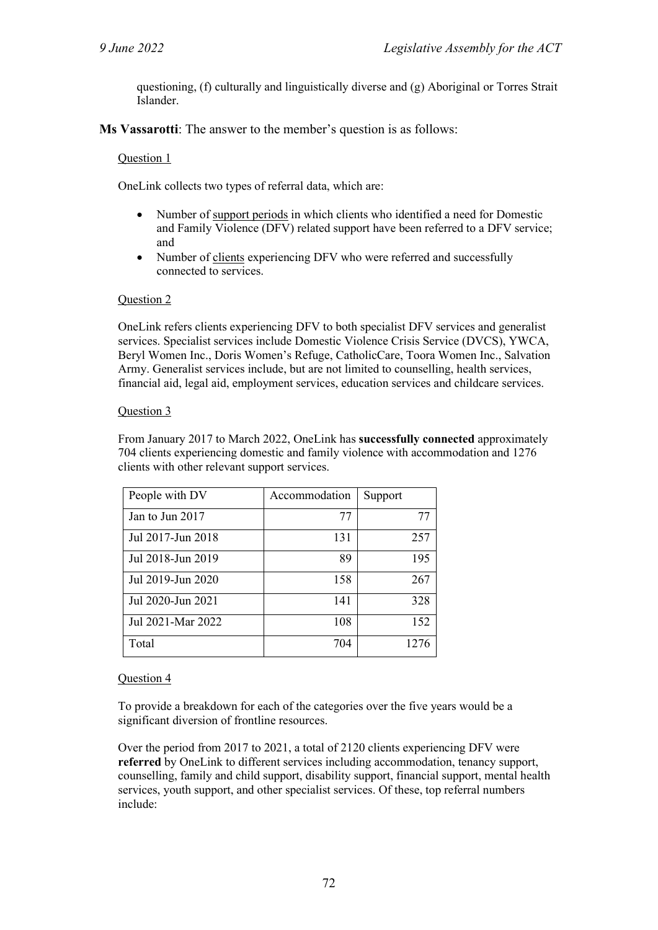questioning, (f) culturally and linguistically diverse and (g) Aboriginal or Torres Strait Islander.

**Ms Vassarotti**: The answer to the member's question is as follows:

#### Question 1

OneLink collects two types of referral data, which are:

- Number of support periods in which clients who identified a need for Domestic and Family Violence (DFV) related support have been referred to a DFV service; and
- Number of clients experiencing DFV who were referred and successfully connected to services.

#### Question 2

OneLink refers clients experiencing DFV to both specialist DFV services and generalist services. Specialist services include Domestic Violence Crisis Service (DVCS), YWCA, Beryl Women Inc., Doris Women's Refuge, CatholicCare, Toora Women Inc., Salvation Army. Generalist services include, but are not limited to counselling, health services, financial aid, legal aid, employment services, education services and childcare services.

#### Question 3

From January 2017 to March 2022, OneLink has **successfully connected** approximately 704 clients experiencing domestic and family violence with accommodation and 1276 clients with other relevant support services.

| People with DV    | Accommodation | Support |
|-------------------|---------------|---------|
| Jan to Jun 2017   | 77            | 77      |
| Jul 2017-Jun 2018 | 131           | 257     |
| Jul 2018-Jun 2019 | 89            | 195     |
| Jul 2019-Jun 2020 | 158           | 267     |
| Jul 2020-Jun 2021 | 141           | 328     |
| Jul 2021-Mar 2022 | 108           | 152     |
| Total             | 704           | 1276    |

#### Question 4

To provide a breakdown for each of the categories over the five years would be a significant diversion of frontline resources.

Over the period from 2017 to 2021, a total of 2120 clients experiencing DFV were **referred** by OneLink to different services including accommodation, tenancy support, counselling, family and child support, disability support, financial support, mental health services, youth support, and other specialist services. Of these, top referral numbers include: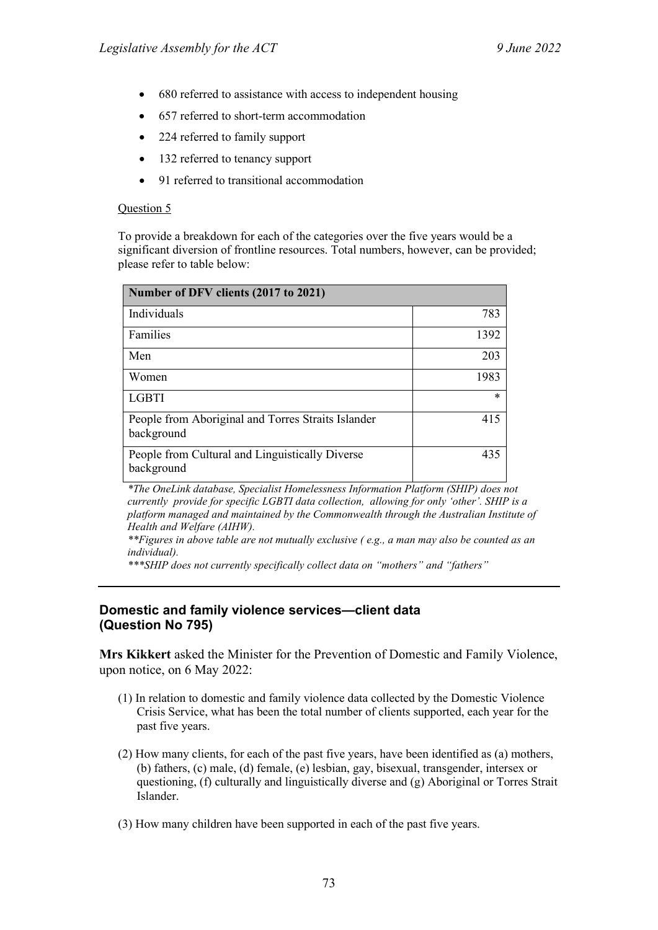- 680 referred to assistance with access to independent housing
- 657 referred to short-term accommodation
- 224 referred to family support
- 132 referred to tenancy support
- 91 referred to transitional accommodation

## Question 5

To provide a breakdown for each of the categories over the five years would be a significant diversion of frontline resources. Total numbers, however, can be provided; please refer to table below:

| Number of DFV clients (2017 to 2021)                             |        |
|------------------------------------------------------------------|--------|
| Individuals                                                      | 783    |
| <b>Families</b>                                                  | 1392   |
| Men                                                              | 203    |
| Women                                                            | 1983   |
| <b>LGBTI</b>                                                     | $\ast$ |
| People from Aboriginal and Torres Straits Islander<br>background | 415    |
| People from Cultural and Linguistically Diverse<br>background    | 435    |

*\*The OneLink database, Specialist Homelessness Information Platform (SHIP) does not currently provide for specific LGBTI data collection, allowing for only 'other'. SHIP is a platform managed and maintained by the Commonwealth through the Australian Institute of Health and Welfare (AIHW).*

*\*\*Figures in above table are not mutually exclusive ( e.g., a man may also be counted as an individual).*

*\*\*\*SHIP does not currently specifically collect data on "mothers" and "fathers"*

## **Domestic and family violence services—client data (Question No 795)**

**Mrs Kikkert** asked the Minister for the Prevention of Domestic and Family Violence, upon notice, on 6 May 2022:

- (1) In relation to domestic and family violence data collected by the Domestic Violence Crisis Service, what has been the total number of clients supported, each year for the past five years.
- (2) How many clients, for each of the past five years, have been identified as (a) mothers, (b) fathers, (c) male, (d) female, (e) lesbian, gay, bisexual, transgender, intersex or questioning, (f) culturally and linguistically diverse and (g) Aboriginal or Torres Strait Islander.
- (3) How many children have been supported in each of the past five years.